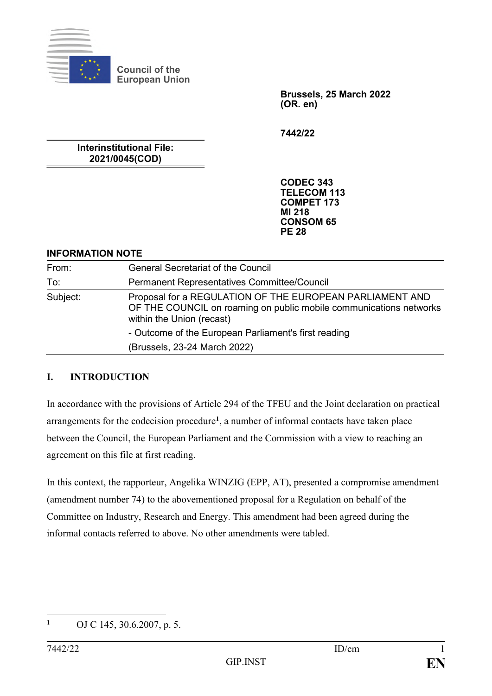

**Council of the European Union**

> **Brussels, 25 March 2022 (OR. en)**

**7442/22**

**Interinstitutional File: 2021/0045(COD)**

> **CODEC 343 TELECOM 113 COMPET 173 MI 218 CONSOM 65 PE 28**

### **INFORMATION NOTE**

| From:    | <b>General Secretariat of the Council</b>                                                                                                                   |
|----------|-------------------------------------------------------------------------------------------------------------------------------------------------------------|
| To:      | Permanent Representatives Committee/Council                                                                                                                 |
| Subject: | Proposal for a REGULATION OF THE EUROPEAN PARLIAMENT AND<br>OF THE COUNCIL on roaming on public mobile communications networks<br>within the Union (recast) |
|          | - Outcome of the European Parliament's first reading                                                                                                        |
|          | (Brussels, 23-24 March 2022)                                                                                                                                |

## **I. INTRODUCTION**

In accordance with the provisions of Article 294 of the TFEU and the Joint declaration on practical arrangements for the codecision procedure**<sup>1</sup>** , a number of informal contacts have taken place between the Council, the European Parliament and the Commission with a view to reaching an agreement on this file at first reading.

In this context, the rapporteur, Angelika WINZIG (EPP, AT), presented a compromise amendment (amendment number 74) to the abovementioned proposal for a Regulation on behalf of the Committee on Industry, Research and Energy. This amendment had been agreed during the informal contacts referred to above. No other amendments were tabled.

 $\mathbf{1}$ **<sup>1</sup>** OJ C 145, 30.6.2007, p. 5.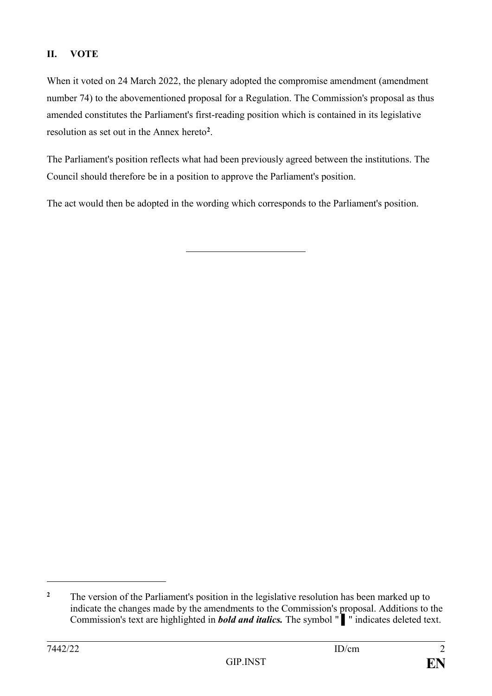# **II. VOTE**

When it voted on 24 March 2022, the plenary adopted the compromise amendment (amendment number 74) to the abovementioned proposal for a Regulation. The Commission's proposal as thus amended constitutes the Parliament's first-reading position which is contained in its legislative resolution as set out in the Annex hereto**<sup>2</sup>** .

The Parliament's position reflects what had been previously agreed between the institutions. The Council should therefore be in a position to approve the Parliament's position.

The act would then be adopted in the wording which corresponds to the Parliament's position.

1

<sup>&</sup>lt;sup>2</sup> The version of the Parliament's position in the legislative resolution has been marked up to indicate the changes made by the amendments to the Commission's proposal. Additions to the Commission's text are highlighted in *bold and italics.* The symbol " ▌" indicates deleted text.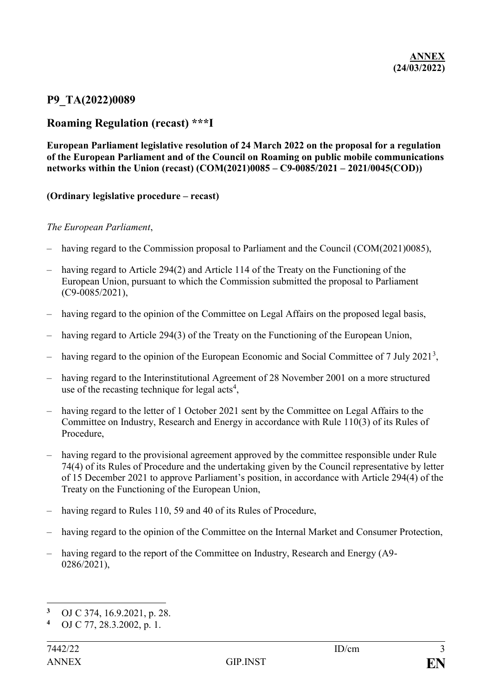## **P9\_TA(2022)0089**

## **Roaming Regulation (recast) \*\*\*I**

**European Parliament legislative resolution of 24 March 2022 on the proposal for a regulation of the European Parliament and of the Council on Roaming on public mobile communications networks within the Union (recast) (COM(2021)0085 – C9-0085/2021 – 2021/0045(COD))**

#### **(Ordinary legislative procedure – recast)**

#### *The European Parliament*,

- having regard to the Commission proposal to Parliament and the Council (COM(2021)0085),
- having regard to Article 294(2) and Article 114 of the Treaty on the Functioning of the European Union, pursuant to which the Commission submitted the proposal to Parliament (C9-0085/2021),
- having regard to the opinion of the Committee on Legal Affairs on the proposed legal basis,
- having regard to Article 294(3) of the Treaty on the Functioning of the European Union,
- $-$  having regard to the opinion of the European Economic and Social Committee of 7 July 2021<sup>3</sup>,
- having regard to the Interinstitutional Agreement of 28 November 2001 on a more structured use of the recasting technique for legal  $acts<sup>4</sup>$ ,
- having regard to the letter of 1 October 2021 sent by the Committee on Legal Affairs to the Committee on Industry, Research and Energy in accordance with Rule 110(3) of its Rules of Procedure,
- having regard to the provisional agreement approved by the committee responsible under Rule 74(4) of its Rules of Procedure and the undertaking given by the Council representative by letter of 15 December 2021 to approve Parliament's position, in accordance with Article 294(4) of the Treaty on the Functioning of the European Union,
- having regard to Rules 110, 59 and 40 of its Rules of Procedure,
- having regard to the opinion of the Committee on the Internal Market and Consumer Protection,
- having regard to the report of the Committee on Industry, Research and Energy (A9- 0286/2021),

1

<sup>&</sup>lt;sup>3</sup> OJ C 374, 16.9.2021, p. 28.<br><sup>4</sup> OJ C 77, 28.3, 2002, p. 1.

**<sup>4</sup>** OJ C 77, 28.3.2002, p. 1.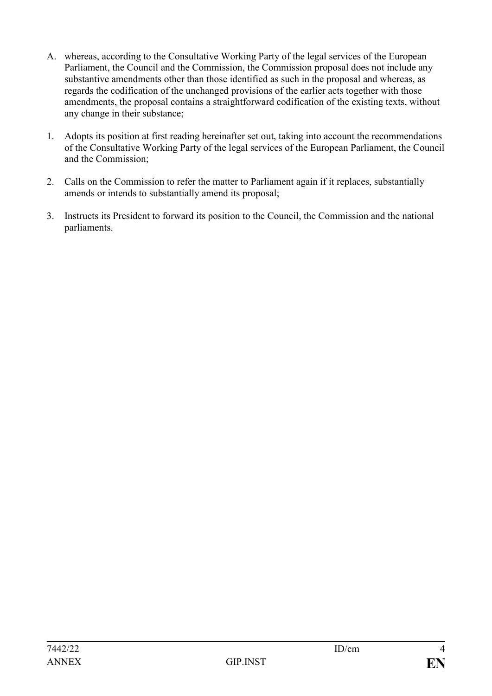- A. whereas, according to the Consultative Working Party of the legal services of the European Parliament, the Council and the Commission, the Commission proposal does not include any substantive amendments other than those identified as such in the proposal and whereas, as regards the codification of the unchanged provisions of the earlier acts together with those amendments, the proposal contains a straightforward codification of the existing texts, without any change in their substance;
- 1. Adopts its position at first reading hereinafter set out, taking into account the recommendations of the Consultative Working Party of the legal services of the European Parliament, the Council and the Commission;
- 2. Calls on the Commission to refer the matter to Parliament again if it replaces, substantially amends or intends to substantially amend its proposal;
- 3. Instructs its President to forward its position to the Council, the Commission and the national parliaments.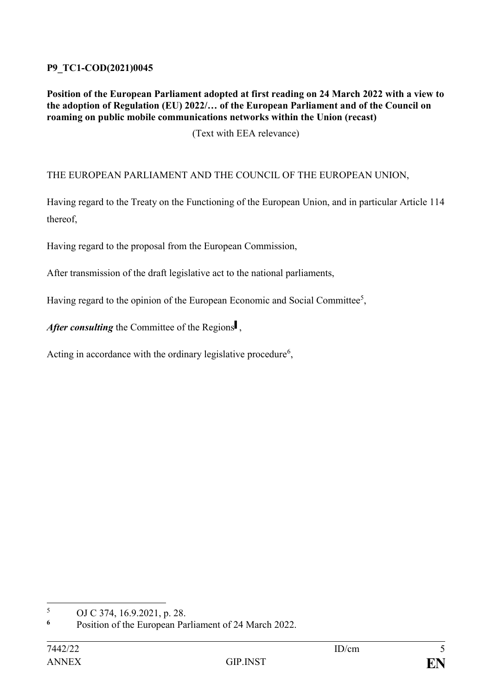## **P9\_TC1-COD(2021)0045**

### **Position of the European Parliament adopted at first reading on 24 March 2022 with a view to the adoption of Regulation (EU) 2022/… of the European Parliament and of the Council on roaming on public mobile communications networks within the Union (recast)**

(Text with EEA relevance)

THE EUROPEAN PARLIAMENT AND THE COUNCIL OF THE EUROPEAN UNION,

Having regard to the Treaty on the Functioning of the European Union, and in particular Article 114 thereof,

Having regard to the proposal from the European Commission,

After transmission of the draft legislative act to the national parliaments,

Having regard to the opinion of the European Economic and Social Committee<sup>5</sup>,

After consulting the Committee of the Regions<sup>1</sup>,

Acting in accordance with the ordinary legislative procedure<sup>6</sup>,

 $\overline{5}$  $5$  OJ C 374, 16.9.2021, p. 28.

Position of the European Parliament of 24 March 2022.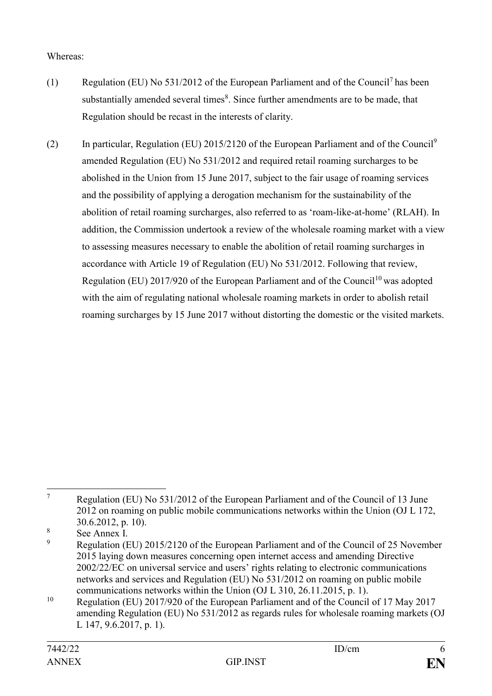## Whereas:

- (1) Regulation (EU) No  $531/2012$  of the European Parliament and of the Council<sup>7</sup> has been substantially amended several times<sup>8</sup>. Since further amendments are to be made, that Regulation should be recast in the interests of clarity.
- (2) In particular, Regulation (EU) 2015/2120 of the European Parliament and of the Council<sup>9</sup> amended Regulation (EU) No 531/2012 and required retail roaming surcharges to be abolished in the Union from 15 June 2017, subject to the fair usage of roaming services and the possibility of applying a derogation mechanism for the sustainability of the abolition of retail roaming surcharges, also referred to as 'roam-like-at-home' (RLAH). In addition, the Commission undertook a review of the wholesale roaming market with a view to assessing measures necessary to enable the abolition of retail roaming surcharges in accordance with Article 19 of Regulation (EU) No 531/2012. Following that review, Regulation (EU) 2017/920 of the European Parliament and of the Council<sup>10</sup> was adopted with the aim of regulating national wholesale roaming markets in order to abolish retail roaming surcharges by 15 June 2017 without distorting the domestic or the visited markets.

 $\boldsymbol{7}$ <sup>7</sup> Regulation (EU) No 531/2012 of the European Parliament and of the Council of 13 June 2012 on roaming on public mobile communications networks within the Union (OJ L 172, 30.6.2012, p. 10).

 $\frac{8}{9}$  See Annex I.

<sup>9</sup> Regulation (EU) 2015/2120 of the European Parliament and of the Council of 25 November 2015 laying down measures concerning open internet access and amending Directive 2002/22/EC on universal service and users' rights relating to electronic communications networks and services and Regulation (EU) No 531/2012 on roaming on public mobile communications networks within the Union (OJ L 310, 26.11.2015, p. 1).

<sup>&</sup>lt;sup>10</sup> Regulation (EU) 2017/920 of the European Parliament and of the Council of 17 May 2017 amending Regulation (EU) No 531/2012 as regards rules for wholesale roaming markets (OJ L 147, 9.6.2017, p. 1).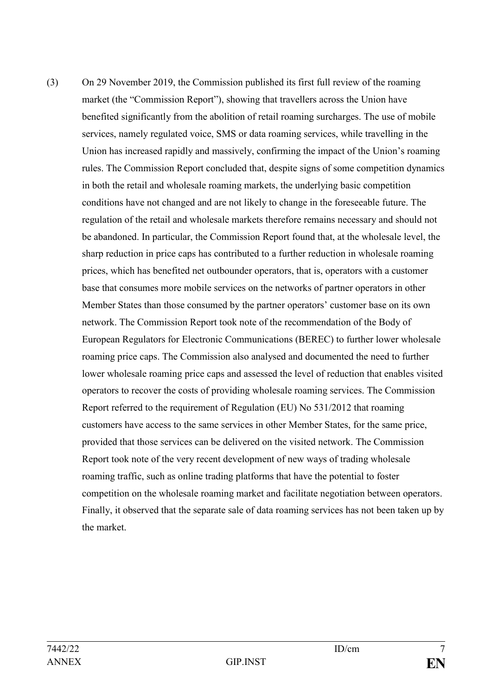(3) On 29 November 2019, the Commission published its first full review of the roaming market (the "Commission Report"), showing that travellers across the Union have benefited significantly from the abolition of retail roaming surcharges. The use of mobile services, namely regulated voice, SMS or data roaming services, while travelling in the Union has increased rapidly and massively, confirming the impact of the Union's roaming rules. The Commission Report concluded that, despite signs of some competition dynamics in both the retail and wholesale roaming markets, the underlying basic competition conditions have not changed and are not likely to change in the foreseeable future. The regulation of the retail and wholesale markets therefore remains necessary and should not be abandoned. In particular, the Commission Report found that, at the wholesale level, the sharp reduction in price caps has contributed to a further reduction in wholesale roaming prices, which has benefited net outbounder operators, that is, operators with a customer base that consumes more mobile services on the networks of partner operators in other Member States than those consumed by the partner operators' customer base on its own network. The Commission Report took note of the recommendation of the Body of European Regulators for Electronic Communications (BEREC) to further lower wholesale roaming price caps. The Commission also analysed and documented the need to further lower wholesale roaming price caps and assessed the level of reduction that enables visited operators to recover the costs of providing wholesale roaming services. The Commission Report referred to the requirement of Regulation (EU) No 531/2012 that roaming customers have access to the same services in other Member States, for the same price, provided that those services can be delivered on the visited network. The Commission Report took note of the very recent development of new ways of trading wholesale roaming traffic, such as online trading platforms that have the potential to foster competition on the wholesale roaming market and facilitate negotiation between operators. Finally, it observed that the separate sale of data roaming services has not been taken up by the market.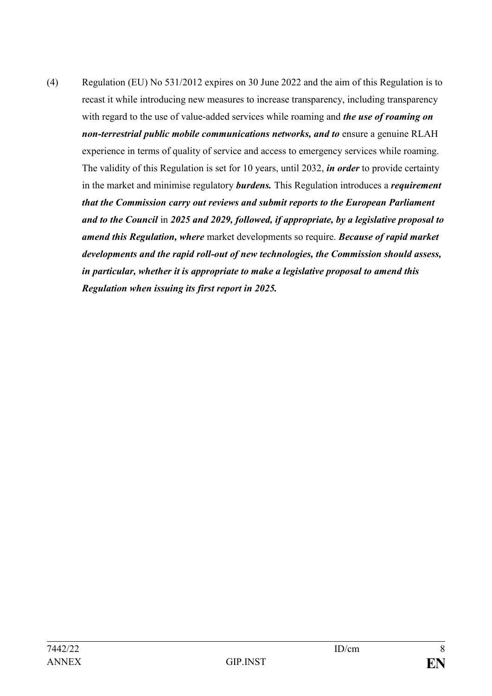(4) Regulation (EU) No 531/2012 expires on 30 June 2022 and the aim of this Regulation is to recast it while introducing new measures to increase transparency, including transparency with regard to the use of value-added services while roaming and *the use of roaming on non-terrestrial public mobile communications networks, and to ensure a genuine RLAH* experience in terms of quality of service and access to emergency services while roaming. The validity of this Regulation is set for 10 years, until 2032, *in order* to provide certainty in the market and minimise regulatory *burdens.* This Regulation introduces a *requirement that the Commission carry out reviews and submit reports to the European Parliament and to the Council* in *2025 and 2029, followed, if appropriate, by a legislative proposal to amend this Regulation, where* market developments so require. *Because of rapid market developments and the rapid roll-out of new technologies, the Commission should assess, in particular, whether it is appropriate to make a legislative proposal to amend this Regulation when issuing its first report in 2025.*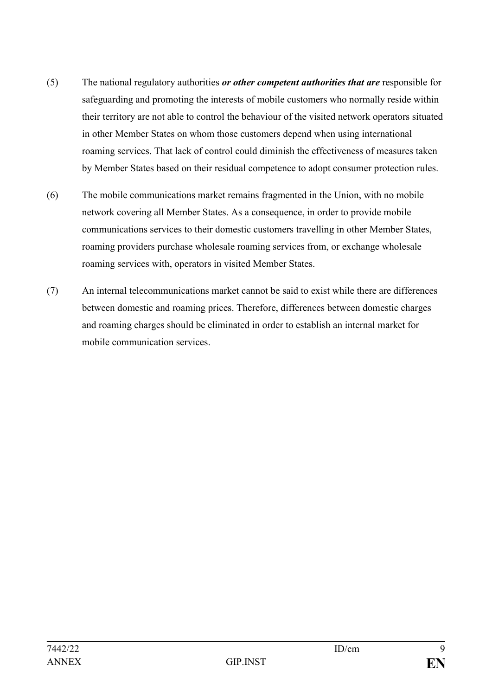- (5) The national regulatory authorities *or other competent authorities that are* responsible for safeguarding and promoting the interests of mobile customers who normally reside within their territory are not able to control the behaviour of the visited network operators situated in other Member States on whom those customers depend when using international roaming services. That lack of control could diminish the effectiveness of measures taken by Member States based on their residual competence to adopt consumer protection rules.
- (6) The mobile communications market remains fragmented in the Union, with no mobile network covering all Member States. As a consequence, in order to provide mobile communications services to their domestic customers travelling in other Member States, roaming providers purchase wholesale roaming services from, or exchange wholesale roaming services with, operators in visited Member States.
- (7) An internal telecommunications market cannot be said to exist while there are differences between domestic and roaming prices. Therefore, differences between domestic charges and roaming charges should be eliminated in order to establish an internal market for mobile communication services.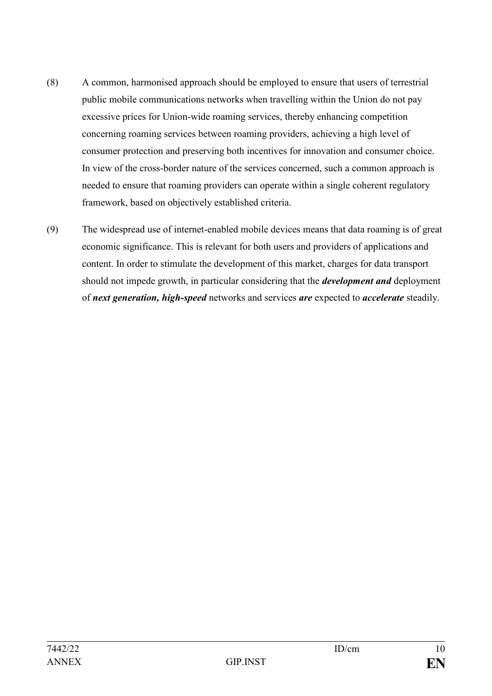- (8) A common, harmonised approach should be employed to ensure that users of terrestrial public mobile communications networks when travelling within the Union do not pay excessive prices for Union-wide roaming services, thereby enhancing competition concerning roaming services between roaming providers, achieving a high level of consumer protection and preserving both incentives for innovation and consumer choice. In view of the cross-border nature of the services concerned, such a common approach is needed to ensure that roaming providers can operate within a single coherent regulatory framework, based on objectively established criteria.
- (9) The widespread use of internet-enabled mobile devices means that data roaming is of great economic significance. This is relevant for both users and providers of applications and content. In order to stimulate the development of this market, charges for data transport should not impede growth, in particular considering that the *development and* deployment of *next generation, high-speed* networks and services *are* expected to *accelerate* steadily.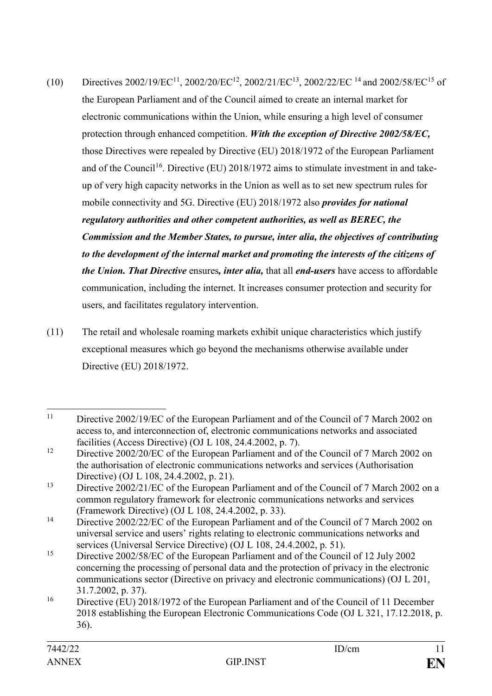- (10) Directives 2002/19/EC<sup>11</sup>, 2002/20/EC<sup>12</sup>, 2002/21/EC<sup>13</sup>, 2002/22/EC<sup>14</sup> and 2002/58/EC<sup>15</sup> of the European Parliament and of the Council aimed to create an internal market for electronic communications within the Union, while ensuring a high level of consumer protection through enhanced competition. *With the exception of Directive 2002/58/EC,*  those Directives were repealed by Directive (EU) 2018/1972 of the European Parliament and of the Council<sup>16</sup>. Directive (EU) 2018/1972 aims to stimulate investment in and takeup of very high capacity networks in the Union as well as to set new spectrum rules for mobile connectivity and 5G. Directive (EU) 2018/1972 also *provides for national regulatory authorities and other competent authorities, as well as BEREC, the Commission and the Member States, to pursue, inter alia, the objectives of contributing*  to the development of the internal market and promoting the interests of the citizens of *the Union. That Directive* ensures*, inter alia,* that all *end-users* have access to affordable communication, including the internet. It increases consumer protection and security for users, and facilitates regulatory intervention.
- (11) The retail and wholesale roaming markets exhibit unique characteristics which justify exceptional measures which go beyond the mechanisms otherwise available under Directive (EU) 2018/1972.

 $11$ Directive 2002/19/EC of the European Parliament and of the Council of 7 March 2002 on access to, and interconnection of, electronic communications networks and associated facilities (Access Directive) (OJ L 108, 24.4.2002, p. 7).

<sup>&</sup>lt;sup>12</sup> Directive 2002/20/EC of the European Parliament and of the Council of 7 March 2002 on the authorisation of electronic communications networks and services (Authorisation Directive) (OJ L 108, 24.4.2002, p. 21).

<sup>&</sup>lt;sup>13</sup> Directive  $2002/21/\text{EC}$  of the European Parliament and of the Council of 7 March 2002 on a common regulatory framework for electronic communications networks and services (Framework Directive) (OJ L 108, 24.4.2002, p. 33).

<sup>&</sup>lt;sup>14</sup> Directive 2002/22/EC of the European Parliament and of the Council of 7 March 2002 on universal service and users' rights relating to electronic communications networks and services (Universal Service Directive) (OJ L 108, 24.4.2002, p. 51).

<sup>&</sup>lt;sup>15</sup> Directive 2002/58/EC of the European Parliament and of the Council of 12 July 2002 concerning the processing of personal data and the protection of privacy in the electronic communications sector (Directive on privacy and electronic communications) (OJ L 201, 31.7.2002, p. 37).

<sup>&</sup>lt;sup>16</sup> Directive (EU) 2018/1972 of the European Parliament and of the Council of 11 December 2018 establishing the European Electronic Communications Code (OJ L 321, 17.12.2018, p. 36).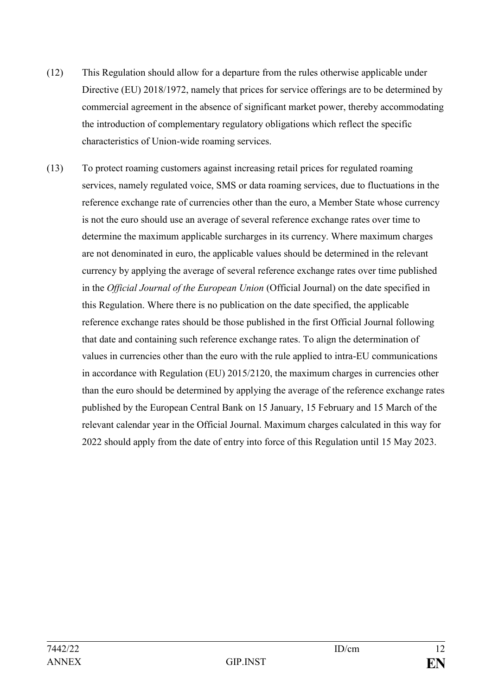- (12) This Regulation should allow for a departure from the rules otherwise applicable under Directive (EU) 2018/1972, namely that prices for service offerings are to be determined by commercial agreement in the absence of significant market power, thereby accommodating the introduction of complementary regulatory obligations which reflect the specific characteristics of Union-wide roaming services.
- (13) To protect roaming customers against increasing retail prices for regulated roaming services, namely regulated voice, SMS or data roaming services, due to fluctuations in the reference exchange rate of currencies other than the euro, a Member State whose currency is not the euro should use an average of several reference exchange rates over time to determine the maximum applicable surcharges in its currency. Where maximum charges are not denominated in euro, the applicable values should be determined in the relevant currency by applying the average of several reference exchange rates over time published in the *Official Journal of the European Union* (Official Journal) on the date specified in this Regulation. Where there is no publication on the date specified, the applicable reference exchange rates should be those published in the first Official Journal following that date and containing such reference exchange rates. To align the determination of values in currencies other than the euro with the rule applied to intra-EU communications in accordance with Regulation (EU) 2015/2120, the maximum charges in currencies other than the euro should be determined by applying the average of the reference exchange rates published by the European Central Bank on 15 January, 15 February and 15 March of the relevant calendar year in the Official Journal. Maximum charges calculated in this way for 2022 should apply from the date of entry into force of this Regulation until 15 May 2023.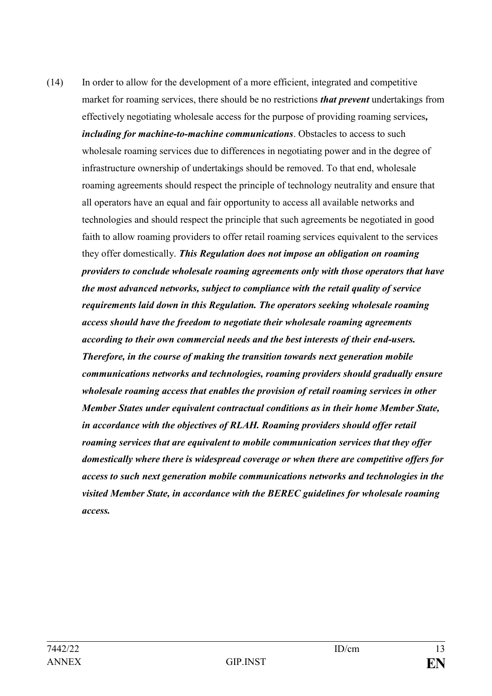(14) In order to allow for the development of a more efficient, integrated and competitive market for roaming services, there should be no restrictions *that prevent* undertakings from effectively negotiating wholesale access for the purpose of providing roaming services*, including for machine-to-machine communications*. Obstacles to access to such wholesale roaming services due to differences in negotiating power and in the degree of infrastructure ownership of undertakings should be removed. To that end, wholesale roaming agreements should respect the principle of technology neutrality and ensure that all operators have an equal and fair opportunity to access all available networks and technologies and should respect the principle that such agreements be negotiated in good faith to allow roaming providers to offer retail roaming services equivalent to the services they offer domestically. *This Regulation does not impose an obligation on roaming providers to conclude wholesale roaming agreements only with those operators that have the most advanced networks, subject to compliance with the retail quality of service requirements laid down in this Regulation. The operators seeking wholesale roaming access should have the freedom to negotiate their wholesale roaming agreements according to their own commercial needs and the best interests of their end-users. Therefore, in the course of making the transition towards next generation mobile communications networks and technologies, roaming providers should gradually ensure wholesale roaming access that enables the provision of retail roaming services in other Member States under equivalent contractual conditions as in their home Member State, in accordance with the objectives of RLAH. Roaming providers should offer retail roaming services that are equivalent to mobile communication services that they offer domestically where there is widespread coverage or when there are competitive offers for access to such next generation mobile communications networks and technologies in the visited Member State, in accordance with the BEREC guidelines for wholesale roaming access.*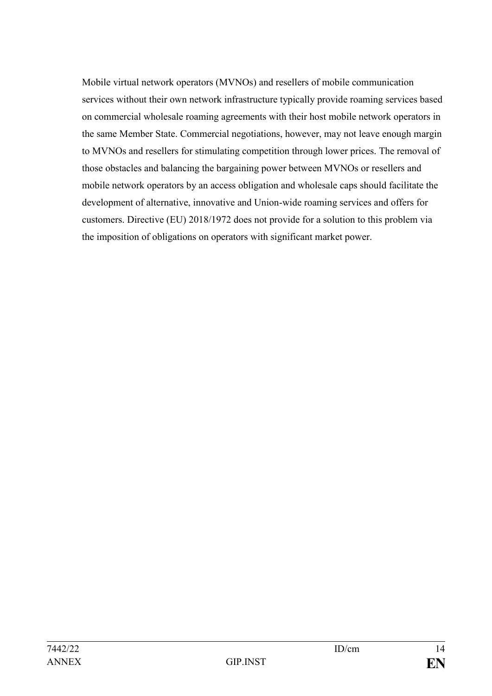Mobile virtual network operators (MVNOs) and resellers of mobile communication services without their own network infrastructure typically provide roaming services based on commercial wholesale roaming agreements with their host mobile network operators in the same Member State. Commercial negotiations, however, may not leave enough margin to MVNOs and resellers for stimulating competition through lower prices. The removal of those obstacles and balancing the bargaining power between MVNOs or resellers and mobile network operators by an access obligation and wholesale caps should facilitate the development of alternative, innovative and Union-wide roaming services and offers for customers. Directive (EU) 2018/1972 does not provide for a solution to this problem via the imposition of obligations on operators with significant market power.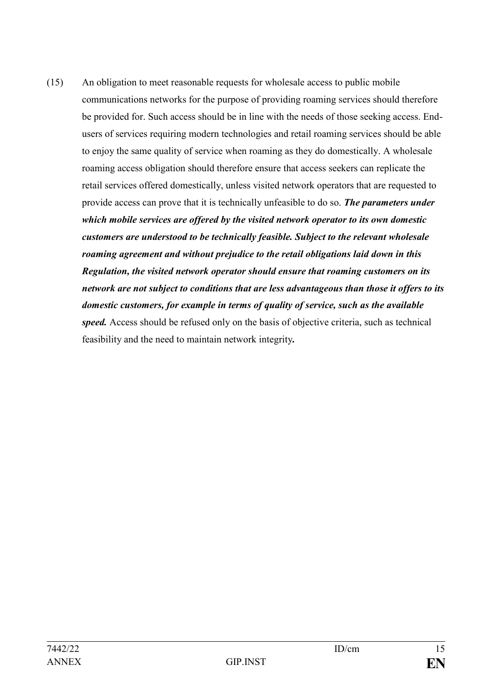(15) An obligation to meet reasonable requests for wholesale access to public mobile communications networks for the purpose of providing roaming services should therefore be provided for. Such access should be in line with the needs of those seeking access. Endusers of services requiring modern technologies and retail roaming services should be able to enjoy the same quality of service when roaming as they do domestically. A wholesale roaming access obligation should therefore ensure that access seekers can replicate the retail services offered domestically, unless visited network operators that are requested to provide access can prove that it is technically unfeasible to do so. *The parameters under which mobile services are offered by the visited network operator to its own domestic customers are understood to be technically feasible. Subject to the relevant wholesale roaming agreement and without prejudice to the retail obligations laid down in this Regulation, the visited network operator should ensure that roaming customers on its network are not subject to conditions that are less advantageous than those it offers to its domestic customers, for example in terms of quality of service, such as the available speed.* Access should be refused only on the basis of objective criteria, such as technical feasibility and the need to maintain network integrity*.*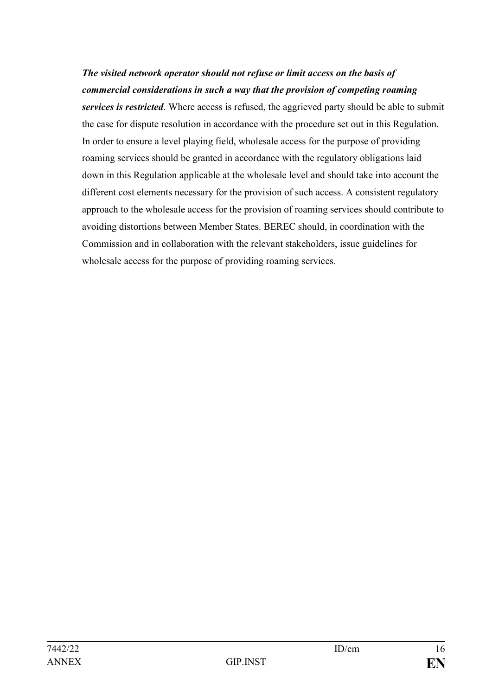# *The visited network operator should not refuse or limit access on the basis of commercial considerations in such a way that the provision of competing roaming*

*services is restricted*. Where access is refused, the aggrieved party should be able to submit the case for dispute resolution in accordance with the procedure set out in this Regulation. In order to ensure a level playing field, wholesale access for the purpose of providing roaming services should be granted in accordance with the regulatory obligations laid down in this Regulation applicable at the wholesale level and should take into account the different cost elements necessary for the provision of such access. A consistent regulatory approach to the wholesale access for the provision of roaming services should contribute to avoiding distortions between Member States. BEREC should, in coordination with the Commission and in collaboration with the relevant stakeholders, issue guidelines for wholesale access for the purpose of providing roaming services.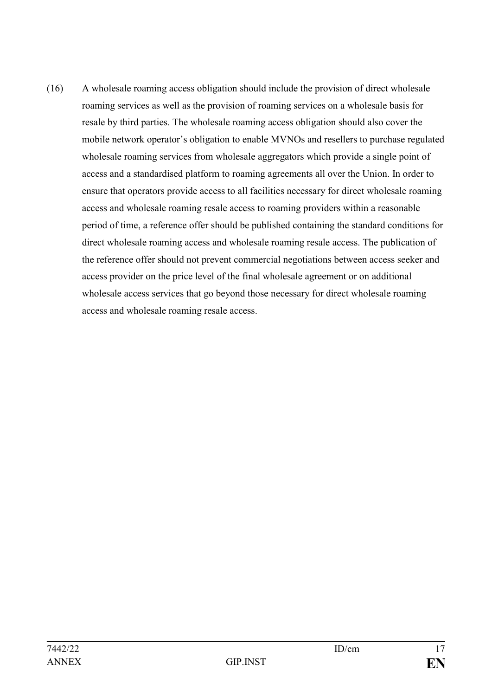(16) A wholesale roaming access obligation should include the provision of direct wholesale roaming services as well as the provision of roaming services on a wholesale basis for resale by third parties. The wholesale roaming access obligation should also cover the mobile network operator's obligation to enable MVNOs and resellers to purchase regulated wholesale roaming services from wholesale aggregators which provide a single point of access and a standardised platform to roaming agreements all over the Union. In order to ensure that operators provide access to all facilities necessary for direct wholesale roaming access and wholesale roaming resale access to roaming providers within a reasonable period of time, a reference offer should be published containing the standard conditions for direct wholesale roaming access and wholesale roaming resale access. The publication of the reference offer should not prevent commercial negotiations between access seeker and access provider on the price level of the final wholesale agreement or on additional wholesale access services that go beyond those necessary for direct wholesale roaming access and wholesale roaming resale access.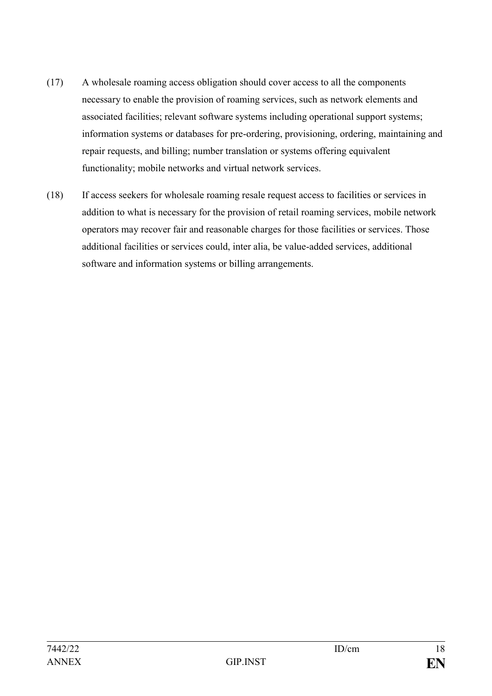- (17) A wholesale roaming access obligation should cover access to all the components necessary to enable the provision of roaming services, such as network elements and associated facilities; relevant software systems including operational support systems; information systems or databases for pre-ordering, provisioning, ordering, maintaining and repair requests, and billing; number translation or systems offering equivalent functionality; mobile networks and virtual network services.
- (18) If access seekers for wholesale roaming resale request access to facilities or services in addition to what is necessary for the provision of retail roaming services, mobile network operators may recover fair and reasonable charges for those facilities or services. Those additional facilities or services could, inter alia, be value-added services, additional software and information systems or billing arrangements.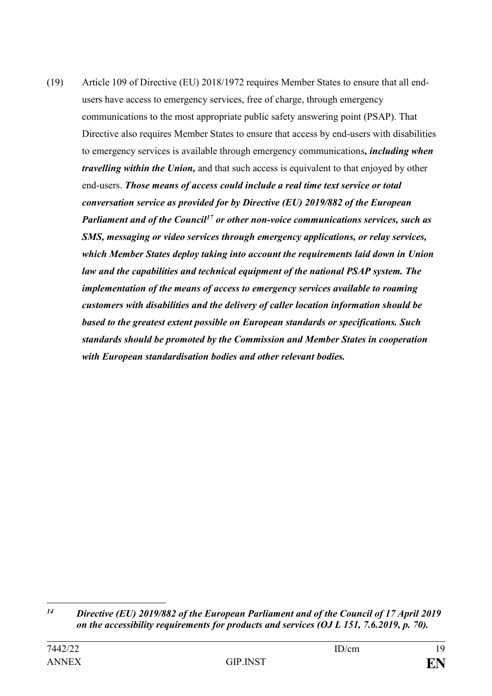(19) Article 109 of Directive (EU) 2018/1972 requires Member States to ensure that all endusers have access to emergency services, free of charge, through emergency communications to the most appropriate public safety answering point (PSAP). That Directive also requires Member States to ensure that access by end-users with disabilities to emergency services is available through emergency communications*, including when travelling within the Union,* and that such access is equivalent to that enjoyed by other end-users. *Those means of access could include a real time text service or total conversation service as provided for by Directive (EU) 2019/882 of the European Parliament and of the Council<sup>17</sup> or other non-voice communications services, such as SMS, messaging or video services through emergency applications, or relay services, which Member States deploy taking into account the requirements laid down in Union law and the capabilities and technical equipment of the national PSAP system. The implementation of the means of access to emergency services available to roaming customers with disabilities and the delivery of caller location information should be based to the greatest extent possible on European standards or specifications. Such standards should be promoted by the Commission and Member States in cooperation with European standardisation bodies and other relevant bodies.* 

 $14$ *<sup>14</sup> Directive (EU) 2019/882 of the European Parliament and of the Council of 17 April 2019 on the accessibility requirements for products and services (OJ L 151, 7.6.2019, p. 70).*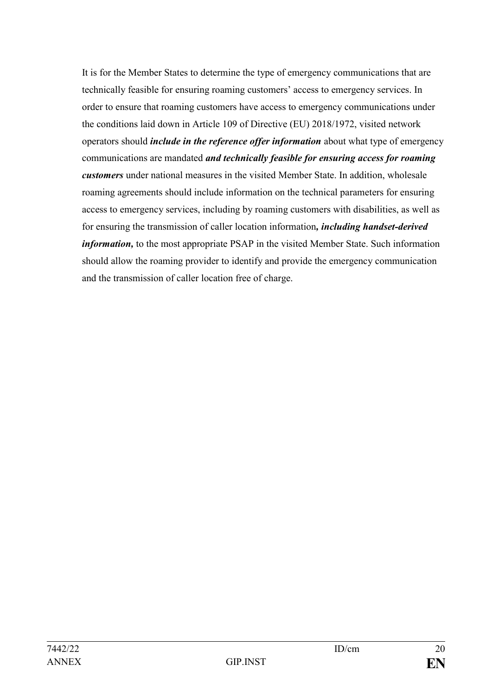It is for the Member States to determine the type of emergency communications that are technically feasible for ensuring roaming customers' access to emergency services. In order to ensure that roaming customers have access to emergency communications under the conditions laid down in Article 109 of Directive (EU) 2018/1972, visited network operators should *include in the reference offer information* about what type of emergency communications are mandated *and technically feasible for ensuring access for roaming customers* under national measures in the visited Member State. In addition, wholesale roaming agreements should include information on the technical parameters for ensuring access to emergency services, including by roaming customers with disabilities, as well as for ensuring the transmission of caller location information*, including handset-derived information,* to the most appropriate PSAP in the visited Member State. Such information should allow the roaming provider to identify and provide the emergency communication and the transmission of caller location free of charge.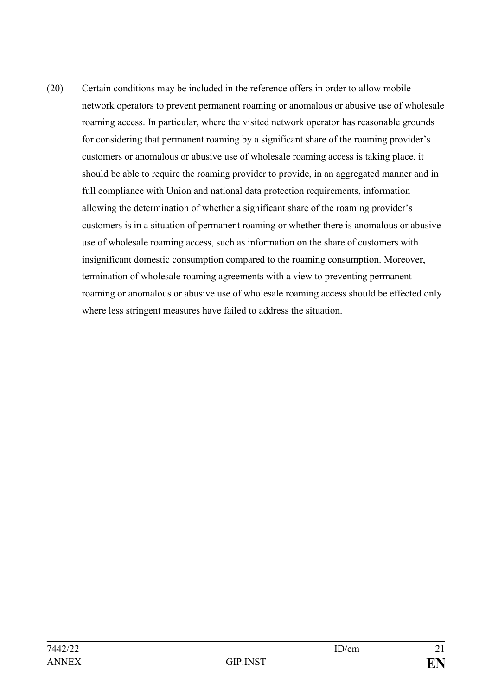(20) Certain conditions may be included in the reference offers in order to allow mobile network operators to prevent permanent roaming or anomalous or abusive use of wholesale roaming access. In particular, where the visited network operator has reasonable grounds for considering that permanent roaming by a significant share of the roaming provider's customers or anomalous or abusive use of wholesale roaming access is taking place, it should be able to require the roaming provider to provide, in an aggregated manner and in full compliance with Union and national data protection requirements, information allowing the determination of whether a significant share of the roaming provider's customers is in a situation of permanent roaming or whether there is anomalous or abusive use of wholesale roaming access, such as information on the share of customers with insignificant domestic consumption compared to the roaming consumption. Moreover, termination of wholesale roaming agreements with a view to preventing permanent roaming or anomalous or abusive use of wholesale roaming access should be effected only where less stringent measures have failed to address the situation.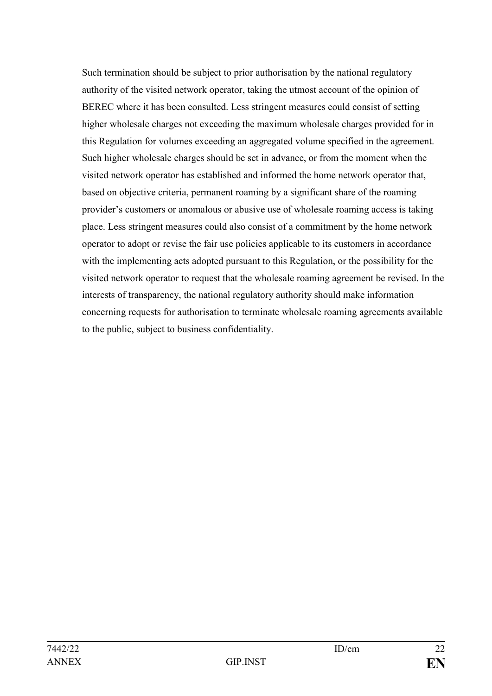Such termination should be subject to prior authorisation by the national regulatory authority of the visited network operator, taking the utmost account of the opinion of BEREC where it has been consulted. Less stringent measures could consist of setting higher wholesale charges not exceeding the maximum wholesale charges provided for in this Regulation for volumes exceeding an aggregated volume specified in the agreement. Such higher wholesale charges should be set in advance, or from the moment when the visited network operator has established and informed the home network operator that, based on objective criteria, permanent roaming by a significant share of the roaming provider's customers or anomalous or abusive use of wholesale roaming access is taking place. Less stringent measures could also consist of a commitment by the home network operator to adopt or revise the fair use policies applicable to its customers in accordance with the implementing acts adopted pursuant to this Regulation, or the possibility for the visited network operator to request that the wholesale roaming agreement be revised. In the interests of transparency, the national regulatory authority should make information concerning requests for authorisation to terminate wholesale roaming agreements available to the public, subject to business confidentiality.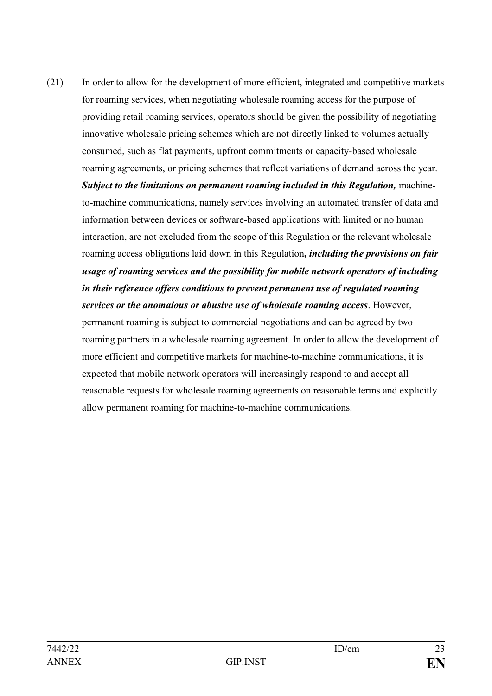(21) In order to allow for the development of more efficient, integrated and competitive markets for roaming services, when negotiating wholesale roaming access for the purpose of providing retail roaming services, operators should be given the possibility of negotiating innovative wholesale pricing schemes which are not directly linked to volumes actually consumed, such as flat payments, upfront commitments or capacity-based wholesale roaming agreements, or pricing schemes that reflect variations of demand across the year. *Subject to the limitations on permanent roaming included in this Regulation, machine*to-machine communications, namely services involving an automated transfer of data and information between devices or software-based applications with limited or no human interaction, are not excluded from the scope of this Regulation or the relevant wholesale roaming access obligations laid down in this Regulation*, including the provisions on fair usage of roaming services and the possibility for mobile network operators of including in their reference offers conditions to prevent permanent use of regulated roaming services or the anomalous or abusive use of wholesale roaming access*. However, permanent roaming is subject to commercial negotiations and can be agreed by two roaming partners in a wholesale roaming agreement. In order to allow the development of more efficient and competitive markets for machine-to-machine communications, it is expected that mobile network operators will increasingly respond to and accept all reasonable requests for wholesale roaming agreements on reasonable terms and explicitly allow permanent roaming for machine-to-machine communications.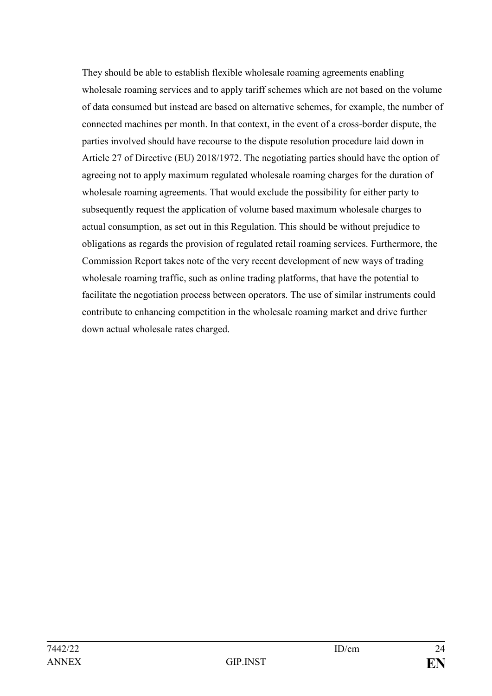They should be able to establish flexible wholesale roaming agreements enabling wholesale roaming services and to apply tariff schemes which are not based on the volume of data consumed but instead are based on alternative schemes, for example, the number of connected machines per month. In that context, in the event of a cross-border dispute, the parties involved should have recourse to the dispute resolution procedure laid down in Article 27 of Directive (EU) 2018/1972. The negotiating parties should have the option of agreeing not to apply maximum regulated wholesale roaming charges for the duration of wholesale roaming agreements. That would exclude the possibility for either party to subsequently request the application of volume based maximum wholesale charges to actual consumption, as set out in this Regulation. This should be without prejudice to obligations as regards the provision of regulated retail roaming services. Furthermore, the Commission Report takes note of the very recent development of new ways of trading wholesale roaming traffic, such as online trading platforms, that have the potential to facilitate the negotiation process between operators. The use of similar instruments could contribute to enhancing competition in the wholesale roaming market and drive further down actual wholesale rates charged.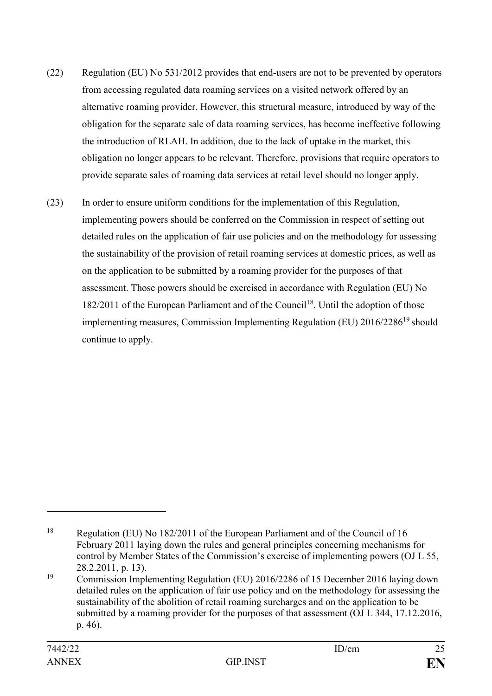- (22) Regulation (EU) No 531/2012 provides that end-users are not to be prevented by operators from accessing regulated data roaming services on a visited network offered by an alternative roaming provider. However, this structural measure, introduced by way of the obligation for the separate sale of data roaming services, has become ineffective following the introduction of RLAH. In addition, due to the lack of uptake in the market, this obligation no longer appears to be relevant. Therefore, provisions that require operators to provide separate sales of roaming data services at retail level should no longer apply.
- (23) In order to ensure uniform conditions for the implementation of this Regulation, implementing powers should be conferred on the Commission in respect of setting out detailed rules on the application of fair use policies and on the methodology for assessing the sustainability of the provision of retail roaming services at domestic prices, as well as on the application to be submitted by a roaming provider for the purposes of that assessment. Those powers should be exercised in accordance with Regulation (EU) No  $182/2011$  of the European Parliament and of the Council<sup>18</sup>. Until the adoption of those implementing measures, Commission Implementing Regulation (EU) 2016/2286<sup>19</sup> should continue to apply.

1

<sup>&</sup>lt;sup>18</sup> Regulation (EU) No 182/2011 of the European Parliament and of the Council of 16 February 2011 laying down the rules and general principles concerning mechanisms for control by Member States of the Commission's exercise of implementing powers (OJ L 55, 28.2.2011, p. 13).

<sup>19</sup> Commission Implementing Regulation (EU) 2016/2286 of 15 December 2016 laying down detailed rules on the application of fair use policy and on the methodology for assessing the sustainability of the abolition of retail roaming surcharges and on the application to be submitted by a roaming provider for the purposes of that assessment (OJ L 344, 17.12.2016, p. 46).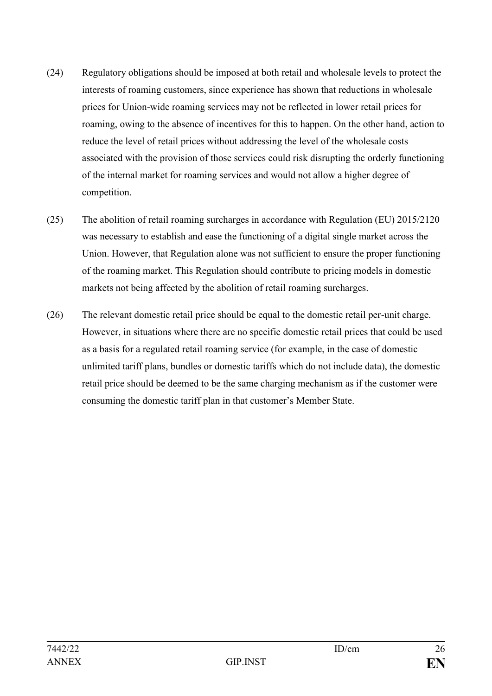- (24) Regulatory obligations should be imposed at both retail and wholesale levels to protect the interests of roaming customers, since experience has shown that reductions in wholesale prices for Union-wide roaming services may not be reflected in lower retail prices for roaming, owing to the absence of incentives for this to happen. On the other hand, action to reduce the level of retail prices without addressing the level of the wholesale costs associated with the provision of those services could risk disrupting the orderly functioning of the internal market for roaming services and would not allow a higher degree of competition.
- (25) The abolition of retail roaming surcharges in accordance with Regulation (EU) 2015/2120 was necessary to establish and ease the functioning of a digital single market across the Union. However, that Regulation alone was not sufficient to ensure the proper functioning of the roaming market. This Regulation should contribute to pricing models in domestic markets not being affected by the abolition of retail roaming surcharges.
- (26) The relevant domestic retail price should be equal to the domestic retail per-unit charge. However, in situations where there are no specific domestic retail prices that could be used as a basis for a regulated retail roaming service (for example, in the case of domestic unlimited tariff plans, bundles or domestic tariffs which do not include data), the domestic retail price should be deemed to be the same charging mechanism as if the customer were consuming the domestic tariff plan in that customer's Member State.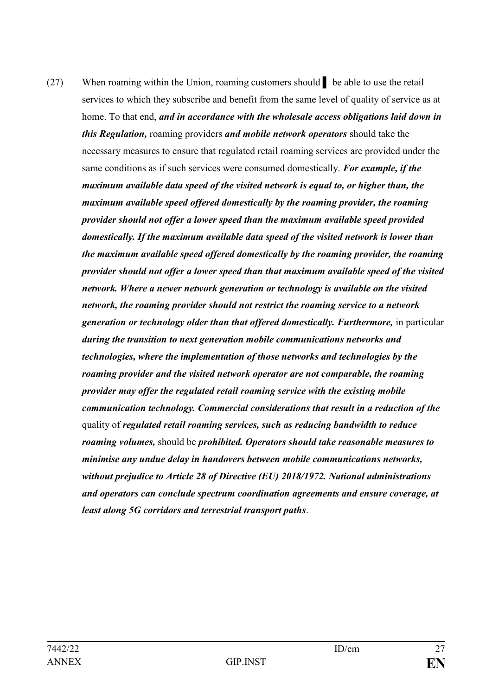(27) When roaming within the Union, roaming customers should ▌ be able to use the retail services to which they subscribe and benefit from the same level of quality of service as at home. To that end, *and in accordance with the wholesale access obligations laid down in this Regulation,* roaming providers *and mobile network operators* should take the necessary measures to ensure that regulated retail roaming services are provided under the same conditions as if such services were consumed domestically. *For example, if the maximum available data speed of the visited network is equal to, or higher than, the maximum available speed offered domestically by the roaming provider, the roaming provider should not offer a lower speed than the maximum available speed provided domestically. If the maximum available data speed of the visited network is lower than the maximum available speed offered domestically by the roaming provider, the roaming provider should not offer a lower speed than that maximum available speed of the visited network. Where a newer network generation or technology is available on the visited network, the roaming provider should not restrict the roaming service to a network generation or technology older than that offered domestically. Furthermore,* in particular *during the transition to next generation mobile communications networks and technologies, where the implementation of those networks and technologies by the roaming provider and the visited network operator are not comparable, the roaming provider may offer the regulated retail roaming service with the existing mobile communication technology. Commercial considerations that result in a reduction of the*  quality of *regulated retail roaming services, such as reducing bandwidth to reduce roaming volumes,* should be *prohibited. Operators should take reasonable measures to minimise any undue delay in handovers between mobile communications networks, without prejudice to Article 28 of Directive (EU) 2018/1972. National administrations and operators can conclude spectrum coordination agreements and ensure coverage, at least along 5G corridors and terrestrial transport paths*.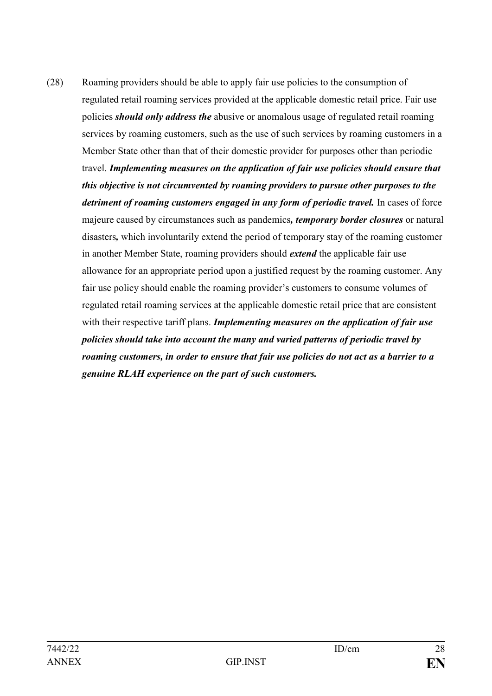(28) Roaming providers should be able to apply fair use policies to the consumption of regulated retail roaming services provided at the applicable domestic retail price. Fair use policies *should only address the* abusive or anomalous usage of regulated retail roaming services by roaming customers, such as the use of such services by roaming customers in a Member State other than that of their domestic provider for purposes other than periodic travel. *Implementing measures on the application of fair use policies should ensure that this objective is not circumvented by roaming providers to pursue other purposes to the detriment of roaming customers engaged in any form of periodic travel.* In cases of force majeure caused by circumstances such as pandemics*, temporary border closures* or natural disasters*,* which involuntarily extend the period of temporary stay of the roaming customer in another Member State, roaming providers should *extend* the applicable fair use allowance for an appropriate period upon a justified request by the roaming customer. Any fair use policy should enable the roaming provider's customers to consume volumes of regulated retail roaming services at the applicable domestic retail price that are consistent with their respective tariff plans. *Implementing measures on the application of fair use policies should take into account the many and varied patterns of periodic travel by roaming customers, in order to ensure that fair use policies do not act as a barrier to a genuine RLAH experience on the part of such customers.*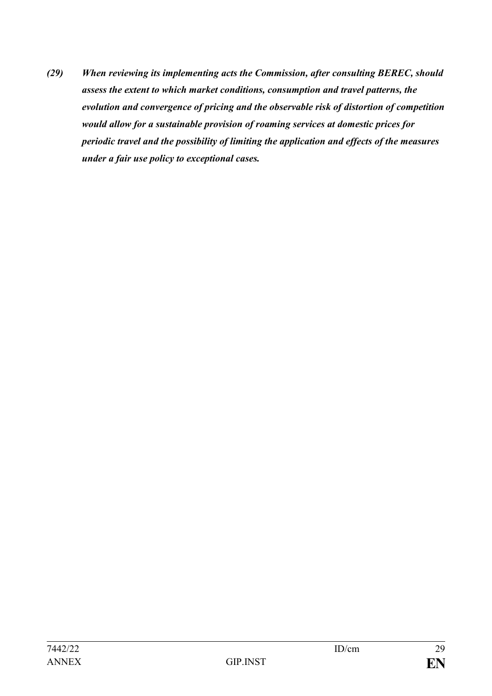*(29) When reviewing its implementing acts the Commission, after consulting BEREC, should assess the extent to which market conditions, consumption and travel patterns, the evolution and convergence of pricing and the observable risk of distortion of competition would allow for a sustainable provision of roaming services at domestic prices for periodic travel and the possibility of limiting the application and effects of the measures under a fair use policy to exceptional cases.*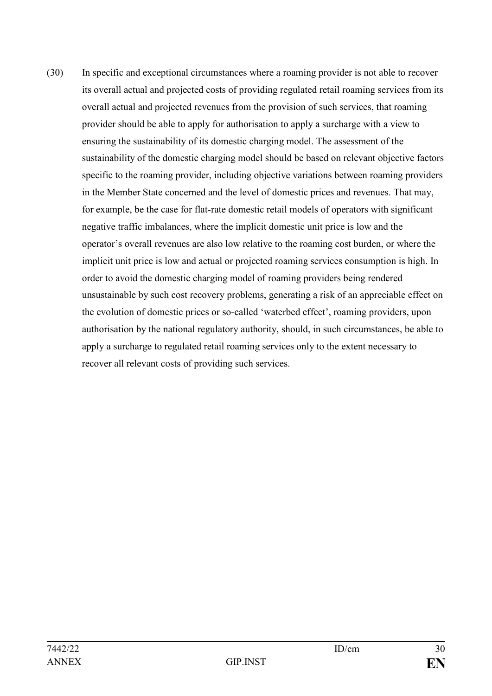(30) In specific and exceptional circumstances where a roaming provider is not able to recover its overall actual and projected costs of providing regulated retail roaming services from its overall actual and projected revenues from the provision of such services, that roaming provider should be able to apply for authorisation to apply a surcharge with a view to ensuring the sustainability of its domestic charging model. The assessment of the sustainability of the domestic charging model should be based on relevant objective factors specific to the roaming provider, including objective variations between roaming providers in the Member State concerned and the level of domestic prices and revenues. That may, for example, be the case for flat-rate domestic retail models of operators with significant negative traffic imbalances, where the implicit domestic unit price is low and the operator's overall revenues are also low relative to the roaming cost burden, or where the implicit unit price is low and actual or projected roaming services consumption is high. In order to avoid the domestic charging model of roaming providers being rendered unsustainable by such cost recovery problems, generating a risk of an appreciable effect on the evolution of domestic prices or so-called 'waterbed effect', roaming providers, upon authorisation by the national regulatory authority, should, in such circumstances, be able to apply a surcharge to regulated retail roaming services only to the extent necessary to recover all relevant costs of providing such services.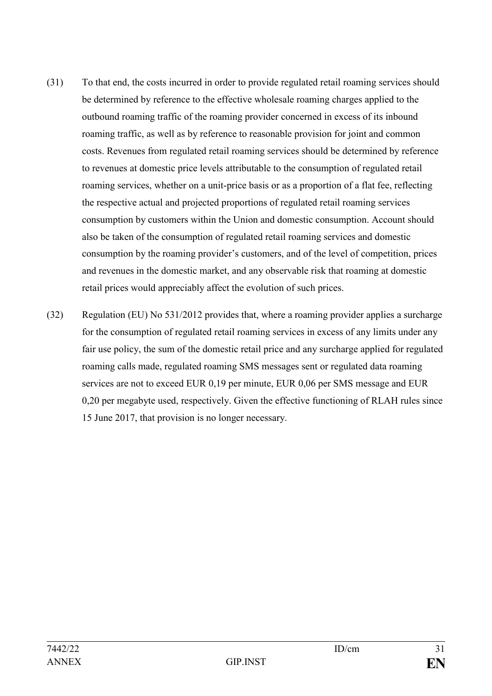- (31) To that end, the costs incurred in order to provide regulated retail roaming services should be determined by reference to the effective wholesale roaming charges applied to the outbound roaming traffic of the roaming provider concerned in excess of its inbound roaming traffic, as well as by reference to reasonable provision for joint and common costs. Revenues from regulated retail roaming services should be determined by reference to revenues at domestic price levels attributable to the consumption of regulated retail roaming services, whether on a unit-price basis or as a proportion of a flat fee, reflecting the respective actual and projected proportions of regulated retail roaming services consumption by customers within the Union and domestic consumption. Account should also be taken of the consumption of regulated retail roaming services and domestic consumption by the roaming provider's customers, and of the level of competition, prices and revenues in the domestic market, and any observable risk that roaming at domestic retail prices would appreciably affect the evolution of such prices.
- (32) Regulation (EU) No 531/2012 provides that, where a roaming provider applies a surcharge for the consumption of regulated retail roaming services in excess of any limits under any fair use policy, the sum of the domestic retail price and any surcharge applied for regulated roaming calls made, regulated roaming SMS messages sent or regulated data roaming services are not to exceed EUR 0,19 per minute, EUR 0,06 per SMS message and EUR 0,20 per megabyte used, respectively. Given the effective functioning of RLAH rules since 15 June 2017, that provision is no longer necessary.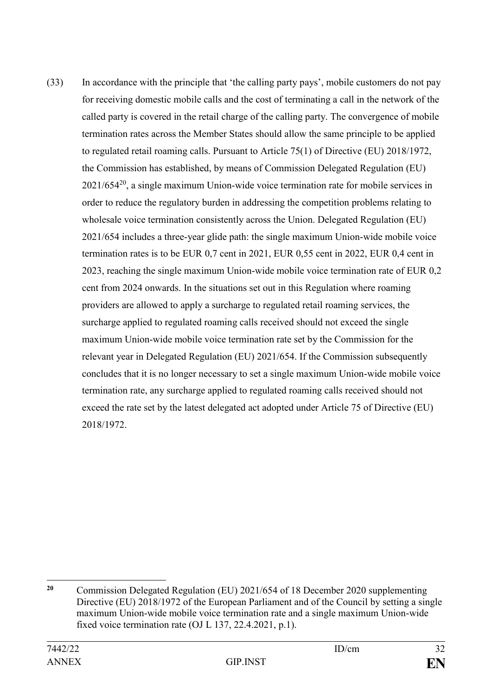(33) In accordance with the principle that 'the calling party pays', mobile customers do not pay for receiving domestic mobile calls and the cost of terminating a call in the network of the called party is covered in the retail charge of the calling party. The convergence of mobile termination rates across the Member States should allow the same principle to be applied to regulated retail roaming calls. Pursuant to Article 75(1) of Directive (EU) 2018/1972, the Commission has established, by means of Commission Delegated Regulation (EU) 2021/654<sup>20</sup>, a single maximum Union-wide voice termination rate for mobile services in order to reduce the regulatory burden in addressing the competition problems relating to wholesale voice termination consistently across the Union. Delegated Regulation (EU) 2021/654 includes a three-year glide path: the single maximum Union-wide mobile voice termination rates is to be EUR 0,7 cent in 2021, EUR 0,55 cent in 2022, EUR 0,4 cent in 2023, reaching the single maximum Union-wide mobile voice termination rate of EUR 0,2 cent from 2024 onwards. In the situations set out in this Regulation where roaming providers are allowed to apply a surcharge to regulated retail roaming services, the surcharge applied to regulated roaming calls received should not exceed the single maximum Union-wide mobile voice termination rate set by the Commission for the relevant year in Delegated Regulation (EU) 2021/654. If the Commission subsequently concludes that it is no longer necessary to set a single maximum Union-wide mobile voice termination rate, any surcharge applied to regulated roaming calls received should not exceed the rate set by the latest delegated act adopted under Article 75 of Directive (EU) 2018/1972.

<sup>1</sup> **<sup>20</sup>** Commission Delegated Regulation (EU) 2021/654 of 18 December 2020 supplementing Directive (EU) 2018/1972 of the European Parliament and of the Council by setting a single maximum Union-wide mobile voice termination rate and a single maximum Union-wide fixed voice termination rate (OJ L 137, 22.4.2021, p.1).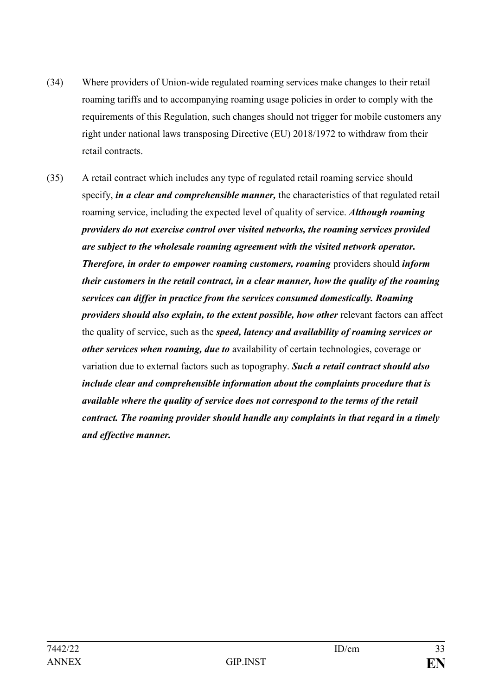- (34) Where providers of Union-wide regulated roaming services make changes to their retail roaming tariffs and to accompanying roaming usage policies in order to comply with the requirements of this Regulation, such changes should not trigger for mobile customers any right under national laws transposing Directive (EU) 2018/1972 to withdraw from their retail contracts.
- (35) A retail contract which includes any type of regulated retail roaming service should specify, *in a clear and comprehensible manner,* the characteristics of that regulated retail roaming service, including the expected level of quality of service. *Although roaming providers do not exercise control over visited networks, the roaming services provided are subject to the wholesale roaming agreement with the visited network operator. Therefore, in order to empower roaming customers, roaming* providers should *inform their customers in the retail contract, in a clear manner, how the quality of the roaming services can differ in practice from the services consumed domestically. Roaming providers should also explain, to the extent possible, how other* relevant factors can affect the quality of service, such as the *speed, latency and availability of roaming services or other services when roaming, due to* availability of certain technologies, coverage or variation due to external factors such as topography. *Such a retail contract should also include clear and comprehensible information about the complaints procedure that is available where the quality of service does not correspond to the terms of the retail contract. The roaming provider should handle any complaints in that regard in a timely and effective manner.*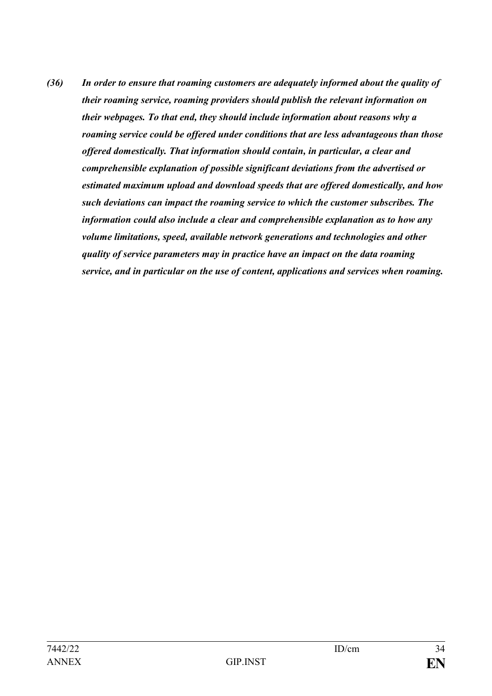*(36) In order to ensure that roaming customers are adequately informed about the quality of their roaming service, roaming providers should publish the relevant information on their webpages. To that end, they should include information about reasons why a roaming service could be offered under conditions that are less advantageous than those offered domestically. That information should contain, in particular, a clear and comprehensible explanation of possible significant deviations from the advertised or estimated maximum upload and download speeds that are offered domestically, and how such deviations can impact the roaming service to which the customer subscribes. The information could also include a clear and comprehensible explanation as to how any volume limitations, speed, available network generations and technologies and other quality of service parameters may in practice have an impact on the data roaming service, and in particular on the use of content, applications and services when roaming.*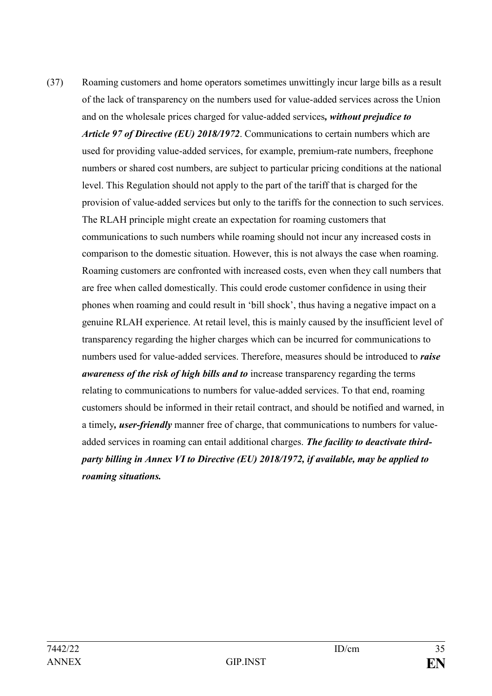(37) Roaming customers and home operators sometimes unwittingly incur large bills as a result of the lack of transparency on the numbers used for value-added services across the Union and on the wholesale prices charged for value-added services*, without prejudice to Article 97 of Directive (EU) 2018/1972*. Communications to certain numbers which are used for providing value-added services, for example, premium-rate numbers, freephone numbers or shared cost numbers, are subject to particular pricing conditions at the national level. This Regulation should not apply to the part of the tariff that is charged for the provision of value-added services but only to the tariffs for the connection to such services. The RLAH principle might create an expectation for roaming customers that communications to such numbers while roaming should not incur any increased costs in comparison to the domestic situation. However, this is not always the case when roaming. Roaming customers are confronted with increased costs, even when they call numbers that are free when called domestically. This could erode customer confidence in using their phones when roaming and could result in 'bill shock', thus having a negative impact on a genuine RLAH experience. At retail level, this is mainly caused by the insufficient level of transparency regarding the higher charges which can be incurred for communications to numbers used for value-added services. Therefore, measures should be introduced to *raise awareness of the risk of high bills and to* increase transparency regarding the terms relating to communications to numbers for value-added services. To that end, roaming customers should be informed in their retail contract, and should be notified and warned, in a timely*, user-friendly* manner free of charge, that communications to numbers for valueadded services in roaming can entail additional charges. *The facility to deactivate thirdparty billing in Annex VI to Directive (EU) 2018/1972, if available, may be applied to roaming situations.*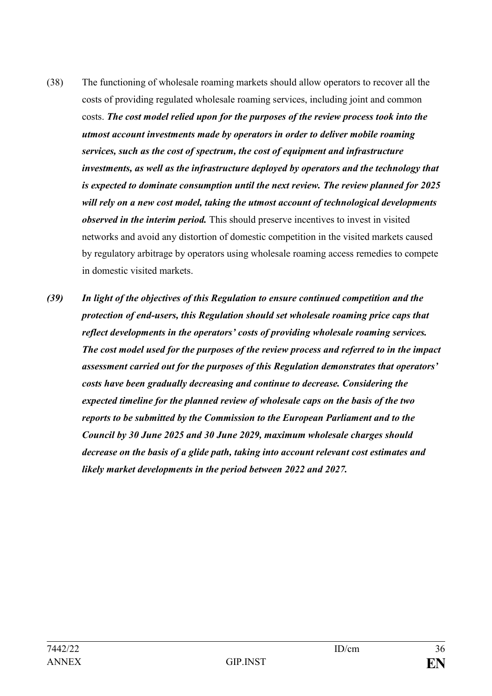- (38) The functioning of wholesale roaming markets should allow operators to recover all the costs of providing regulated wholesale roaming services, including joint and common costs. *The cost model relied upon for the purposes of the review process took into the utmost account investments made by operators in order to deliver mobile roaming services, such as the cost of spectrum, the cost of equipment and infrastructure investments, as well as the infrastructure deployed by operators and the technology that is expected to dominate consumption until the next review. The review planned for 2025 will rely on a new cost model, taking the utmost account of technological developments observed in the interim period.* This should preserve incentives to invest in visited networks and avoid any distortion of domestic competition in the visited markets caused by regulatory arbitrage by operators using wholesale roaming access remedies to compete in domestic visited markets.
- *(39) In light of the objectives of this Regulation to ensure continued competition and the protection of end-users, this Regulation should set wholesale roaming price caps that reflect developments in the operators' costs of providing wholesale roaming services. The cost model used for the purposes of the review process and referred to in the impact assessment carried out for the purposes of this Regulation demonstrates that operators' costs have been gradually decreasing and continue to decrease. Considering the expected timeline for the planned review of wholesale caps on the basis of the two reports to be submitted by the Commission to the European Parliament and to the Council by 30 June 2025 and 30 June 2029, maximum wholesale charges should decrease on the basis of a glide path, taking into account relevant cost estimates and likely market developments in the period between 2022 and 2027.*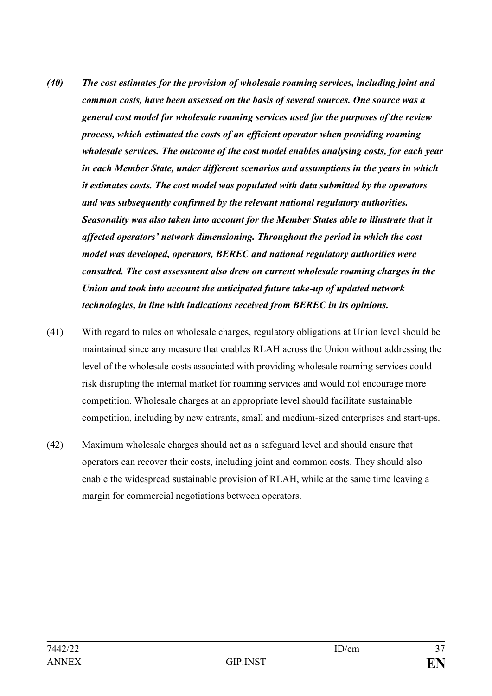- *(40) The cost estimates for the provision of wholesale roaming services, including joint and common costs, have been assessed on the basis of several sources. One source was a general cost model for wholesale roaming services used for the purposes of the review process, which estimated the costs of an efficient operator when providing roaming wholesale services. The outcome of the cost model enables analysing costs, for each year in each Member State, under different scenarios and assumptions in the years in which it estimates costs. The cost model was populated with data submitted by the operators and was subsequently confirmed by the relevant national regulatory authorities. Seasonality was also taken into account for the Member States able to illustrate that it affected operators' network dimensioning. Throughout the period in which the cost model was developed, operators, BEREC and national regulatory authorities were consulted. The cost assessment also drew on current wholesale roaming charges in the Union and took into account the anticipated future take-up of updated network technologies, in line with indications received from BEREC in its opinions.*
- (41) With regard to rules on wholesale charges, regulatory obligations at Union level should be maintained since any measure that enables RLAH across the Union without addressing the level of the wholesale costs associated with providing wholesale roaming services could risk disrupting the internal market for roaming services and would not encourage more competition. Wholesale charges at an appropriate level should facilitate sustainable competition, including by new entrants, small and medium-sized enterprises and start-ups.
- (42) Maximum wholesale charges should act as a safeguard level and should ensure that operators can recover their costs, including joint and common costs. They should also enable the widespread sustainable provision of RLAH, while at the same time leaving a margin for commercial negotiations between operators.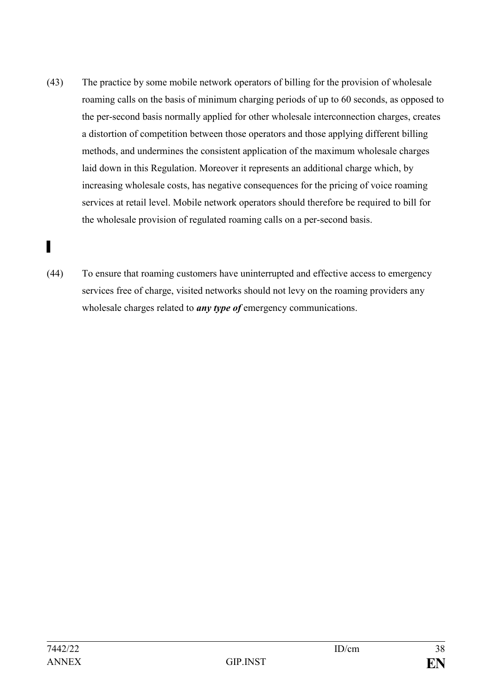- (43) The practice by some mobile network operators of billing for the provision of wholesale roaming calls on the basis of minimum charging periods of up to 60 seconds, as opposed to the per-second basis normally applied for other wholesale interconnection charges, creates a distortion of competition between those operators and those applying different billing methods, and undermines the consistent application of the maximum wholesale charges laid down in this Regulation. Moreover it represents an additional charge which, by increasing wholesale costs, has negative consequences for the pricing of voice roaming services at retail level. Mobile network operators should therefore be required to bill for the wholesale provision of regulated roaming calls on a per-second basis.
- ▌
- (44) To ensure that roaming customers have uninterrupted and effective access to emergency services free of charge, visited networks should not levy on the roaming providers any wholesale charges related to *any type of* emergency communications.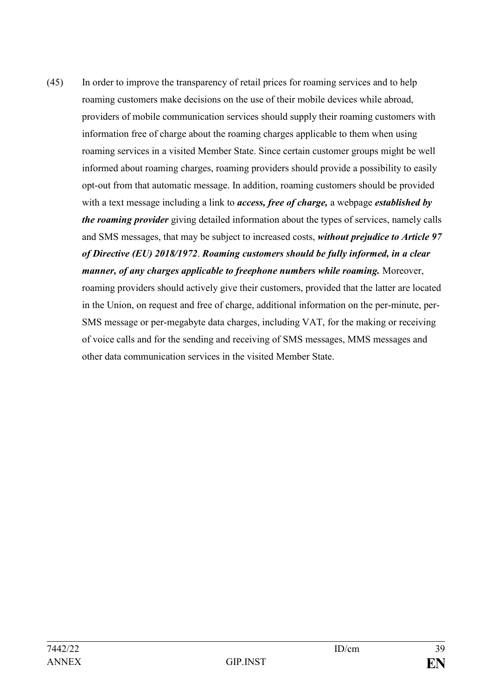(45) In order to improve the transparency of retail prices for roaming services and to help roaming customers make decisions on the use of their mobile devices while abroad, providers of mobile communication services should supply their roaming customers with information free of charge about the roaming charges applicable to them when using roaming services in a visited Member State. Since certain customer groups might be well informed about roaming charges, roaming providers should provide a possibility to easily opt-out from that automatic message. In addition, roaming customers should be provided with a text message including a link to *access, free of charge,* a webpage *established by the roaming provider* giving detailed information about the types of services, namely calls and SMS messages, that may be subject to increased costs, *without prejudice to Article 97 of Directive (EU) 2018/1972*. *Roaming customers should be fully informed, in a clear manner, of any charges applicable to freephone numbers while roaming.* Moreover, roaming providers should actively give their customers, provided that the latter are located in the Union, on request and free of charge, additional information on the per-minute, per-SMS message or per-megabyte data charges, including VAT, for the making or receiving of voice calls and for the sending and receiving of SMS messages, MMS messages and other data communication services in the visited Member State.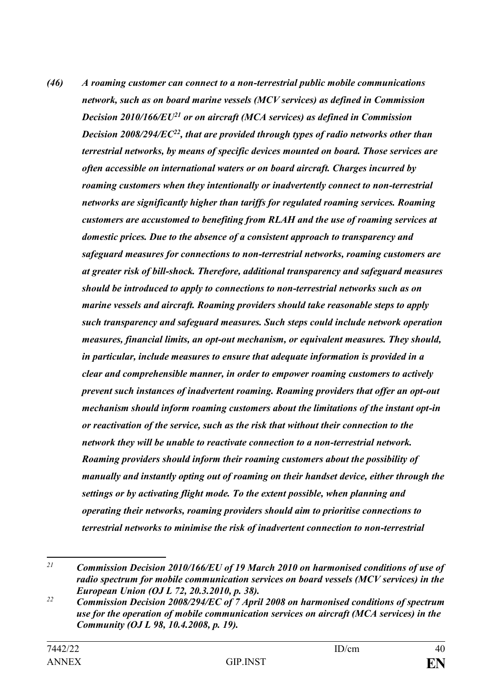*(46) A roaming customer can connect to a non-terrestrial public mobile communications network, such as on board marine vessels (MCV services) as defined in Commission Decision 2010/166/EU<sup>21</sup> or on aircraft (MCA services) as defined in Commission Decision 2008/294/EC<sup>22</sup>, that are provided through types of radio networks other than terrestrial networks, by means of specific devices mounted on board. Those services are often accessible on international waters or on board aircraft. Charges incurred by roaming customers when they intentionally or inadvertently connect to non-terrestrial networks are significantly higher than tariffs for regulated roaming services. Roaming customers are accustomed to benefiting from RLAH and the use of roaming services at domestic prices. Due to the absence of a consistent approach to transparency and safeguard measures for connections to non-terrestrial networks, roaming customers are at greater risk of bill-shock. Therefore, additional transparency and safeguard measures should be introduced to apply to connections to non-terrestrial networks such as on marine vessels and aircraft. Roaming providers should take reasonable steps to apply such transparency and safeguard measures. Such steps could include network operation measures, financial limits, an opt-out mechanism, or equivalent measures. They should, in particular, include measures to ensure that adequate information is provided in a clear and comprehensible manner, in order to empower roaming customers to actively prevent such instances of inadvertent roaming. Roaming providers that offer an opt-out mechanism should inform roaming customers about the limitations of the instant opt-in or reactivation of the service, such as the risk that without their connection to the network they will be unable to reactivate connection to a non-terrestrial network. Roaming providers should inform their roaming customers about the possibility of manually and instantly opting out of roaming on their handset device, either through the settings or by activating flight mode. To the extent possible, when planning and operating their networks, roaming providers should aim to prioritise connections to terrestrial networks to minimise the risk of inadvertent connection to non-terrestrial* 

 $21$ *<sup>21</sup> Commission Decision 2010/166/EU of 19 March 2010 on harmonised conditions of use of radio spectrum for mobile communication services on board vessels (MCV services) in the European Union (OJ L 72, 20.3.2010, p. 38).*

*<sup>22</sup> Commission Decision 2008/294/EC of 7 April 2008 on harmonised conditions of spectrum use for the operation of mobile communication services on aircraft (MCA services) in the Community (OJ L 98, 10.4.2008, p. 19).*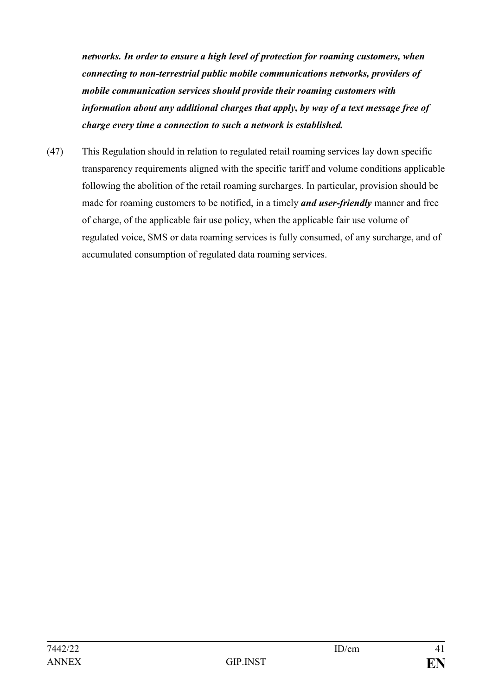*networks. In order to ensure a high level of protection for roaming customers, when connecting to non-terrestrial public mobile communications networks, providers of mobile communication services should provide their roaming customers with information about any additional charges that apply, by way of a text message free of charge every time a connection to such a network is established.* 

(47) This Regulation should in relation to regulated retail roaming services lay down specific transparency requirements aligned with the specific tariff and volume conditions applicable following the abolition of the retail roaming surcharges. In particular, provision should be made for roaming customers to be notified, in a timely *and user-friendly* manner and free of charge, of the applicable fair use policy, when the applicable fair use volume of regulated voice, SMS or data roaming services is fully consumed, of any surcharge, and of accumulated consumption of regulated data roaming services.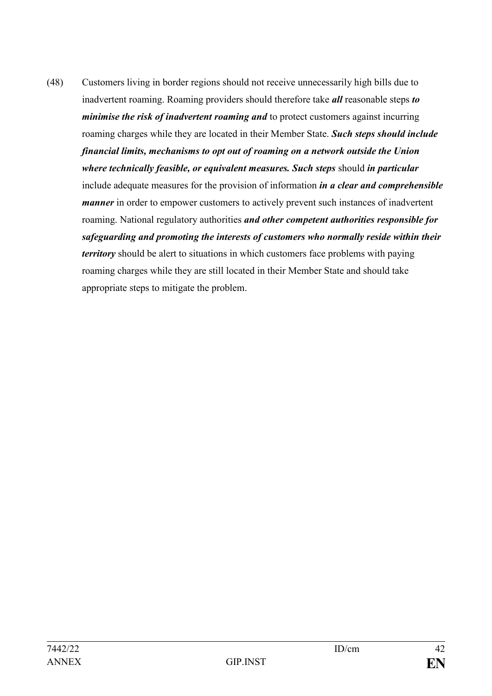(48) Customers living in border regions should not receive unnecessarily high bills due to inadvertent roaming. Roaming providers should therefore take *all* reasonable steps *to minimise the risk of inadvertent roaming and* to protect customers against incurring roaming charges while they are located in their Member State. *Such steps should include financial limits, mechanisms to opt out of roaming on a network outside the Union where technically feasible, or equivalent measures. Such steps* should *in particular*  include adequate measures for the provision of information *in a clear and comprehensible manner* in order to empower customers to actively prevent such instances of inadvertent roaming. National regulatory authorities *and other competent authorities responsible for safeguarding and promoting the interests of customers who normally reside within their territory* should be alert to situations in which customers face problems with paying roaming charges while they are still located in their Member State and should take appropriate steps to mitigate the problem.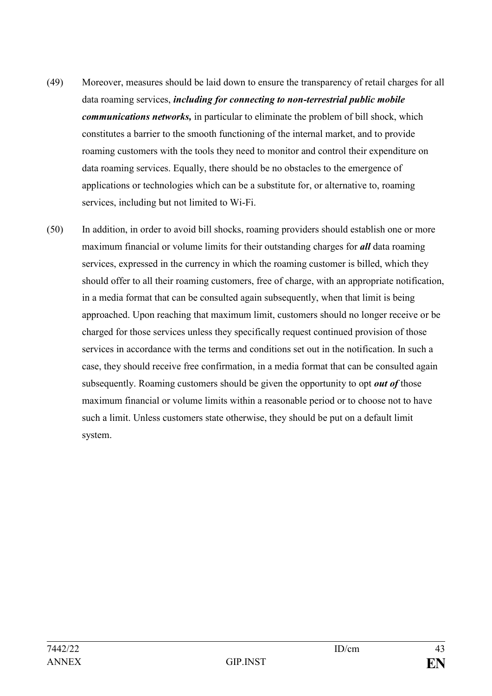- (49) Moreover, measures should be laid down to ensure the transparency of retail charges for all data roaming services, *including for connecting to non-terrestrial public mobile communications networks,* in particular to eliminate the problem of bill shock, which constitutes a barrier to the smooth functioning of the internal market, and to provide roaming customers with the tools they need to monitor and control their expenditure on data roaming services. Equally, there should be no obstacles to the emergence of applications or technologies which can be a substitute for, or alternative to, roaming services, including but not limited to Wi-Fi.
- (50) In addition, in order to avoid bill shocks, roaming providers should establish one or more maximum financial or volume limits for their outstanding charges for *all* data roaming services, expressed in the currency in which the roaming customer is billed, which they should offer to all their roaming customers, free of charge, with an appropriate notification, in a media format that can be consulted again subsequently, when that limit is being approached. Upon reaching that maximum limit, customers should no longer receive or be charged for those services unless they specifically request continued provision of those services in accordance with the terms and conditions set out in the notification. In such a case, they should receive free confirmation, in a media format that can be consulted again subsequently. Roaming customers should be given the opportunity to opt *out of* those maximum financial or volume limits within a reasonable period or to choose not to have such a limit. Unless customers state otherwise, they should be put on a default limit system.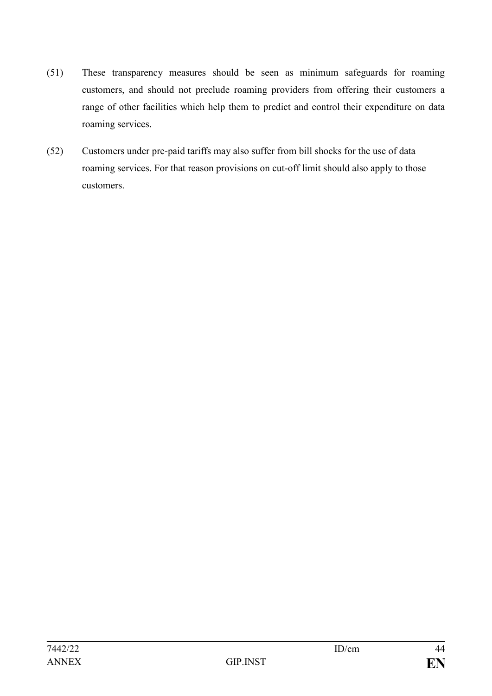- (51) These transparency measures should be seen as minimum safeguards for roaming customers, and should not preclude roaming providers from offering their customers a range of other facilities which help them to predict and control their expenditure on data roaming services.
- (52) Customers under pre-paid tariffs may also suffer from bill shocks for the use of data roaming services. For that reason provisions on cut-off limit should also apply to those customers.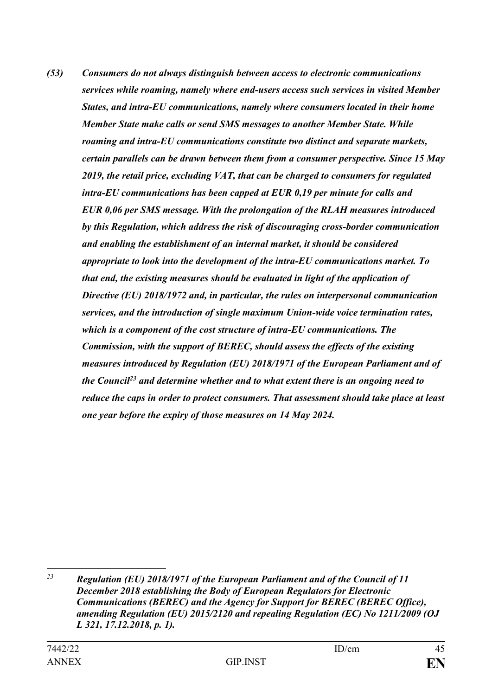*(53) Consumers do not always distinguish between access to electronic communications services while roaming, namely where end-users access such services in visited Member States, and intra-EU communications, namely where consumers located in their home Member State make calls or send SMS messages to another Member State. While roaming and intra-EU communications constitute two distinct and separate markets, certain parallels can be drawn between them from a consumer perspective. Since 15 May 2019, the retail price, excluding VAT, that can be charged to consumers for regulated intra-EU communications has been capped at EUR 0,19 per minute for calls and EUR 0,06 per SMS message. With the prolongation of the RLAH measures introduced by this Regulation, which address the risk of discouraging cross-border communication and enabling the establishment of an internal market, it should be considered appropriate to look into the development of the intra-EU communications market. To that end, the existing measures should be evaluated in light of the application of Directive (EU) 2018/1972 and, in particular, the rules on interpersonal communication services, and the introduction of single maximum Union-wide voice termination rates, which is a component of the cost structure of intra-EU communications. The Commission, with the support of BEREC, should assess the effects of the existing measures introduced by Regulation (EU) 2018/1971 of the European Parliament and of the Council<sup>23</sup> and determine whether and to what extent there is an ongoing need to reduce the caps in order to protect consumers. That assessment should take place at least one year before the expiry of those measures on 14 May 2024.*

<sup>1</sup> *<sup>23</sup> Regulation (EU) 2018/1971 of the European Parliament and of the Council of 11 December 2018 establishing the Body of European Regulators for Electronic Communications (BEREC) and the Agency for Support for BEREC (BEREC Office), amending Regulation (EU) 2015/2120 and repealing Regulation (EC) No 1211/2009 (OJ L 321, 17.12.2018, p. 1).*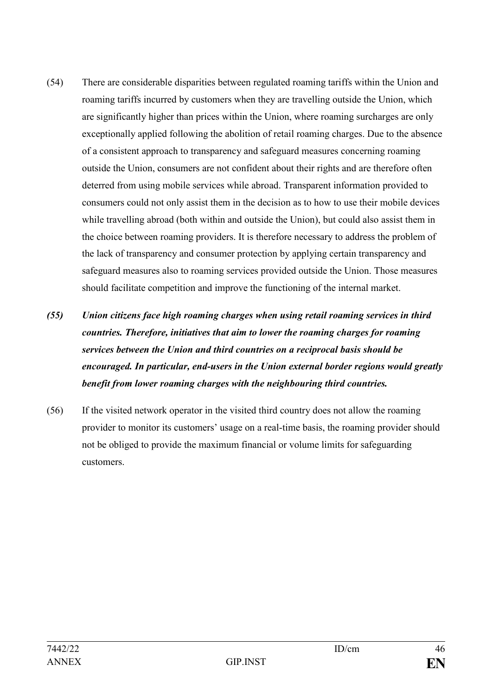- (54) There are considerable disparities between regulated roaming tariffs within the Union and roaming tariffs incurred by customers when they are travelling outside the Union, which are significantly higher than prices within the Union, where roaming surcharges are only exceptionally applied following the abolition of retail roaming charges. Due to the absence of a consistent approach to transparency and safeguard measures concerning roaming outside the Union, consumers are not confident about their rights and are therefore often deterred from using mobile services while abroad. Transparent information provided to consumers could not only assist them in the decision as to how to use their mobile devices while travelling abroad (both within and outside the Union), but could also assist them in the choice between roaming providers. It is therefore necessary to address the problem of the lack of transparency and consumer protection by applying certain transparency and safeguard measures also to roaming services provided outside the Union. Those measures should facilitate competition and improve the functioning of the internal market.
- *(55) Union citizens face high roaming charges when using retail roaming services in third countries. Therefore, initiatives that aim to lower the roaming charges for roaming services between the Union and third countries on a reciprocal basis should be encouraged. In particular, end-users in the Union external border regions would greatly benefit from lower roaming charges with the neighbouring third countries.*
- (56) If the visited network operator in the visited third country does not allow the roaming provider to monitor its customers' usage on a real-time basis, the roaming provider should not be obliged to provide the maximum financial or volume limits for safeguarding customers.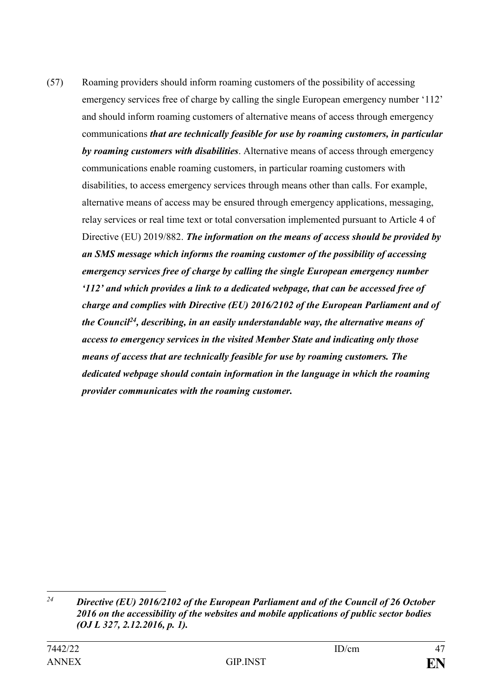(57) Roaming providers should inform roaming customers of the possibility of accessing emergency services free of charge by calling the single European emergency number '112' and should inform roaming customers of alternative means of access through emergency communications *that are technically feasible for use by roaming customers, in particular by roaming customers with disabilities*. Alternative means of access through emergency communications enable roaming customers, in particular roaming customers with disabilities, to access emergency services through means other than calls. For example, alternative means of access may be ensured through emergency applications, messaging, relay services or real time text or total conversation implemented pursuant to Article 4 of Directive (EU) 2019/882. *The information on the means of access should be provided by an SMS message which informs the roaming customer of the possibility of accessing emergency services free of charge by calling the single European emergency number '112' and which provides a link to a dedicated webpage, that can be accessed free of charge and complies with Directive (EU) 2016/2102 of the European Parliament and of the Council<sup>24</sup>, describing, in an easily understandable way, the alternative means of access to emergency services in the visited Member State and indicating only those means of access that are technically feasible for use by roaming customers. The dedicated webpage should contain information in the language in which the roaming provider communicates with the roaming customer.*

 $\overline{24}$ *<sup>24</sup> Directive (EU) 2016/2102 of the European Parliament and of the Council of 26 October 2016 on the accessibility of the websites and mobile applications of public sector bodies (OJ L 327, 2.12.2016, p. 1).*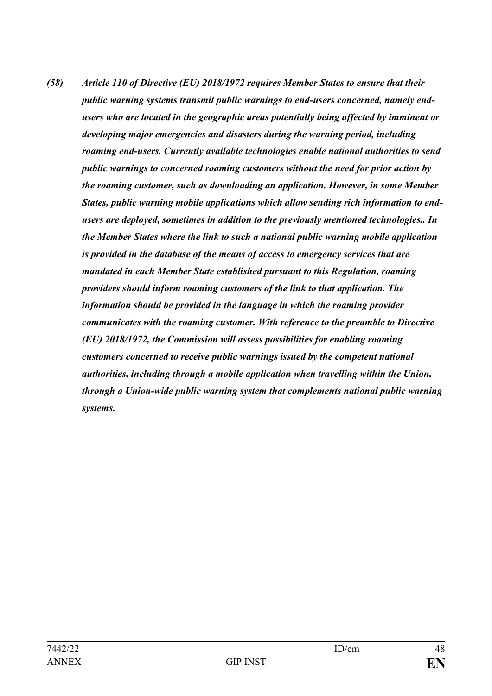*(58) Article 110 of Directive (EU) 2018/1972 requires Member States to ensure that their public warning systems transmit public warnings to end-users concerned, namely endusers who are located in the geographic areas potentially being affected by imminent or developing major emergencies and disasters during the warning period, including roaming end-users. Currently available technologies enable national authorities to send public warnings to concerned roaming customers without the need for prior action by the roaming customer, such as downloading an application. However, in some Member States, public warning mobile applications which allow sending rich information to endusers are deployed, sometimes in addition to the previously mentioned technologies.. In the Member States where the link to such a national public warning mobile application is provided in the database of the means of access to emergency services that are mandated in each Member State established pursuant to this Regulation, roaming providers should inform roaming customers of the link to that application. The information should be provided in the language in which the roaming provider communicates with the roaming customer. With reference to the preamble to Directive (EU) 2018/1972, the Commission will assess possibilities for enabling roaming customers concerned to receive public warnings issued by the competent national authorities, including through a mobile application when travelling within the Union, through a Union-wide public warning system that complements national public warning systems.*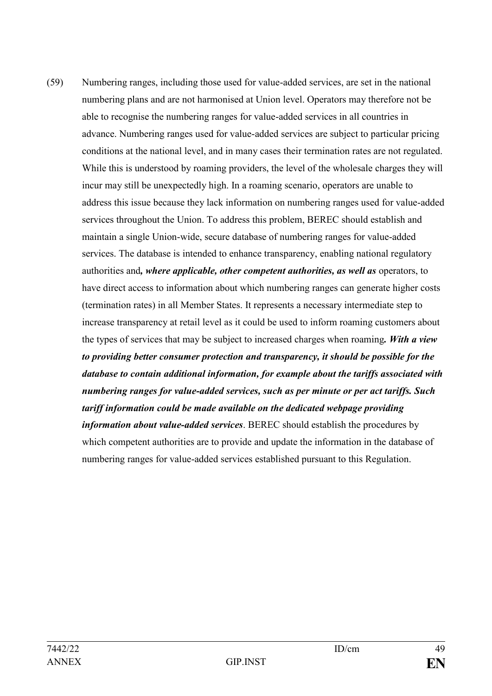(59) Numbering ranges, including those used for value-added services, are set in the national numbering plans and are not harmonised at Union level. Operators may therefore not be able to recognise the numbering ranges for value-added services in all countries in advance. Numbering ranges used for value-added services are subject to particular pricing conditions at the national level, and in many cases their termination rates are not regulated. While this is understood by roaming providers, the level of the wholesale charges they will incur may still be unexpectedly high. In a roaming scenario, operators are unable to address this issue because they lack information on numbering ranges used for value-added services throughout the Union. To address this problem, BEREC should establish and maintain a single Union-wide, secure database of numbering ranges for value-added services. The database is intended to enhance transparency, enabling national regulatory authorities and*, where applicable, other competent authorities, as well as* operators, to have direct access to information about which numbering ranges can generate higher costs (termination rates) in all Member States. It represents a necessary intermediate step to increase transparency at retail level as it could be used to inform roaming customers about the types of services that may be subject to increased charges when roaming*. With a view to providing better consumer protection and transparency, it should be possible for the database to contain additional information, for example about the tariffs associated with numbering ranges for value-added services, such as per minute or per act tariffs. Such tariff information could be made available on the dedicated webpage providing information about value-added services*. BEREC should establish the procedures by which competent authorities are to provide and update the information in the database of numbering ranges for value-added services established pursuant to this Regulation.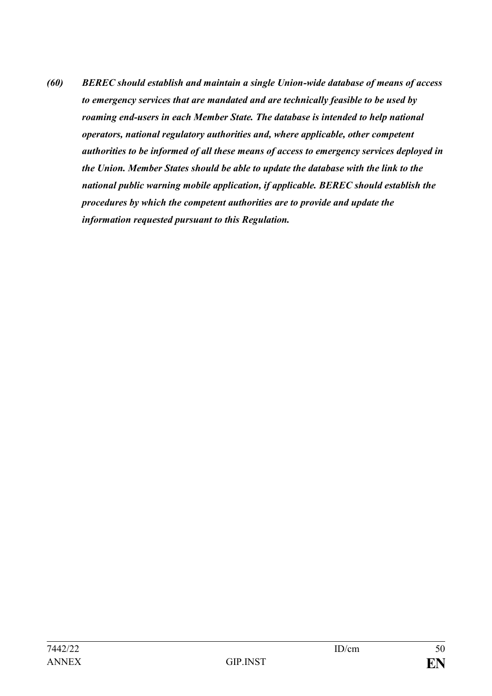*(60) BEREC should establish and maintain a single Union-wide database of means of access to emergency services that are mandated and are technically feasible to be used by roaming end-users in each Member State. The database is intended to help national operators, national regulatory authorities and, where applicable, other competent authorities to be informed of all these means of access to emergency services deployed in the Union. Member States should be able to update the database with the link to the national public warning mobile application, if applicable. BEREC should establish the procedures by which the competent authorities are to provide and update the information requested pursuant to this Regulation.*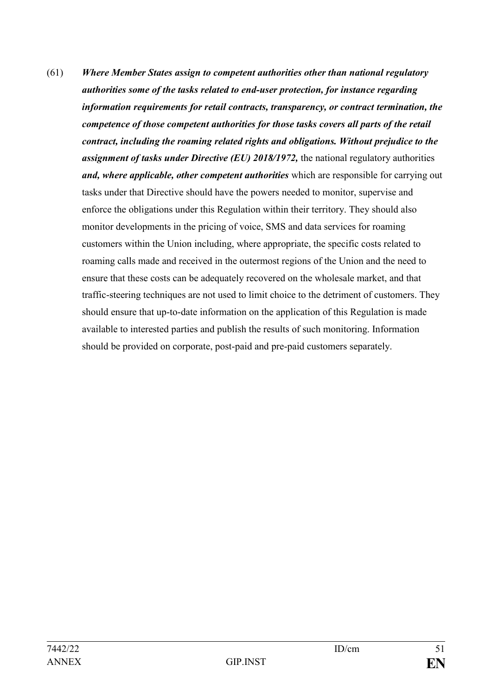(61) *Where Member States assign to competent authorities other than national regulatory authorities some of the tasks related to end-user protection, for instance regarding information requirements for retail contracts, transparency, or contract termination, the competence of those competent authorities for those tasks covers all parts of the retail contract, including the roaming related rights and obligations. Without prejudice to the assignment of tasks under Directive (EU) 2018/1972*, the national regulatory authorities *and, where applicable, other competent authorities* which are responsible for carrying out tasks under that Directive should have the powers needed to monitor, supervise and enforce the obligations under this Regulation within their territory. They should also monitor developments in the pricing of voice, SMS and data services for roaming customers within the Union including, where appropriate, the specific costs related to roaming calls made and received in the outermost regions of the Union and the need to ensure that these costs can be adequately recovered on the wholesale market, and that traffic-steering techniques are not used to limit choice to the detriment of customers. They should ensure that up-to-date information on the application of this Regulation is made available to interested parties and publish the results of such monitoring. Information should be provided on corporate, post-paid and pre-paid customers separately.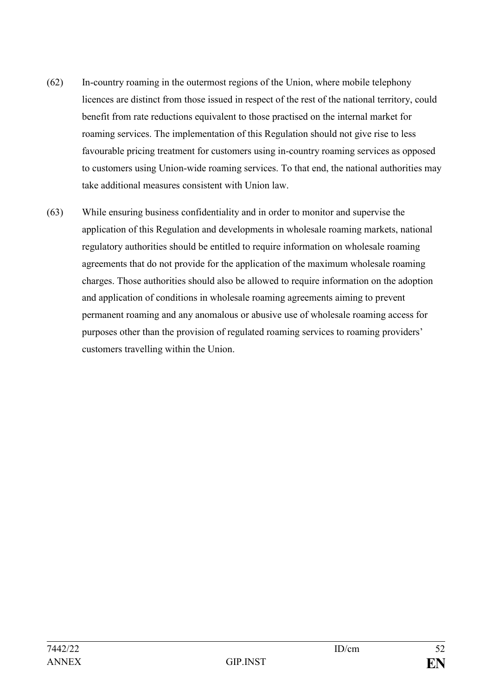- (62) In-country roaming in the outermost regions of the Union, where mobile telephony licences are distinct from those issued in respect of the rest of the national territory, could benefit from rate reductions equivalent to those practised on the internal market for roaming services. The implementation of this Regulation should not give rise to less favourable pricing treatment for customers using in-country roaming services as opposed to customers using Union-wide roaming services. To that end, the national authorities may take additional measures consistent with Union law.
- (63) While ensuring business confidentiality and in order to monitor and supervise the application of this Regulation and developments in wholesale roaming markets, national regulatory authorities should be entitled to require information on wholesale roaming agreements that do not provide for the application of the maximum wholesale roaming charges. Those authorities should also be allowed to require information on the adoption and application of conditions in wholesale roaming agreements aiming to prevent permanent roaming and any anomalous or abusive use of wholesale roaming access for purposes other than the provision of regulated roaming services to roaming providers' customers travelling within the Union.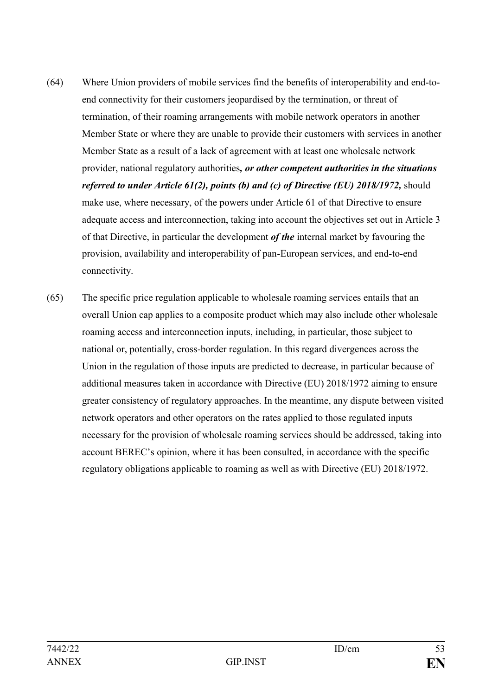- (64) Where Union providers of mobile services find the benefits of interoperability and end-toend connectivity for their customers jeopardised by the termination, or threat of termination, of their roaming arrangements with mobile network operators in another Member State or where they are unable to provide their customers with services in another Member State as a result of a lack of agreement with at least one wholesale network provider, national regulatory authorities*, or other competent authorities in the situations referred to under Article 61(2), points (b) and (c) of Directive (EU) 2018/1972, should* make use, where necessary, of the powers under Article 61 of that Directive to ensure adequate access and interconnection, taking into account the objectives set out in Article 3 of that Directive, in particular the development *of the* internal market by favouring the provision, availability and interoperability of pan-European services, and end-to-end connectivity.
- (65) The specific price regulation applicable to wholesale roaming services entails that an overall Union cap applies to a composite product which may also include other wholesale roaming access and interconnection inputs, including, in particular, those subject to national or, potentially, cross-border regulation. In this regard divergences across the Union in the regulation of those inputs are predicted to decrease, in particular because of additional measures taken in accordance with Directive (EU) 2018/1972 aiming to ensure greater consistency of regulatory approaches. In the meantime, any dispute between visited network operators and other operators on the rates applied to those regulated inputs necessary for the provision of wholesale roaming services should be addressed, taking into account BEREC's opinion, where it has been consulted, in accordance with the specific regulatory obligations applicable to roaming as well as with Directive (EU) 2018/1972.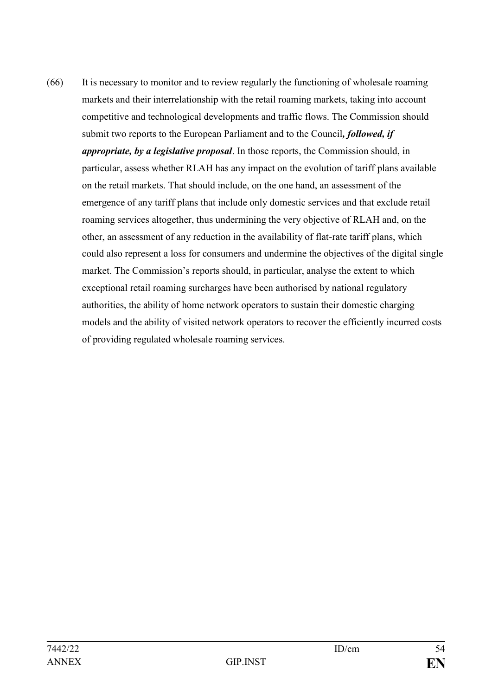(66) It is necessary to monitor and to review regularly the functioning of wholesale roaming markets and their interrelationship with the retail roaming markets, taking into account competitive and technological developments and traffic flows. The Commission should submit two reports to the European Parliament and to the Council*, followed, if appropriate, by a legislative proposal*. In those reports, the Commission should, in particular, assess whether RLAH has any impact on the evolution of tariff plans available on the retail markets. That should include, on the one hand, an assessment of the emergence of any tariff plans that include only domestic services and that exclude retail roaming services altogether, thus undermining the very objective of RLAH and, on the other, an assessment of any reduction in the availability of flat-rate tariff plans, which could also represent a loss for consumers and undermine the objectives of the digital single market. The Commission's reports should, in particular, analyse the extent to which exceptional retail roaming surcharges have been authorised by national regulatory authorities, the ability of home network operators to sustain their domestic charging models and the ability of visited network operators to recover the efficiently incurred costs of providing regulated wholesale roaming services.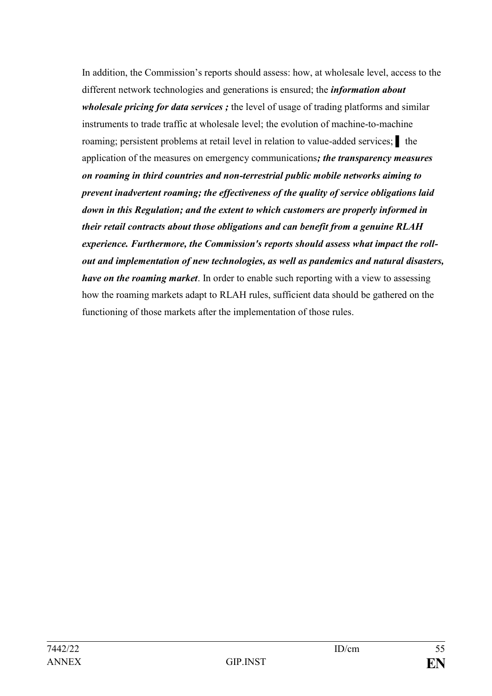In addition, the Commission's reports should assess: how, at wholesale level, access to the different network technologies and generations is ensured; the *information about wholesale pricing for data services ;* the level of usage of trading platforms and similar instruments to trade traffic at wholesale level; the evolution of machine-to-machine roaming; persistent problems at retail level in relation to value-added services; **l** the application of the measures on emergency communications*; the transparency measures on roaming in third countries and non-terrestrial public mobile networks aiming to prevent inadvertent roaming; the effectiveness of the quality of service obligations laid down in this Regulation; and the extent to which customers are properly informed in their retail contracts about those obligations and can benefit from a genuine RLAH experience. Furthermore, the Commission's reports should assess what impact the rollout and implementation of new technologies, as well as pandemics and natural disasters, have on the roaming market*. In order to enable such reporting with a view to assessing how the roaming markets adapt to RLAH rules, sufficient data should be gathered on the functioning of those markets after the implementation of those rules.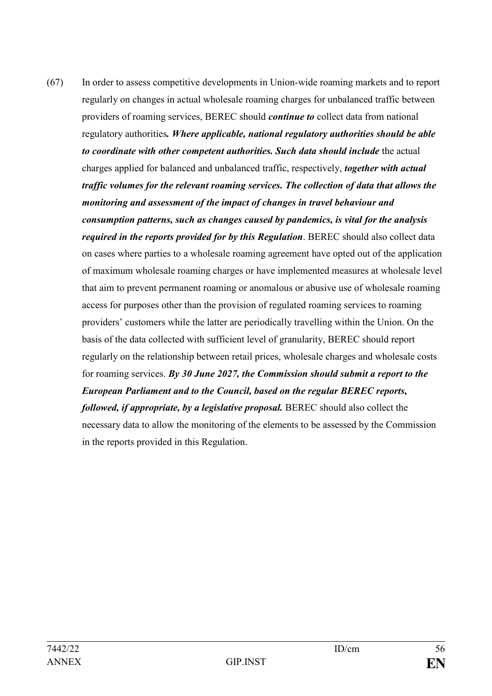(67) In order to assess competitive developments in Union-wide roaming markets and to report regularly on changes in actual wholesale roaming charges for unbalanced traffic between providers of roaming services, BEREC should *continue to* collect data from national regulatory authorities*. Where applicable, national regulatory authorities should be able to coordinate with other competent authorities. Such data should include* the actual charges applied for balanced and unbalanced traffic, respectively, *together with actual traffic volumes for the relevant roaming services. The collection of data that allows the monitoring and assessment of the impact of changes in travel behaviour and consumption patterns, such as changes caused by pandemics, is vital for the analysis required in the reports provided for by this Regulation*. BEREC should also collect data on cases where parties to a wholesale roaming agreement have opted out of the application of maximum wholesale roaming charges or have implemented measures at wholesale level that aim to prevent permanent roaming or anomalous or abusive use of wholesale roaming access for purposes other than the provision of regulated roaming services to roaming providers' customers while the latter are periodically travelling within the Union. On the basis of the data collected with sufficient level of granularity, BEREC should report regularly on the relationship between retail prices, wholesale charges and wholesale costs for roaming services. *By 30 June 2027, the Commission should submit a report to the European Parliament and to the Council, based on the regular BEREC reports, followed, if appropriate, by a legislative proposal.* BEREC should also collect the necessary data to allow the monitoring of the elements to be assessed by the Commission in the reports provided in this Regulation.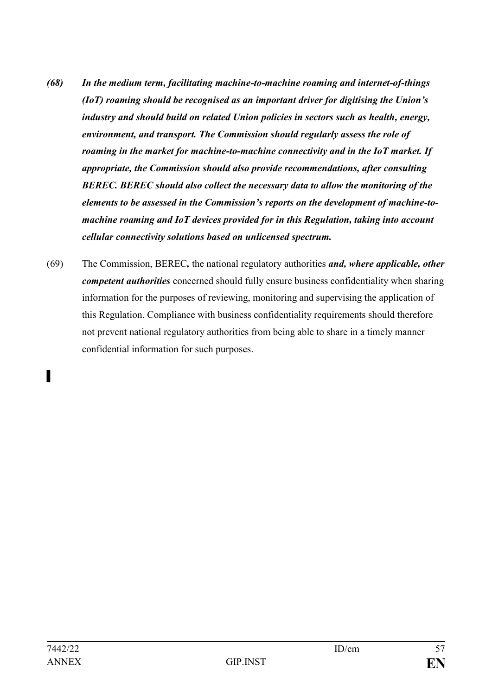- *(68) In the medium term, facilitating machine-to-machine roaming and internet-of-things (IoT) roaming should be recognised as an important driver for digitising the Union's industry and should build on related Union policies in sectors such as health, energy, environment, and transport. The Commission should regularly assess the role of roaming in the market for machine-to-machine connectivity and in the IoT market. If appropriate, the Commission should also provide recommendations, after consulting BEREC. BEREC should also collect the necessary data to allow the monitoring of the elements to be assessed in the Commission's reports on the development of machine-tomachine roaming and IoT devices provided for in this Regulation, taking into account cellular connectivity solutions based on unlicensed spectrum.*
- (69) The Commission, BEREC*,* the national regulatory authorities *and, where applicable, other competent authorities* concerned should fully ensure business confidentiality when sharing information for the purposes of reviewing, monitoring and supervising the application of this Regulation. Compliance with business confidentiality requirements should therefore not prevent national regulatory authorities from being able to share in a timely manner confidential information for such purposes.

▌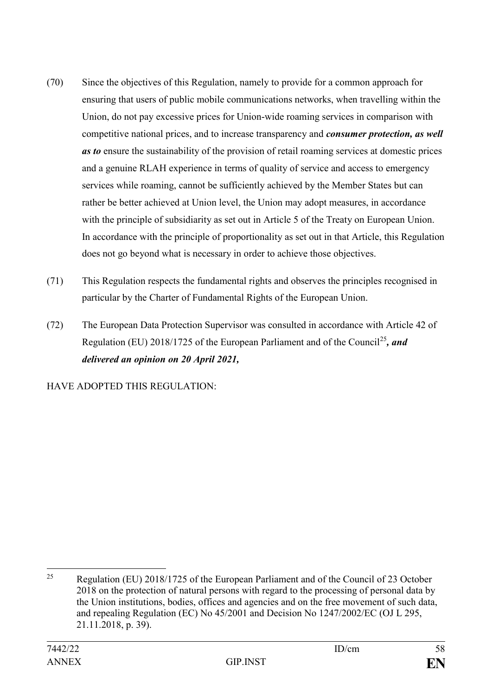- (70) Since the objectives of this Regulation, namely to provide for a common approach for ensuring that users of public mobile communications networks, when travelling within the Union, do not pay excessive prices for Union-wide roaming services in comparison with competitive national prices, and to increase transparency and *consumer protection, as well as to* ensure the sustainability of the provision of retail roaming services at domestic prices and a genuine RLAH experience in terms of quality of service and access to emergency services while roaming, cannot be sufficiently achieved by the Member States but can rather be better achieved at Union level, the Union may adopt measures, in accordance with the principle of subsidiarity as set out in Article 5 of the Treaty on European Union. In accordance with the principle of proportionality as set out in that Article, this Regulation does not go beyond what is necessary in order to achieve those objectives.
- (71) This Regulation respects the fundamental rights and observes the principles recognised in particular by the Charter of Fundamental Rights of the European Union.
- (72) The European Data Protection Supervisor was consulted in accordance with Article 42 of Regulation (EU) 2018/1725 of the European Parliament and of the Council<sup>25</sup>*, and delivered an opinion on 20 April 2021,*

HAVE ADOPTED THIS REGULATION:

1

<sup>&</sup>lt;sup>25</sup> Regulation (EU) 2018/1725 of the European Parliament and of the Council of 23 October 2018 on the protection of natural persons with regard to the processing of personal data by the Union institutions, bodies, offices and agencies and on the free movement of such data, and repealing Regulation (EC) No 45/2001 and Decision No 1247/2002/EC (OJ L 295, 21.11.2018, p. 39).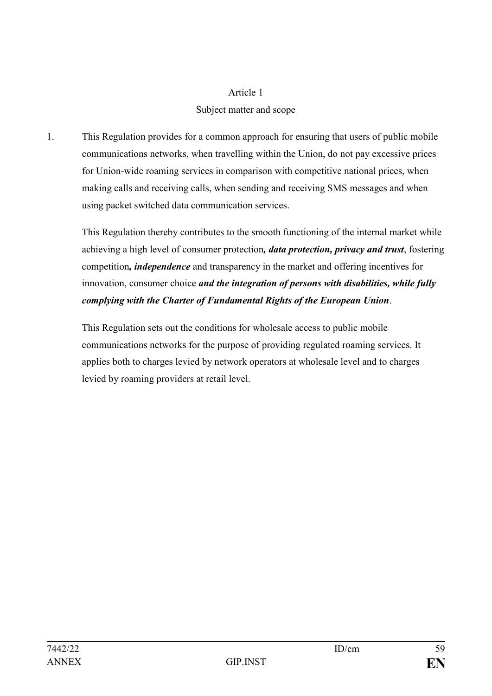#### Article 1

### Subject matter and scope

1. This Regulation provides for a common approach for ensuring that users of public mobile communications networks, when travelling within the Union, do not pay excessive prices for Union-wide roaming services in comparison with competitive national prices, when making calls and receiving calls, when sending and receiving SMS messages and when using packet switched data communication services.

This Regulation thereby contributes to the smooth functioning of the internal market while achieving a high level of consumer protection*, data protection, privacy and trust*, fostering competition*, independence* and transparency in the market and offering incentives for innovation, consumer choice *and the integration of persons with disabilities, while fully complying with the Charter of Fundamental Rights of the European Union*.

This Regulation sets out the conditions for wholesale access to public mobile communications networks for the purpose of providing regulated roaming services. It applies both to charges levied by network operators at wholesale level and to charges levied by roaming providers at retail level.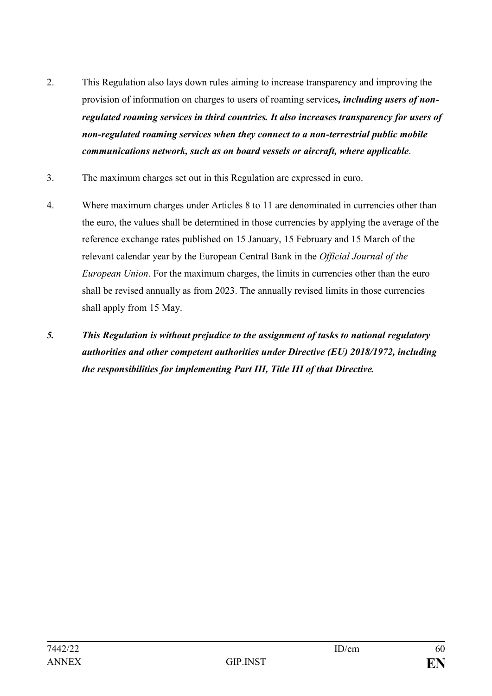- 2. This Regulation also lays down rules aiming to increase transparency and improving the provision of information on charges to users of roaming services*, including users of nonregulated roaming services in third countries. It also increases transparency for users of non-regulated roaming services when they connect to a non-terrestrial public mobile communications network, such as on board vessels or aircraft, where applicable*.
- 3. The maximum charges set out in this Regulation are expressed in euro.
- 4. Where maximum charges under Articles 8 to 11 are denominated in currencies other than the euro, the values shall be determined in those currencies by applying the average of the reference exchange rates published on 15 January, 15 February and 15 March of the relevant calendar year by the European Central Bank in the *Official Journal of the European Union*. For the maximum charges, the limits in currencies other than the euro shall be revised annually as from 2023. The annually revised limits in those currencies shall apply from 15 May.
- *5. This Regulation is without prejudice to the assignment of tasks to national regulatory authorities and other competent authorities under Directive (EU) 2018/1972, including the responsibilities for implementing Part III, Title III of that Directive.*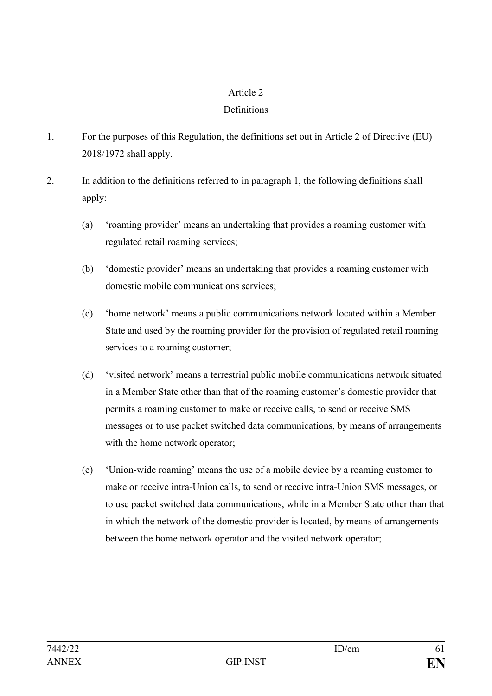# Article 2

### **Definitions**

- 1. For the purposes of this Regulation, the definitions set out in Article 2 of Directive (EU) 2018/1972 shall apply.
- 2. In addition to the definitions referred to in paragraph 1, the following definitions shall apply:
	- (a) 'roaming provider' means an undertaking that provides a roaming customer with regulated retail roaming services;
	- (b) 'domestic provider' means an undertaking that provides a roaming customer with domestic mobile communications services;
	- (c) 'home network' means a public communications network located within a Member State and used by the roaming provider for the provision of regulated retail roaming services to a roaming customer;
	- (d) 'visited network' means a terrestrial public mobile communications network situated in a Member State other than that of the roaming customer's domestic provider that permits a roaming customer to make or receive calls, to send or receive SMS messages or to use packet switched data communications, by means of arrangements with the home network operator;
	- (e) 'Union-wide roaming' means the use of a mobile device by a roaming customer to make or receive intra-Union calls, to send or receive intra-Union SMS messages, or to use packet switched data communications, while in a Member State other than that in which the network of the domestic provider is located, by means of arrangements between the home network operator and the visited network operator;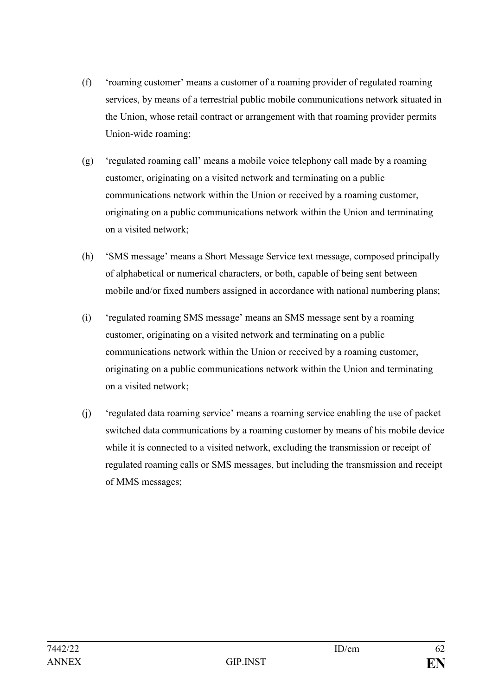- (f) 'roaming customer' means a customer of a roaming provider of regulated roaming services, by means of a terrestrial public mobile communications network situated in the Union, whose retail contract or arrangement with that roaming provider permits Union-wide roaming;
- (g) 'regulated roaming call' means a mobile voice telephony call made by a roaming customer, originating on a visited network and terminating on a public communications network within the Union or received by a roaming customer, originating on a public communications network within the Union and terminating on a visited network;
- (h) 'SMS message' means a Short Message Service text message, composed principally of alphabetical or numerical characters, or both, capable of being sent between mobile and/or fixed numbers assigned in accordance with national numbering plans;
- (i) 'regulated roaming SMS message' means an SMS message sent by a roaming customer, originating on a visited network and terminating on a public communications network within the Union or received by a roaming customer, originating on a public communications network within the Union and terminating on a visited network;
- (j) 'regulated data roaming service' means a roaming service enabling the use of packet switched data communications by a roaming customer by means of his mobile device while it is connected to a visited network, excluding the transmission or receipt of regulated roaming calls or SMS messages, but including the transmission and receipt of MMS messages;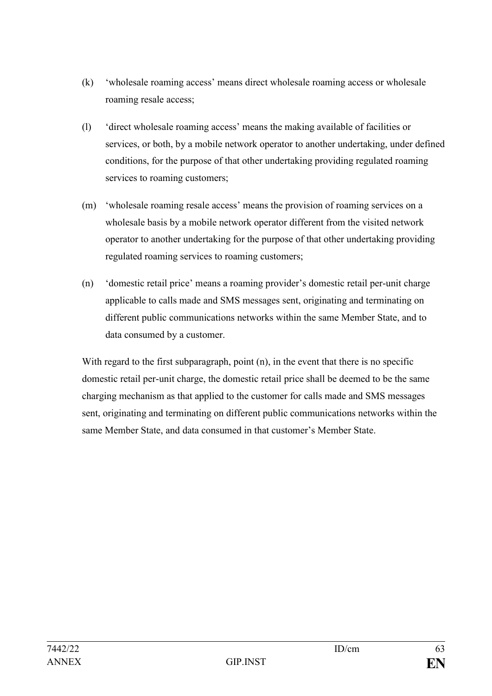- (k) 'wholesale roaming access' means direct wholesale roaming access or wholesale roaming resale access;
- (l) 'direct wholesale roaming access' means the making available of facilities or services, or both, by a mobile network operator to another undertaking, under defined conditions, for the purpose of that other undertaking providing regulated roaming services to roaming customers;
- (m) 'wholesale roaming resale access' means the provision of roaming services on a wholesale basis by a mobile network operator different from the visited network operator to another undertaking for the purpose of that other undertaking providing regulated roaming services to roaming customers;
- (n) 'domestic retail price' means a roaming provider's domestic retail per-unit charge applicable to calls made and SMS messages sent, originating and terminating on different public communications networks within the same Member State, and to data consumed by a customer.

With regard to the first subparagraph, point (n), in the event that there is no specific domestic retail per-unit charge, the domestic retail price shall be deemed to be the same charging mechanism as that applied to the customer for calls made and SMS messages sent, originating and terminating on different public communications networks within the same Member State, and data consumed in that customer's Member State.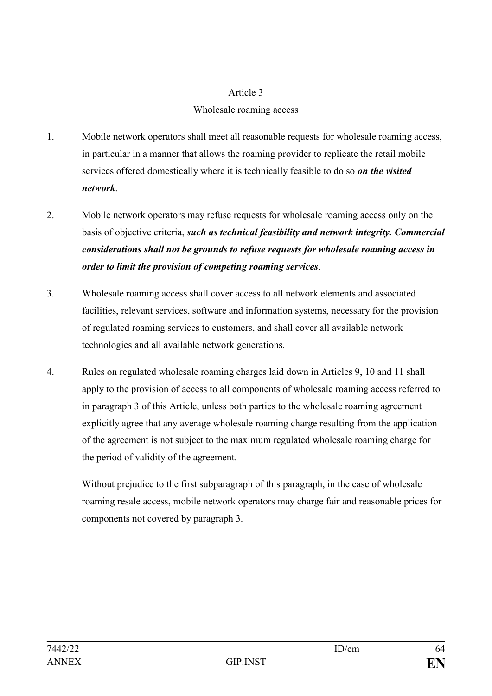#### Article 3

### Wholesale roaming access

- 1. Mobile network operators shall meet all reasonable requests for wholesale roaming access, in particular in a manner that allows the roaming provider to replicate the retail mobile services offered domestically where it is technically feasible to do so *on the visited network*.
- 2. Mobile network operators may refuse requests for wholesale roaming access only on the basis of objective criteria, *such as technical feasibility and network integrity. Commercial considerations shall not be grounds to refuse requests for wholesale roaming access in order to limit the provision of competing roaming services*.
- 3. Wholesale roaming access shall cover access to all network elements and associated facilities, relevant services, software and information systems, necessary for the provision of regulated roaming services to customers, and shall cover all available network technologies and all available network generations.
- 4. Rules on regulated wholesale roaming charges laid down in Articles 9, 10 and 11 shall apply to the provision of access to all components of wholesale roaming access referred to in paragraph 3 of this Article, unless both parties to the wholesale roaming agreement explicitly agree that any average wholesale roaming charge resulting from the application of the agreement is not subject to the maximum regulated wholesale roaming charge for the period of validity of the agreement.

Without prejudice to the first subparagraph of this paragraph, in the case of wholesale roaming resale access, mobile network operators may charge fair and reasonable prices for components not covered by paragraph 3.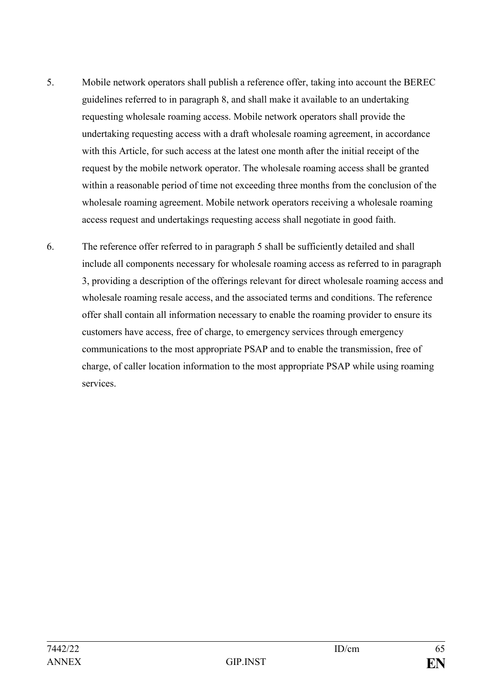- 5. Mobile network operators shall publish a reference offer, taking into account the BEREC guidelines referred to in paragraph 8, and shall make it available to an undertaking requesting wholesale roaming access. Mobile network operators shall provide the undertaking requesting access with a draft wholesale roaming agreement, in accordance with this Article, for such access at the latest one month after the initial receipt of the request by the mobile network operator. The wholesale roaming access shall be granted within a reasonable period of time not exceeding three months from the conclusion of the wholesale roaming agreement. Mobile network operators receiving a wholesale roaming access request and undertakings requesting access shall negotiate in good faith.
- 6. The reference offer referred to in paragraph 5 shall be sufficiently detailed and shall include all components necessary for wholesale roaming access as referred to in paragraph 3, providing a description of the offerings relevant for direct wholesale roaming access and wholesale roaming resale access, and the associated terms and conditions. The reference offer shall contain all information necessary to enable the roaming provider to ensure its customers have access, free of charge, to emergency services through emergency communications to the most appropriate PSAP and to enable the transmission, free of charge, of caller location information to the most appropriate PSAP while using roaming services.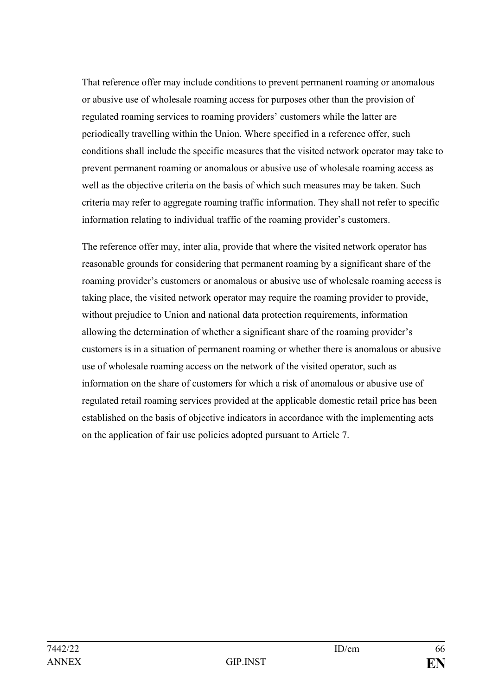That reference offer may include conditions to prevent permanent roaming or anomalous or abusive use of wholesale roaming access for purposes other than the provision of regulated roaming services to roaming providers' customers while the latter are periodically travelling within the Union. Where specified in a reference offer, such conditions shall include the specific measures that the visited network operator may take to prevent permanent roaming or anomalous or abusive use of wholesale roaming access as well as the objective criteria on the basis of which such measures may be taken. Such criteria may refer to aggregate roaming traffic information. They shall not refer to specific information relating to individual traffic of the roaming provider's customers.

The reference offer may, inter alia, provide that where the visited network operator has reasonable grounds for considering that permanent roaming by a significant share of the roaming provider's customers or anomalous or abusive use of wholesale roaming access is taking place, the visited network operator may require the roaming provider to provide, without prejudice to Union and national data protection requirements, information allowing the determination of whether a significant share of the roaming provider's customers is in a situation of permanent roaming or whether there is anomalous or abusive use of wholesale roaming access on the network of the visited operator, such as information on the share of customers for which a risk of anomalous or abusive use of regulated retail roaming services provided at the applicable domestic retail price has been established on the basis of objective indicators in accordance with the implementing acts on the application of fair use policies adopted pursuant to Article 7.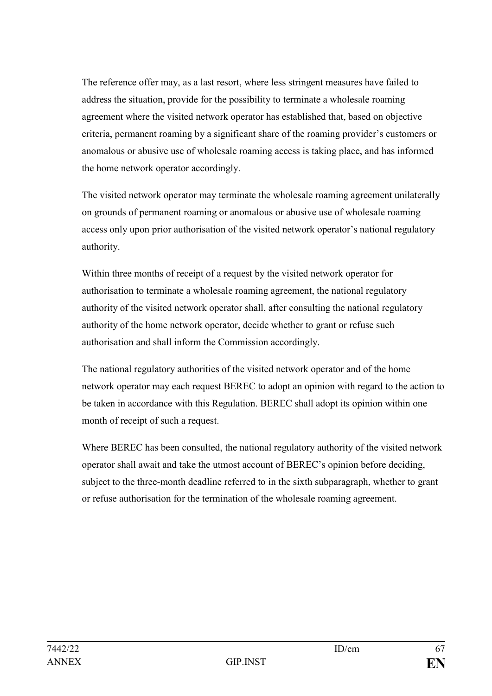The reference offer may, as a last resort, where less stringent measures have failed to address the situation, provide for the possibility to terminate a wholesale roaming agreement where the visited network operator has established that, based on objective criteria, permanent roaming by a significant share of the roaming provider's customers or anomalous or abusive use of wholesale roaming access is taking place, and has informed the home network operator accordingly.

The visited network operator may terminate the wholesale roaming agreement unilaterally on grounds of permanent roaming or anomalous or abusive use of wholesale roaming access only upon prior authorisation of the visited network operator's national regulatory authority.

Within three months of receipt of a request by the visited network operator for authorisation to terminate a wholesale roaming agreement, the national regulatory authority of the visited network operator shall, after consulting the national regulatory authority of the home network operator, decide whether to grant or refuse such authorisation and shall inform the Commission accordingly.

The national regulatory authorities of the visited network operator and of the home network operator may each request BEREC to adopt an opinion with regard to the action to be taken in accordance with this Regulation. BEREC shall adopt its opinion within one month of receipt of such a request.

Where BEREC has been consulted, the national regulatory authority of the visited network operator shall await and take the utmost account of BEREC's opinion before deciding, subject to the three-month deadline referred to in the sixth subparagraph, whether to grant or refuse authorisation for the termination of the wholesale roaming agreement.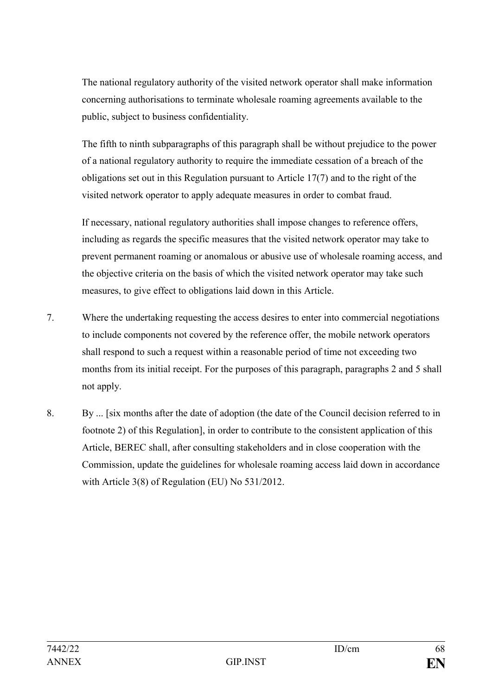The national regulatory authority of the visited network operator shall make information concerning authorisations to terminate wholesale roaming agreements available to the public, subject to business confidentiality.

The fifth to ninth subparagraphs of this paragraph shall be without prejudice to the power of a national regulatory authority to require the immediate cessation of a breach of the obligations set out in this Regulation pursuant to Article 17(7) and to the right of the visited network operator to apply adequate measures in order to combat fraud.

If necessary, national regulatory authorities shall impose changes to reference offers, including as regards the specific measures that the visited network operator may take to prevent permanent roaming or anomalous or abusive use of wholesale roaming access, and the objective criteria on the basis of which the visited network operator may take such measures, to give effect to obligations laid down in this Article.

- 7. Where the undertaking requesting the access desires to enter into commercial negotiations to include components not covered by the reference offer, the mobile network operators shall respond to such a request within a reasonable period of time not exceeding two months from its initial receipt. For the purposes of this paragraph, paragraphs 2 and 5 shall not apply.
- 8. By ... [six months after the date of adoption (the date of the Council decision referred to in footnote 2) of this Regulation], in order to contribute to the consistent application of this Article, BEREC shall, after consulting stakeholders and in close cooperation with the Commission, update the guidelines for wholesale roaming access laid down in accordance with Article 3(8) of Regulation (EU) No 531/2012.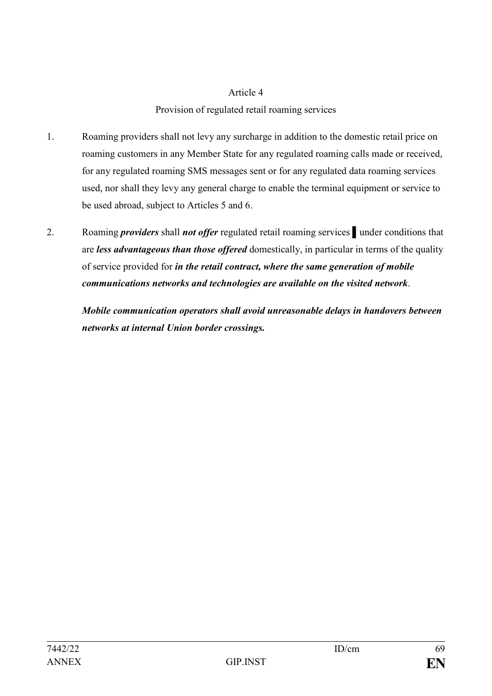### Article 4

# Provision of regulated retail roaming services

- 1. Roaming providers shall not levy any surcharge in addition to the domestic retail price on roaming customers in any Member State for any regulated roaming calls made or received, for any regulated roaming SMS messages sent or for any regulated data roaming services used, nor shall they levy any general charge to enable the terminal equipment or service to be used abroad, subject to Articles 5 and 6.
- 2. Roaming *providers* shall *not offer* regulated retail roaming services under conditions that are *less advantageous than those offered* domestically, in particular in terms of the quality of service provided for *in the retail contract, where the same generation of mobile communications networks and technologies are available on the visited network*.

*Mobile communication operators shall avoid unreasonable delays in handovers between networks at internal Union border crossings.*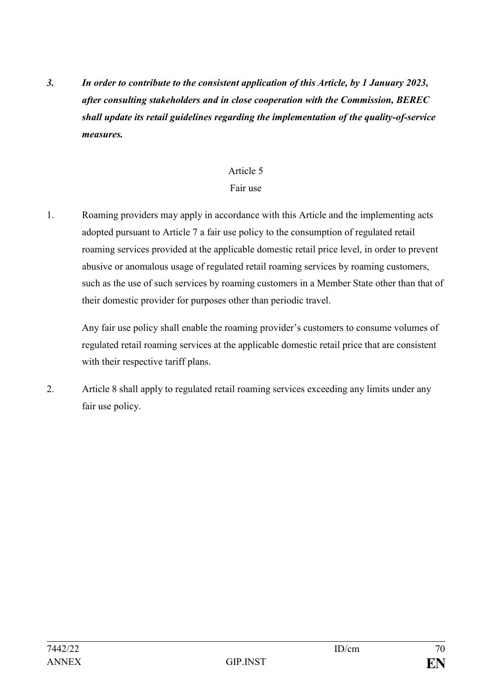*3. In order to contribute to the consistent application of this Article, by 1 January 2023, after consulting stakeholders and in close cooperation with the Commission, BEREC shall update its retail guidelines regarding the implementation of the quality-of-service measures.*

# Article 5

### Fair use

1. Roaming providers may apply in accordance with this Article and the implementing acts adopted pursuant to Article 7 a fair use policy to the consumption of regulated retail roaming services provided at the applicable domestic retail price level, in order to prevent abusive or anomalous usage of regulated retail roaming services by roaming customers, such as the use of such services by roaming customers in a Member State other than that of their domestic provider for purposes other than periodic travel.

Any fair use policy shall enable the roaming provider's customers to consume volumes of regulated retail roaming services at the applicable domestic retail price that are consistent with their respective tariff plans.

2. Article 8 shall apply to regulated retail roaming services exceeding any limits under any fair use policy.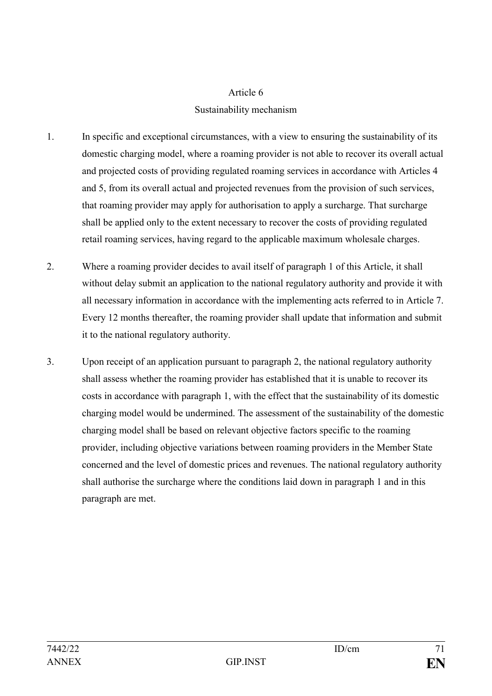#### Article 6

# Sustainability mechanism

- 1. In specific and exceptional circumstances, with a view to ensuring the sustainability of its domestic charging model, where a roaming provider is not able to recover its overall actual and projected costs of providing regulated roaming services in accordance with Articles 4 and 5, from its overall actual and projected revenues from the provision of such services, that roaming provider may apply for authorisation to apply a surcharge. That surcharge shall be applied only to the extent necessary to recover the costs of providing regulated retail roaming services, having regard to the applicable maximum wholesale charges.
- 2. Where a roaming provider decides to avail itself of paragraph 1 of this Article, it shall without delay submit an application to the national regulatory authority and provide it with all necessary information in accordance with the implementing acts referred to in Article 7. Every 12 months thereafter, the roaming provider shall update that information and submit it to the national regulatory authority.
- 3. Upon receipt of an application pursuant to paragraph 2, the national regulatory authority shall assess whether the roaming provider has established that it is unable to recover its costs in accordance with paragraph 1, with the effect that the sustainability of its domestic charging model would be undermined. The assessment of the sustainability of the domestic charging model shall be based on relevant objective factors specific to the roaming provider, including objective variations between roaming providers in the Member State concerned and the level of domestic prices and revenues. The national regulatory authority shall authorise the surcharge where the conditions laid down in paragraph 1 and in this paragraph are met.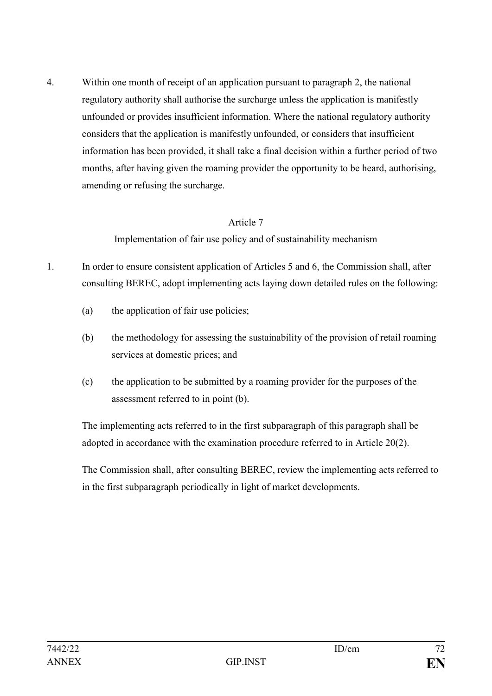4. Within one month of receipt of an application pursuant to paragraph 2, the national regulatory authority shall authorise the surcharge unless the application is manifestly unfounded or provides insufficient information. Where the national regulatory authority considers that the application is manifestly unfounded, or considers that insufficient information has been provided, it shall take a final decision within a further period of two months, after having given the roaming provider the opportunity to be heard, authorising, amending or refusing the surcharge.

### Article 7

Implementation of fair use policy and of sustainability mechanism

- 1. In order to ensure consistent application of Articles 5 and 6, the Commission shall, after consulting BEREC, adopt implementing acts laying down detailed rules on the following:
	- (a) the application of fair use policies;
	- (b) the methodology for assessing the sustainability of the provision of retail roaming services at domestic prices; and
	- (c) the application to be submitted by a roaming provider for the purposes of the assessment referred to in point (b).

The implementing acts referred to in the first subparagraph of this paragraph shall be adopted in accordance with the examination procedure referred to in Article 20(2).

The Commission shall, after consulting BEREC, review the implementing acts referred to in the first subparagraph periodically in light of market developments.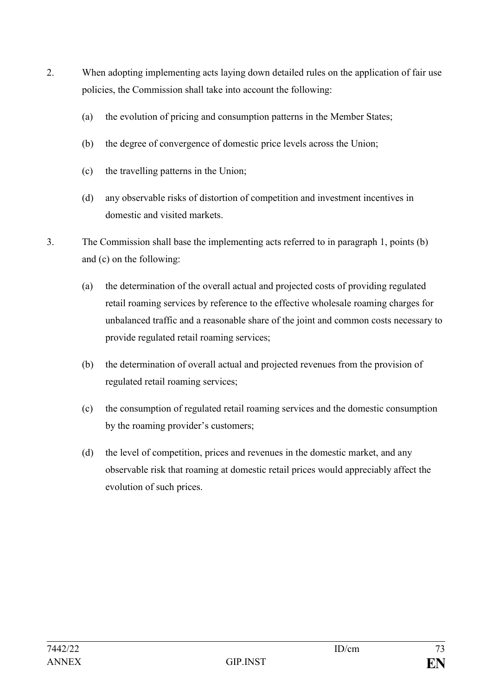- 2. When adopting implementing acts laying down detailed rules on the application of fair use policies, the Commission shall take into account the following:
	- (a) the evolution of pricing and consumption patterns in the Member States;
	- (b) the degree of convergence of domestic price levels across the Union;
	- (c) the travelling patterns in the Union;
	- (d) any observable risks of distortion of competition and investment incentives in domestic and visited markets.
- 3. The Commission shall base the implementing acts referred to in paragraph 1, points (b) and (c) on the following:
	- (a) the determination of the overall actual and projected costs of providing regulated retail roaming services by reference to the effective wholesale roaming charges for unbalanced traffic and a reasonable share of the joint and common costs necessary to provide regulated retail roaming services;
	- (b) the determination of overall actual and projected revenues from the provision of regulated retail roaming services;
	- (c) the consumption of regulated retail roaming services and the domestic consumption by the roaming provider's customers;
	- (d) the level of competition, prices and revenues in the domestic market, and any observable risk that roaming at domestic retail prices would appreciably affect the evolution of such prices.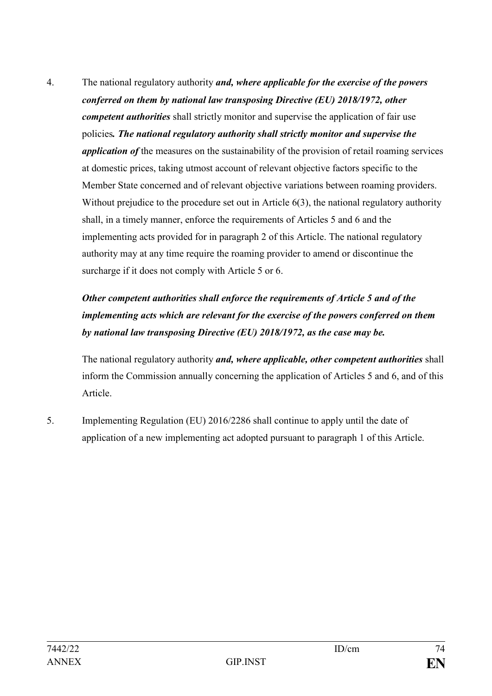4. The national regulatory authority *and, where applicable for the exercise of the powers conferred on them by national law transposing Directive (EU) 2018/1972, other competent authorities* shall strictly monitor and supervise the application of fair use policies*. The national regulatory authority shall strictly monitor and supervise the application of* the measures on the sustainability of the provision of retail roaming services at domestic prices, taking utmost account of relevant objective factors specific to the Member State concerned and of relevant objective variations between roaming providers. Without prejudice to the procedure set out in Article 6(3), the national regulatory authority shall, in a timely manner, enforce the requirements of Articles 5 and 6 and the implementing acts provided for in paragraph 2 of this Article. The national regulatory authority may at any time require the roaming provider to amend or discontinue the surcharge if it does not comply with Article 5 or 6.

# *Other competent authorities shall enforce the requirements of Article 5 and of the implementing acts which are relevant for the exercise of the powers conferred on them by national law transposing Directive (EU) 2018/1972, as the case may be.*

The national regulatory authority *and, where applicable, other competent authorities* shall inform the Commission annually concerning the application of Articles 5 and 6, and of this Article.

5. Implementing Regulation (EU) 2016/2286 shall continue to apply until the date of application of a new implementing act adopted pursuant to paragraph 1 of this Article.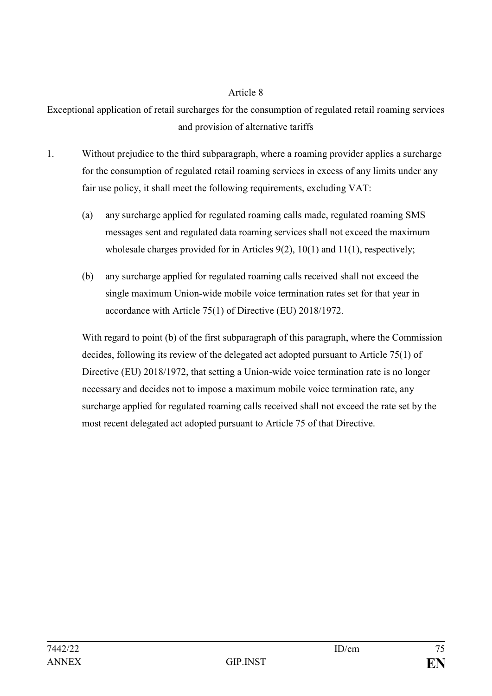Exceptional application of retail surcharges for the consumption of regulated retail roaming services and provision of alternative tariffs

- 1. Without prejudice to the third subparagraph, where a roaming provider applies a surcharge for the consumption of regulated retail roaming services in excess of any limits under any fair use policy, it shall meet the following requirements, excluding VAT:
	- (a) any surcharge applied for regulated roaming calls made, regulated roaming SMS messages sent and regulated data roaming services shall not exceed the maximum wholesale charges provided for in Articles 9(2), 10(1) and 11(1), respectively;
	- (b) any surcharge applied for regulated roaming calls received shall not exceed the single maximum Union-wide mobile voice termination rates set for that year in accordance with Article 75(1) of Directive (EU) 2018/1972.

With regard to point (b) of the first subparagraph of this paragraph, where the Commission decides, following its review of the delegated act adopted pursuant to Article 75(1) of Directive (EU) 2018/1972, that setting a Union-wide voice termination rate is no longer necessary and decides not to impose a maximum mobile voice termination rate, any surcharge applied for regulated roaming calls received shall not exceed the rate set by the most recent delegated act adopted pursuant to Article 75 of that Directive.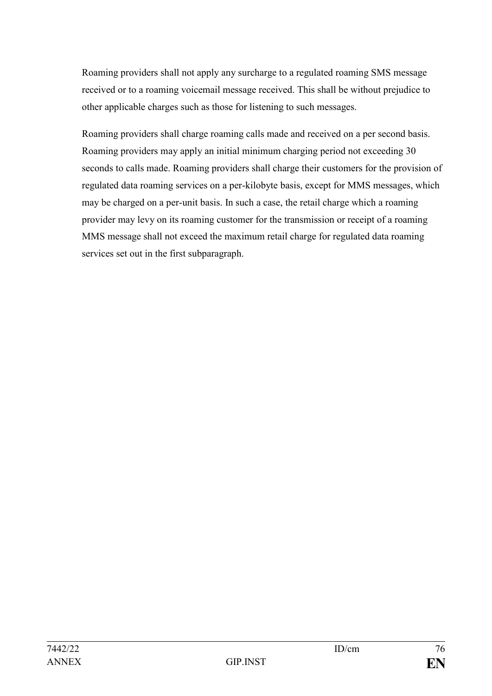Roaming providers shall not apply any surcharge to a regulated roaming SMS message received or to a roaming voicemail message received. This shall be without prejudice to other applicable charges such as those for listening to such messages.

Roaming providers shall charge roaming calls made and received on a per second basis. Roaming providers may apply an initial minimum charging period not exceeding 30 seconds to calls made. Roaming providers shall charge their customers for the provision of regulated data roaming services on a per-kilobyte basis, except for MMS messages, which may be charged on a per-unit basis. In such a case, the retail charge which a roaming provider may levy on its roaming customer for the transmission or receipt of a roaming MMS message shall not exceed the maximum retail charge for regulated data roaming services set out in the first subparagraph.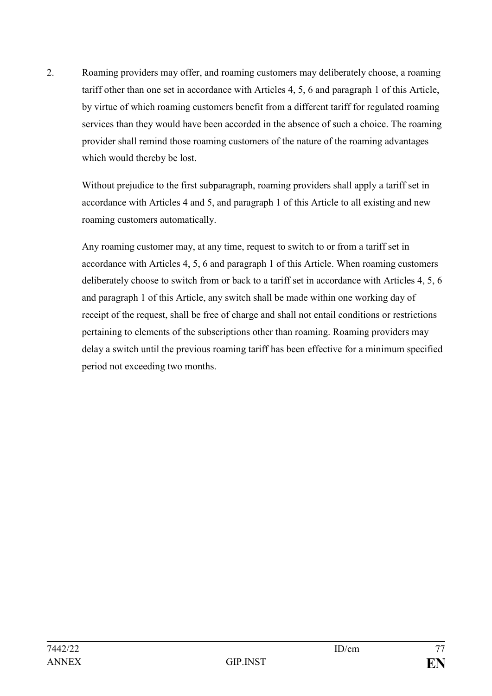2. Roaming providers may offer, and roaming customers may deliberately choose, a roaming tariff other than one set in accordance with Articles 4, 5, 6 and paragraph 1 of this Article, by virtue of which roaming customers benefit from a different tariff for regulated roaming services than they would have been accorded in the absence of such a choice. The roaming provider shall remind those roaming customers of the nature of the roaming advantages which would thereby be lost.

Without prejudice to the first subparagraph, roaming providers shall apply a tariff set in accordance with Articles 4 and 5, and paragraph 1 of this Article to all existing and new roaming customers automatically.

Any roaming customer may, at any time, request to switch to or from a tariff set in accordance with Articles 4, 5, 6 and paragraph 1 of this Article. When roaming customers deliberately choose to switch from or back to a tariff set in accordance with Articles 4, 5, 6 and paragraph 1 of this Article, any switch shall be made within one working day of receipt of the request, shall be free of charge and shall not entail conditions or restrictions pertaining to elements of the subscriptions other than roaming. Roaming providers may delay a switch until the previous roaming tariff has been effective for a minimum specified period not exceeding two months.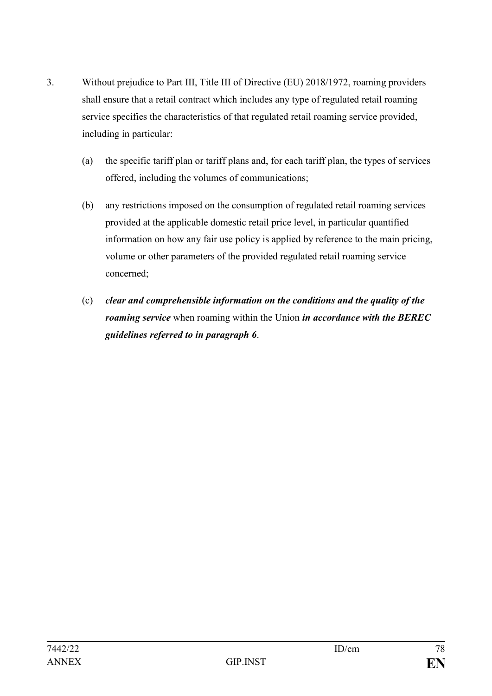- 3. Without prejudice to Part III, Title III of Directive (EU) 2018/1972, roaming providers shall ensure that a retail contract which includes any type of regulated retail roaming service specifies the characteristics of that regulated retail roaming service provided, including in particular:
	- (a) the specific tariff plan or tariff plans and, for each tariff plan, the types of services offered, including the volumes of communications;
	- (b) any restrictions imposed on the consumption of regulated retail roaming services provided at the applicable domestic retail price level, in particular quantified information on how any fair use policy is applied by reference to the main pricing, volume or other parameters of the provided regulated retail roaming service concerned;
	- (c) *clear and comprehensible information on the conditions and the quality of the roaming service* when roaming within the Union *in accordance with the BEREC guidelines referred to in paragraph 6*.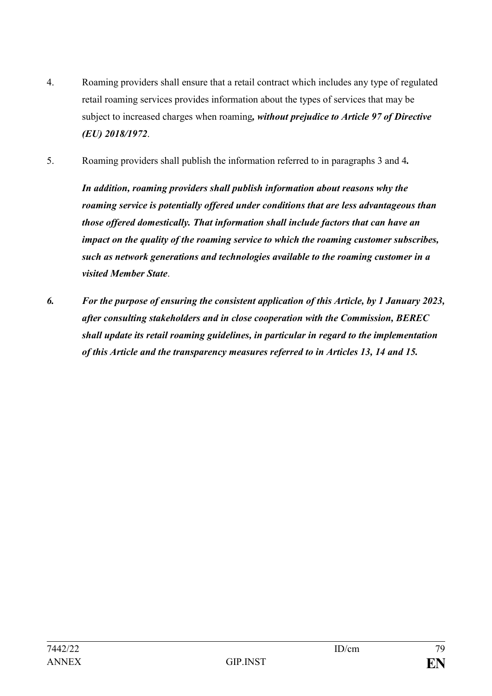- 4. Roaming providers shall ensure that a retail contract which includes any type of regulated retail roaming services provides information about the types of services that may be subject to increased charges when roaming*, without prejudice to Article 97 of Directive (EU) 2018/1972*.
- 5. Roaming providers shall publish the information referred to in paragraphs 3 and 4*.*

*In addition, roaming providers shall publish information about reasons why the roaming service is potentially offered under conditions that are less advantageous than those offered domestically. That information shall include factors that can have an impact on the quality of the roaming service to which the roaming customer subscribes, such as network generations and technologies available to the roaming customer in a visited Member State*.

*6. For the purpose of ensuring the consistent application of this Article, by 1 January 2023, after consulting stakeholders and in close cooperation with the Commission, BEREC shall update its retail roaming guidelines, in particular in regard to the implementation of this Article and the transparency measures referred to in Articles 13, 14 and 15.*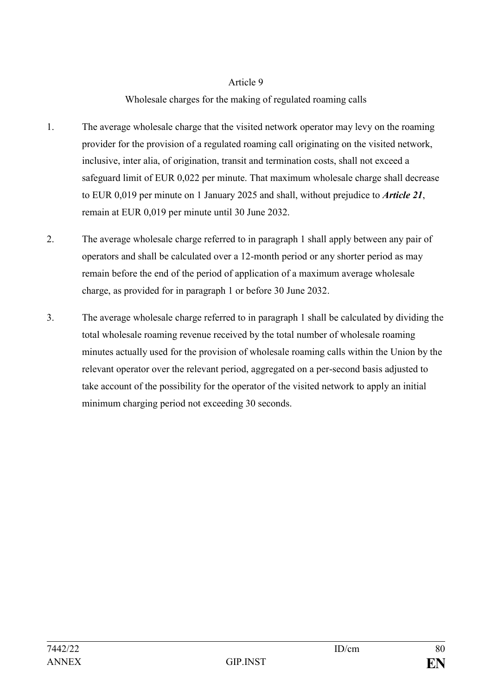# Wholesale charges for the making of regulated roaming calls

- 1. The average wholesale charge that the visited network operator may levy on the roaming provider for the provision of a regulated roaming call originating on the visited network, inclusive, inter alia, of origination, transit and termination costs, shall not exceed a safeguard limit of EUR 0,022 per minute. That maximum wholesale charge shall decrease to EUR 0,019 per minute on 1 January 2025 and shall, without prejudice to *Article 21*, remain at EUR 0,019 per minute until 30 June 2032.
- 2. The average wholesale charge referred to in paragraph 1 shall apply between any pair of operators and shall be calculated over a 12-month period or any shorter period as may remain before the end of the period of application of a maximum average wholesale charge, as provided for in paragraph 1 or before 30 June 2032.
- 3. The average wholesale charge referred to in paragraph 1 shall be calculated by dividing the total wholesale roaming revenue received by the total number of wholesale roaming minutes actually used for the provision of wholesale roaming calls within the Union by the relevant operator over the relevant period, aggregated on a per-second basis adjusted to take account of the possibility for the operator of the visited network to apply an initial minimum charging period not exceeding 30 seconds.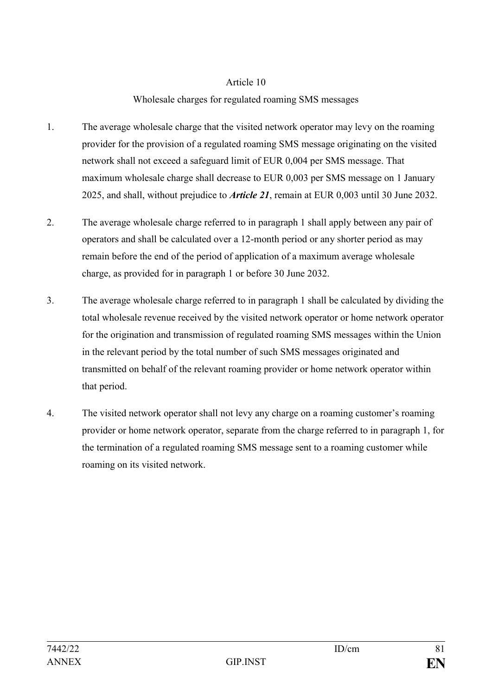## Wholesale charges for regulated roaming SMS messages

- 1. The average wholesale charge that the visited network operator may levy on the roaming provider for the provision of a regulated roaming SMS message originating on the visited network shall not exceed a safeguard limit of EUR 0,004 per SMS message. That maximum wholesale charge shall decrease to EUR 0,003 per SMS message on 1 January 2025, and shall, without prejudice to *Article 21*, remain at EUR 0,003 until 30 June 2032.
- 2. The average wholesale charge referred to in paragraph 1 shall apply between any pair of operators and shall be calculated over a 12-month period or any shorter period as may remain before the end of the period of application of a maximum average wholesale charge, as provided for in paragraph 1 or before 30 June 2032.
- 3. The average wholesale charge referred to in paragraph 1 shall be calculated by dividing the total wholesale revenue received by the visited network operator or home network operator for the origination and transmission of regulated roaming SMS messages within the Union in the relevant period by the total number of such SMS messages originated and transmitted on behalf of the relevant roaming provider or home network operator within that period.
- 4. The visited network operator shall not levy any charge on a roaming customer's roaming provider or home network operator, separate from the charge referred to in paragraph 1, for the termination of a regulated roaming SMS message sent to a roaming customer while roaming on its visited network.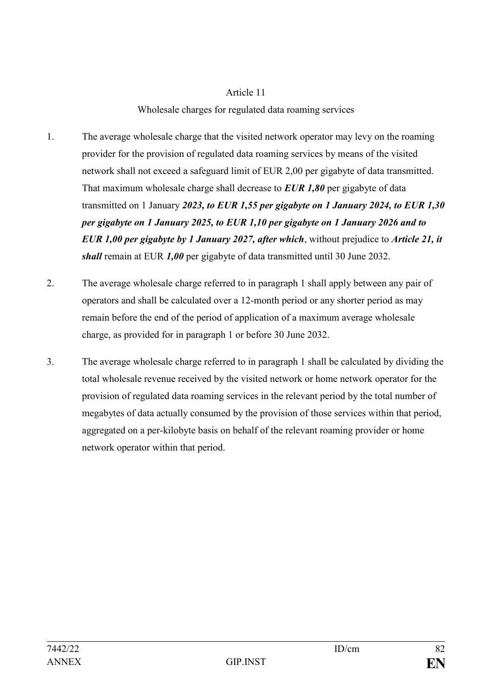#### Wholesale charges for regulated data roaming services

- 1. The average wholesale charge that the visited network operator may levy on the roaming provider for the provision of regulated data roaming services by means of the visited network shall not exceed a safeguard limit of EUR 2,00 per gigabyte of data transmitted. That maximum wholesale charge shall decrease to *EUR 1,80* per gigabyte of data transmitted on 1 January *2023, to EUR 1,55 per gigabyte on 1 January 2024, to EUR 1,30 per gigabyte on 1 January 2025, to EUR 1,10 per gigabyte on 1 January 2026 and to EUR 1,00 per gigabyte by 1 January 2027, after which*, without prejudice to *Article 21, it shall* remain at EUR *1,00* per gigabyte of data transmitted until 30 June 2032.
- 2. The average wholesale charge referred to in paragraph 1 shall apply between any pair of operators and shall be calculated over a 12-month period or any shorter period as may remain before the end of the period of application of a maximum average wholesale charge, as provided for in paragraph 1 or before 30 June 2032.
- 3. The average wholesale charge referred to in paragraph 1 shall be calculated by dividing the total wholesale revenue received by the visited network or home network operator for the provision of regulated data roaming services in the relevant period by the total number of megabytes of data actually consumed by the provision of those services within that period, aggregated on a per-kilobyte basis on behalf of the relevant roaming provider or home network operator within that period.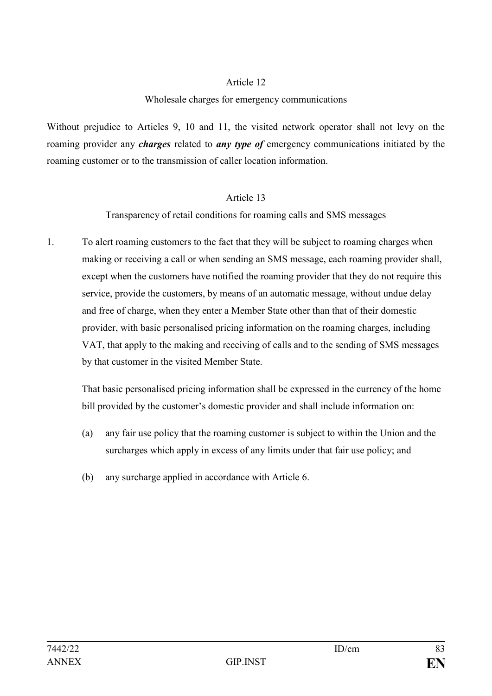#### Wholesale charges for emergency communications

Without prejudice to Articles 9, 10 and 11, the visited network operator shall not levy on the roaming provider any *charges* related to *any type of* emergency communications initiated by the roaming customer or to the transmission of caller location information.

#### Article 13

Transparency of retail conditions for roaming calls and SMS messages

1. To alert roaming customers to the fact that they will be subject to roaming charges when making or receiving a call or when sending an SMS message, each roaming provider shall, except when the customers have notified the roaming provider that they do not require this service, provide the customers, by means of an automatic message, without undue delay and free of charge, when they enter a Member State other than that of their domestic provider, with basic personalised pricing information on the roaming charges, including VAT, that apply to the making and receiving of calls and to the sending of SMS messages by that customer in the visited Member State.

That basic personalised pricing information shall be expressed in the currency of the home bill provided by the customer's domestic provider and shall include information on:

- (a) any fair use policy that the roaming customer is subject to within the Union and the surcharges which apply in excess of any limits under that fair use policy; and
- (b) any surcharge applied in accordance with Article 6.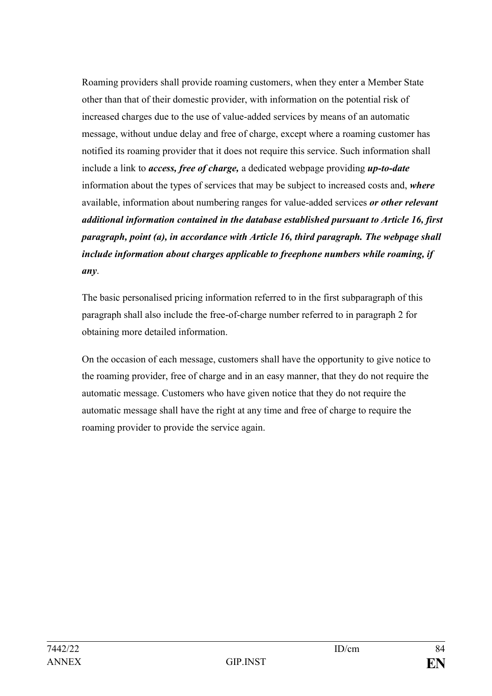Roaming providers shall provide roaming customers, when they enter a Member State other than that of their domestic provider, with information on the potential risk of increased charges due to the use of value-added services by means of an automatic message, without undue delay and free of charge, except where a roaming customer has notified its roaming provider that it does not require this service. Such information shall include a link to *access, free of charge,* a dedicated webpage providing *up-to-date*  information about the types of services that may be subject to increased costs and, *where* available, information about numbering ranges for value-added services *or other relevant additional information contained in the database established pursuant to Article 16, first paragraph, point (a), in accordance with Article 16, third paragraph. The webpage shall include information about charges applicable to freephone numbers while roaming, if any*.

The basic personalised pricing information referred to in the first subparagraph of this paragraph shall also include the free-of-charge number referred to in paragraph 2 for obtaining more detailed information.

On the occasion of each message, customers shall have the opportunity to give notice to the roaming provider, free of charge and in an easy manner, that they do not require the automatic message. Customers who have given notice that they do not require the automatic message shall have the right at any time and free of charge to require the roaming provider to provide the service again.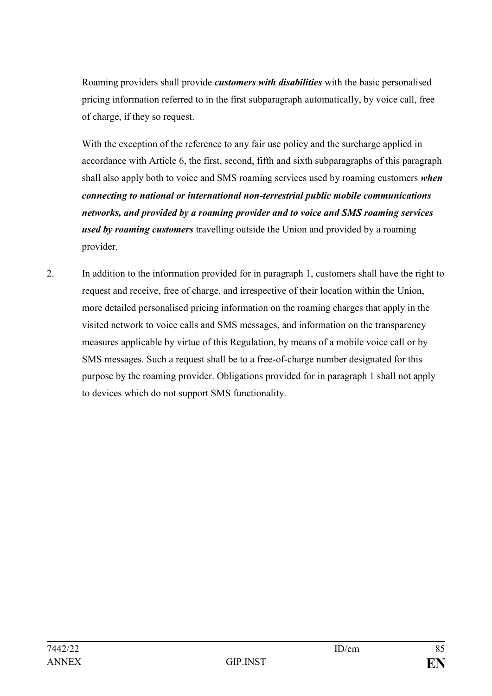Roaming providers shall provide *customers with disabilities* with the basic personalised pricing information referred to in the first subparagraph automatically, by voice call, free of charge, if they so request.

With the exception of the reference to any fair use policy and the surcharge applied in accordance with Article 6, the first, second, fifth and sixth subparagraphs of this paragraph shall also apply both to voice and SMS roaming services used by roaming customers *when connecting to national or international non-terrestrial public mobile communications networks, and provided by a roaming provider and to voice and SMS roaming services used by roaming customers* travelling outside the Union and provided by a roaming provider.

2. In addition to the information provided for in paragraph 1, customers shall have the right to request and receive, free of charge, and irrespective of their location within the Union, more detailed personalised pricing information on the roaming charges that apply in the visited network to voice calls and SMS messages, and information on the transparency measures applicable by virtue of this Regulation, by means of a mobile voice call or by SMS messages. Such a request shall be to a free-of-charge number designated for this purpose by the roaming provider. Obligations provided for in paragraph 1 shall not apply to devices which do not support SMS functionality.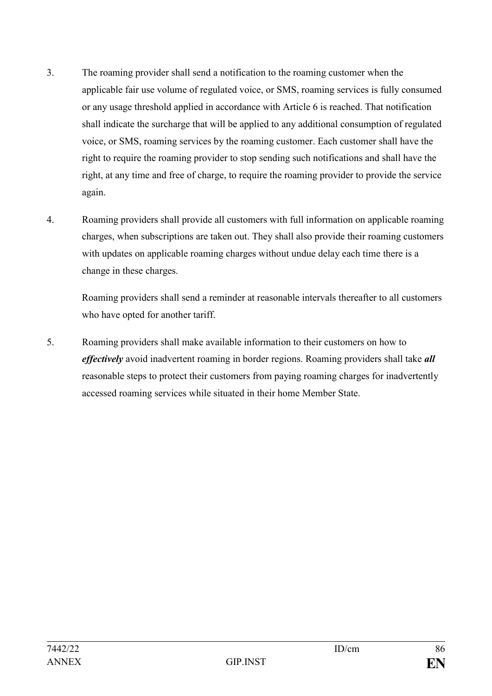- 3. The roaming provider shall send a notification to the roaming customer when the applicable fair use volume of regulated voice, or SMS, roaming services is fully consumed or any usage threshold applied in accordance with Article 6 is reached. That notification shall indicate the surcharge that will be applied to any additional consumption of regulated voice, or SMS, roaming services by the roaming customer. Each customer shall have the right to require the roaming provider to stop sending such notifications and shall have the right, at any time and free of charge, to require the roaming provider to provide the service again.
- 4. Roaming providers shall provide all customers with full information on applicable roaming charges, when subscriptions are taken out. They shall also provide their roaming customers with updates on applicable roaming charges without undue delay each time there is a change in these charges.

Roaming providers shall send a reminder at reasonable intervals thereafter to all customers who have opted for another tariff.

5. Roaming providers shall make available information to their customers on how to *effectively* avoid inadvertent roaming in border regions. Roaming providers shall take *all*  reasonable steps to protect their customers from paying roaming charges for inadvertently accessed roaming services while situated in their home Member State.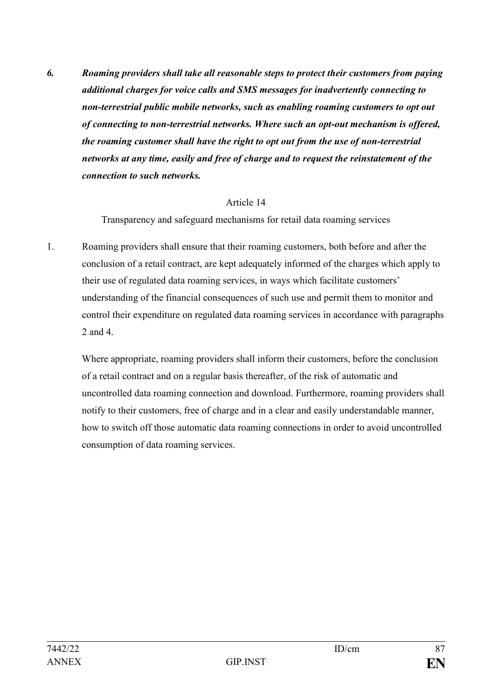*6. Roaming providers shall take all reasonable steps to protect their customers from paying additional charges for voice calls and SMS messages for inadvertently connecting to non-terrestrial public mobile networks, such as enabling roaming customers to opt out of connecting to non-terrestrial networks. Where such an opt-out mechanism is offered, the roaming customer shall have the right to opt out from the use of non-terrestrial networks at any time, easily and free of charge and to request the reinstatement of the connection to such networks.*

#### Article 14

Transparency and safeguard mechanisms for retail data roaming services

1. Roaming providers shall ensure that their roaming customers, both before and after the conclusion of a retail contract, are kept adequately informed of the charges which apply to their use of regulated data roaming services, in ways which facilitate customers' understanding of the financial consequences of such use and permit them to monitor and control their expenditure on regulated data roaming services in accordance with paragraphs 2 and 4.

Where appropriate, roaming providers shall inform their customers, before the conclusion of a retail contract and on a regular basis thereafter, of the risk of automatic and uncontrolled data roaming connection and download. Furthermore, roaming providers shall notify to their customers, free of charge and in a clear and easily understandable manner, how to switch off those automatic data roaming connections in order to avoid uncontrolled consumption of data roaming services.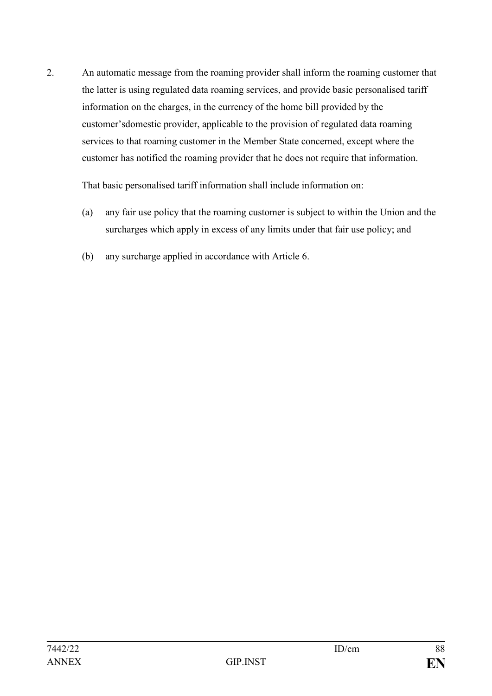2. An automatic message from the roaming provider shall inform the roaming customer that the latter is using regulated data roaming services, and provide basic personalised tariff information on the charges, in the currency of the home bill provided by the customer'sdomestic provider, applicable to the provision of regulated data roaming services to that roaming customer in the Member State concerned, except where the customer has notified the roaming provider that he does not require that information.

That basic personalised tariff information shall include information on:

- (a) any fair use policy that the roaming customer is subject to within the Union and the surcharges which apply in excess of any limits under that fair use policy; and
- (b) any surcharge applied in accordance with Article 6.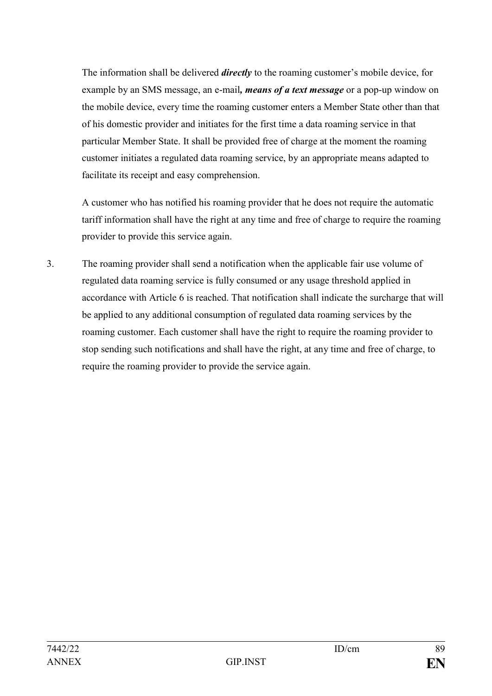The information shall be delivered *directly* to the roaming customer's mobile device, for example by an SMS message, an e-mail*, means of a text message* or a pop-up window on the mobile device, every time the roaming customer enters a Member State other than that of his domestic provider and initiates for the first time a data roaming service in that particular Member State. It shall be provided free of charge at the moment the roaming customer initiates a regulated data roaming service, by an appropriate means adapted to facilitate its receipt and easy comprehension.

A customer who has notified his roaming provider that he does not require the automatic tariff information shall have the right at any time and free of charge to require the roaming provider to provide this service again.

3. The roaming provider shall send a notification when the applicable fair use volume of regulated data roaming service is fully consumed or any usage threshold applied in accordance with Article 6 is reached. That notification shall indicate the surcharge that will be applied to any additional consumption of regulated data roaming services by the roaming customer. Each customer shall have the right to require the roaming provider to stop sending such notifications and shall have the right, at any time and free of charge, to require the roaming provider to provide the service again.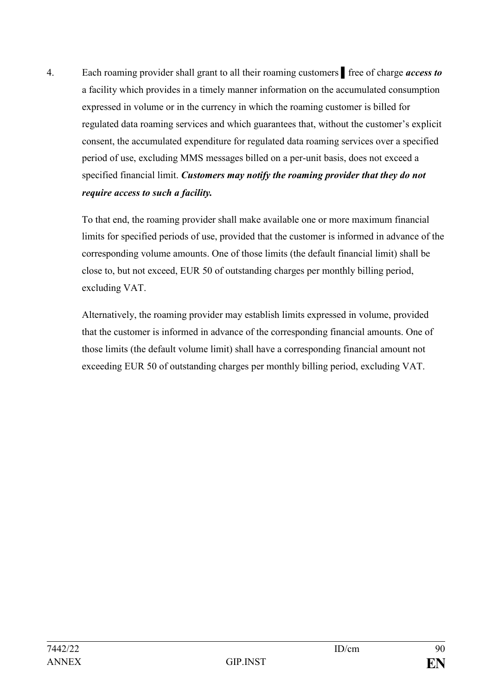4. Each roaming provider shall grant to all their roaming customers ▌free of charge *access to*  a facility which provides in a timely manner information on the accumulated consumption expressed in volume or in the currency in which the roaming customer is billed for regulated data roaming services and which guarantees that, without the customer's explicit consent, the accumulated expenditure for regulated data roaming services over a specified period of use, excluding MMS messages billed on a per-unit basis, does not exceed a specified financial limit. *Customers may notify the roaming provider that they do not require access to such a facility.*

To that end, the roaming provider shall make available one or more maximum financial limits for specified periods of use, provided that the customer is informed in advance of the corresponding volume amounts. One of those limits (the default financial limit) shall be close to, but not exceed, EUR 50 of outstanding charges per monthly billing period, excluding VAT.

Alternatively, the roaming provider may establish limits expressed in volume, provided that the customer is informed in advance of the corresponding financial amounts. One of those limits (the default volume limit) shall have a corresponding financial amount not exceeding EUR 50 of outstanding charges per monthly billing period, excluding VAT.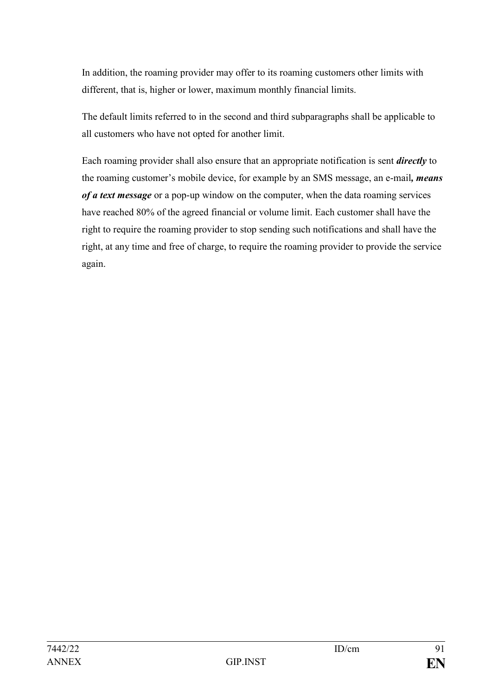In addition, the roaming provider may offer to its roaming customers other limits with different, that is, higher or lower, maximum monthly financial limits.

The default limits referred to in the second and third subparagraphs shall be applicable to all customers who have not opted for another limit.

Each roaming provider shall also ensure that an appropriate notification is sent *directly* to the roaming customer's mobile device, for example by an SMS message, an e-mail*, means of a text message* or a pop-up window on the computer, when the data roaming services have reached 80% of the agreed financial or volume limit. Each customer shall have the right to require the roaming provider to stop sending such notifications and shall have the right, at any time and free of charge, to require the roaming provider to provide the service again.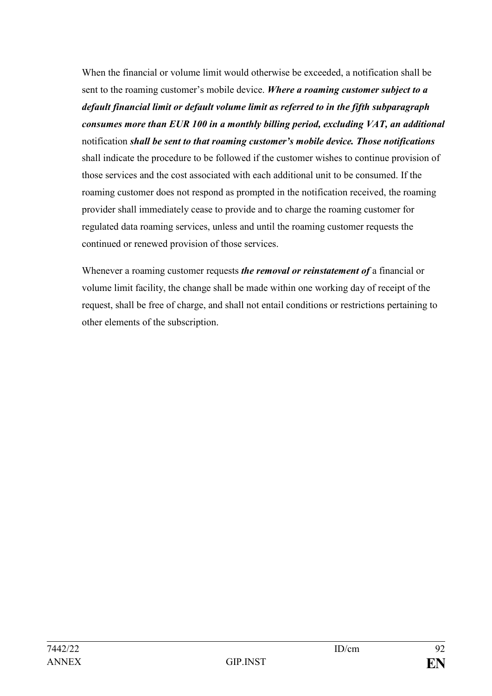When the financial or volume limit would otherwise be exceeded, a notification shall be sent to the roaming customer's mobile device. *Where a roaming customer subject to a default financial limit or default volume limit as referred to in the fifth subparagraph consumes more than EUR 100 in a monthly billing period, excluding VAT, an additional*  notification *shall be sent to that roaming customer's mobile device. Those notifications*  shall indicate the procedure to be followed if the customer wishes to continue provision of those services and the cost associated with each additional unit to be consumed. If the roaming customer does not respond as prompted in the notification received, the roaming provider shall immediately cease to provide and to charge the roaming customer for regulated data roaming services, unless and until the roaming customer requests the continued or renewed provision of those services.

Whenever a roaming customer requests *the removal or reinstatement of* a financial or volume limit facility, the change shall be made within one working day of receipt of the request, shall be free of charge, and shall not entail conditions or restrictions pertaining to other elements of the subscription.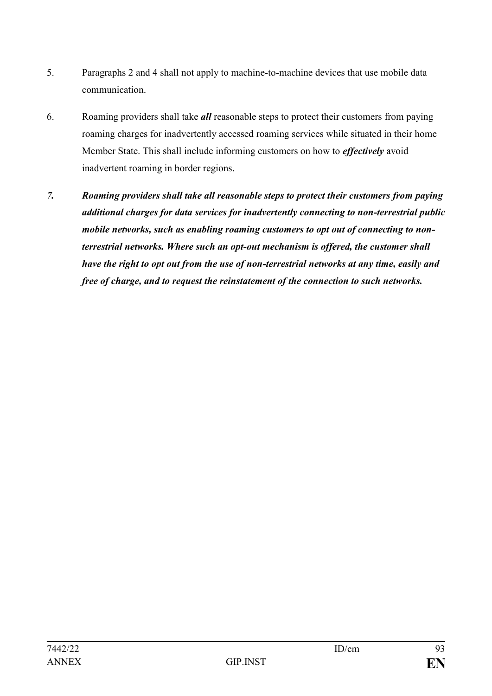- 5. Paragraphs 2 and 4 shall not apply to machine-to-machine devices that use mobile data communication.
- 6. Roaming providers shall take *all* reasonable steps to protect their customers from paying roaming charges for inadvertently accessed roaming services while situated in their home Member State. This shall include informing customers on how to *effectively* avoid inadvertent roaming in border regions.
- *7. Roaming providers shall take all reasonable steps to protect their customers from paying additional charges for data services for inadvertently connecting to non-terrestrial public mobile networks, such as enabling roaming customers to opt out of connecting to nonterrestrial networks. Where such an opt-out mechanism is offered, the customer shall have the right to opt out from the use of non-terrestrial networks at any time, easily and free of charge, and to request the reinstatement of the connection to such networks.*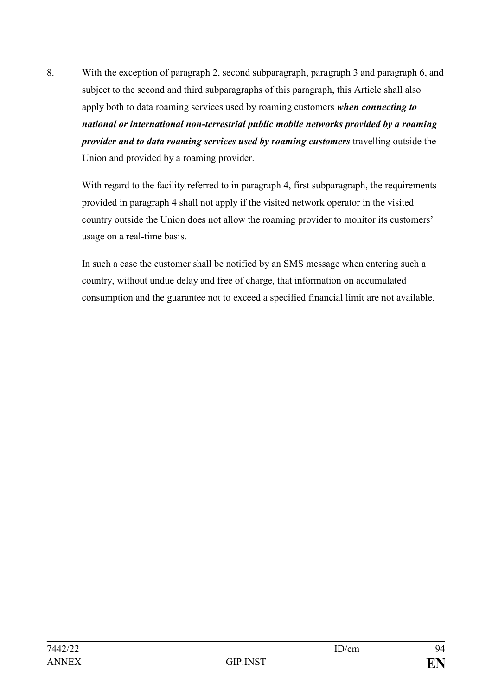8. With the exception of paragraph 2, second subparagraph, paragraph 3 and paragraph 6, and subject to the second and third subparagraphs of this paragraph, this Article shall also apply both to data roaming services used by roaming customers *when connecting to national or international non-terrestrial public mobile networks provided by a roaming provider and to data roaming services used by roaming customers* travelling outside the Union and provided by a roaming provider.

With regard to the facility referred to in paragraph 4, first subparagraph, the requirements provided in paragraph 4 shall not apply if the visited network operator in the visited country outside the Union does not allow the roaming provider to monitor its customers' usage on a real-time basis.

In such a case the customer shall be notified by an SMS message when entering such a country, without undue delay and free of charge, that information on accumulated consumption and the guarantee not to exceed a specified financial limit are not available.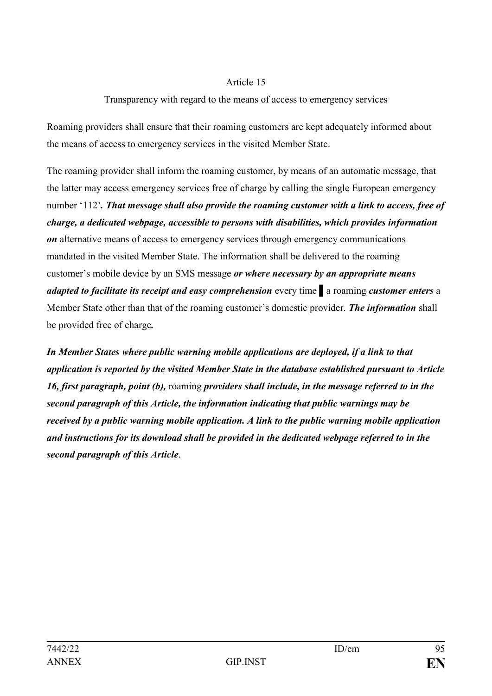## Transparency with regard to the means of access to emergency services

Roaming providers shall ensure that their roaming customers are kept adequately informed about the means of access to emergency services in the visited Member State.

The roaming provider shall inform the roaming customer, by means of an automatic message, that the latter may access emergency services free of charge by calling the single European emergency number '112'*. That message shall also provide the roaming customer with a link to access, free of charge, a dedicated webpage, accessible to persons with disabilities, which provides information on* alternative means of access to emergency services through emergency communications mandated in the visited Member State. The information shall be delivered to the roaming customer's mobile device by an SMS message *or where necessary by an appropriate means adapted to facilitate its receipt and easy comprehension* every time ▌a roaming *customer enters* a Member State other than that of the roaming customer's domestic provider. *The information* shall be provided free of charge*.*

*In Member States where public warning mobile applications are deployed, if a link to that application is reported by the visited Member State in the database established pursuant to Article 16, first paragraph, point (b),* roaming *providers shall include, in the message referred to in the second paragraph of this Article, the information indicating that public warnings may be received by a public warning mobile application. A link to the public warning mobile application and instructions for its download shall be provided in the dedicated webpage referred to in the second paragraph of this Article*.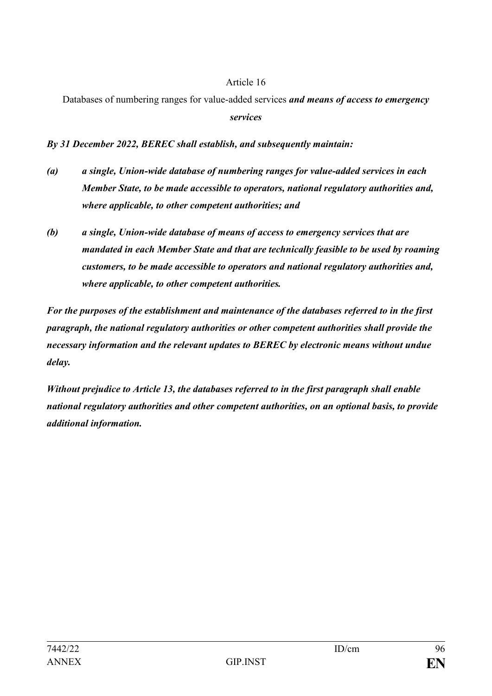Databases of numbering ranges for value-added services *and means of access to emergency services*

*By 31 December 2022, BEREC shall establish, and subsequently maintain:* 

- *(a) a single, Union-wide database of numbering ranges for value-added services in each Member State, to be made accessible to operators, national regulatory authorities and, where applicable, to other competent authorities; and*
- *(b) a single, Union-wide database of means of access to emergency services that are mandated in each Member State and that are technically feasible to be used by roaming customers, to be made accessible to operators and national regulatory authorities and, where applicable, to other competent authorities.*

*For the purposes of the establishment and maintenance of the databases referred to in the first paragraph, the national regulatory authorities or other competent authorities shall provide the necessary information and the relevant updates to BEREC by electronic means without undue delay.*

*Without prejudice to Article 13, the databases referred to in the first paragraph shall enable national regulatory authorities and other competent authorities, on an optional basis, to provide additional information.*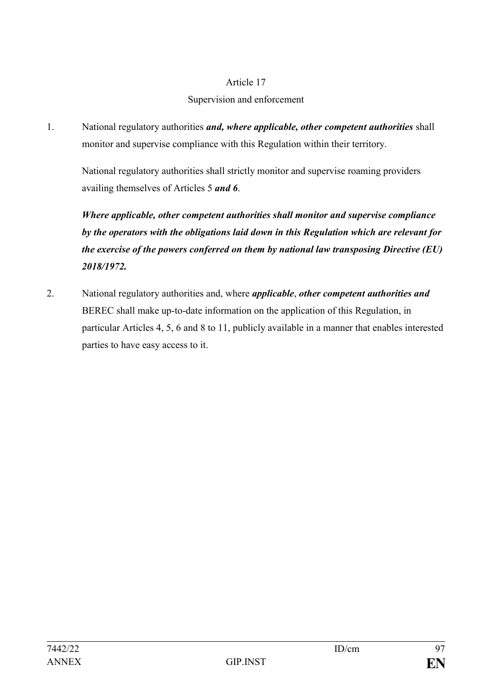# Supervision and enforcement

1. National regulatory authorities *and, where applicable, other competent authorities* shall monitor and supervise compliance with this Regulation within their territory.

National regulatory authorities shall strictly monitor and supervise roaming providers availing themselves of Articles 5 *and 6*.

*Where applicable, other competent authorities shall monitor and supervise compliance by the operators with the obligations laid down in this Regulation which are relevant for the exercise of the powers conferred on them by national law transposing Directive (EU) 2018/1972.*

2. National regulatory authorities and, where *applicable*, *other competent authorities and*  BEREC shall make up-to-date information on the application of this Regulation, in particular Articles 4, 5, 6 and 8 to 11, publicly available in a manner that enables interested parties to have easy access to it.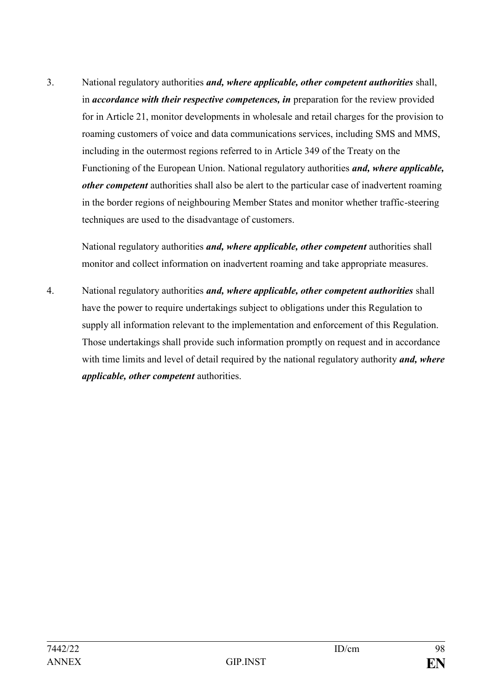3. National regulatory authorities *and, where applicable, other competent authorities* shall, in *accordance with their respective competences, in* preparation for the review provided for in Article 21, monitor developments in wholesale and retail charges for the provision to roaming customers of voice and data communications services, including SMS and MMS, including in the outermost regions referred to in Article 349 of the Treaty on the Functioning of the European Union. National regulatory authorities *and, where applicable, other competent* authorities shall also be alert to the particular case of inadvertent roaming in the border regions of neighbouring Member States and monitor whether traffic-steering techniques are used to the disadvantage of customers.

National regulatory authorities *and, where applicable, other competent* authorities shall monitor and collect information on inadvertent roaming and take appropriate measures.

4. National regulatory authorities *and, where applicable, other competent authorities* shall have the power to require undertakings subject to obligations under this Regulation to supply all information relevant to the implementation and enforcement of this Regulation. Those undertakings shall provide such information promptly on request and in accordance with time limits and level of detail required by the national regulatory authority *and, where applicable, other competent* authorities.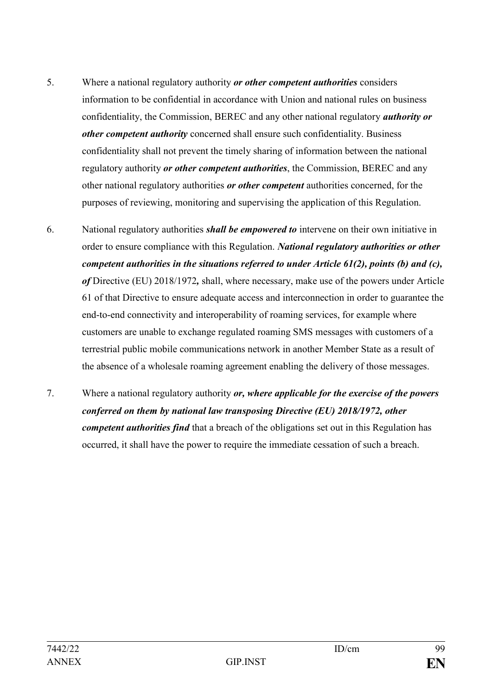- 5. Where a national regulatory authority *or other competent authorities* considers information to be confidential in accordance with Union and national rules on business confidentiality, the Commission, BEREC and any other national regulatory *authority or other competent authority* concerned shall ensure such confidentiality. Business confidentiality shall not prevent the timely sharing of information between the national regulatory authority *or other competent authorities*, the Commission, BEREC and any other national regulatory authorities *or other competent* authorities concerned, for the purposes of reviewing, monitoring and supervising the application of this Regulation.
- 6. National regulatory authorities *shall be empowered to* intervene on their own initiative in order to ensure compliance with this Regulation. *National regulatory authorities or other competent authorities in the situations referred to under Article 61(2), points (b) and (c), of* Directive (EU) 2018/1972*,* shall, where necessary, make use of the powers under Article 61 of that Directive to ensure adequate access and interconnection in order to guarantee the end-to-end connectivity and interoperability of roaming services, for example where customers are unable to exchange regulated roaming SMS messages with customers of a terrestrial public mobile communications network in another Member State as a result of the absence of a wholesale roaming agreement enabling the delivery of those messages.
- 7. Where a national regulatory authority *or, where applicable for the exercise of the powers conferred on them by national law transposing Directive (EU) 2018/1972, other competent authorities find* that a breach of the obligations set out in this Regulation has occurred, it shall have the power to require the immediate cessation of such a breach.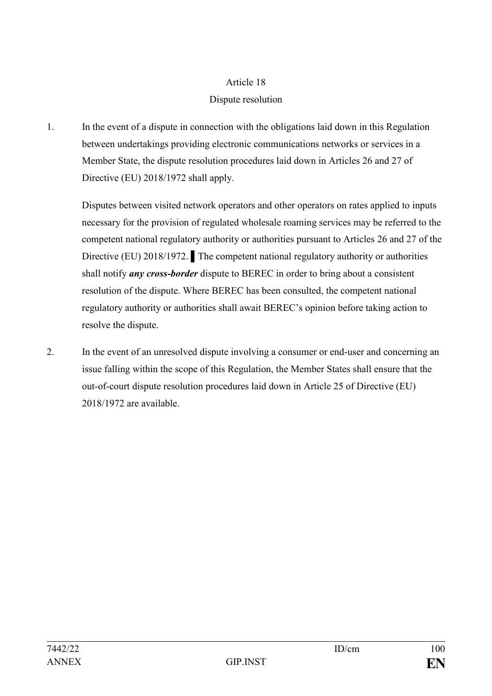# Dispute resolution

1. In the event of a dispute in connection with the obligations laid down in this Regulation between undertakings providing electronic communications networks or services in a Member State, the dispute resolution procedures laid down in Articles 26 and 27 of Directive (EU) 2018/1972 shall apply.

Disputes between visited network operators and other operators on rates applied to inputs necessary for the provision of regulated wholesale roaming services may be referred to the competent national regulatory authority or authorities pursuant to Articles 26 and 27 of the Directive (EU) 2018/1972. ▌The competent national regulatory authority or authorities shall notify *any cross-border* dispute to BEREC in order to bring about a consistent resolution of the dispute. Where BEREC has been consulted, the competent national regulatory authority or authorities shall await BEREC's opinion before taking action to resolve the dispute.

2. In the event of an unresolved dispute involving a consumer or end-user and concerning an issue falling within the scope of this Regulation, the Member States shall ensure that the out-of-court dispute resolution procedures laid down in Article 25 of Directive (EU) 2018/1972 are available.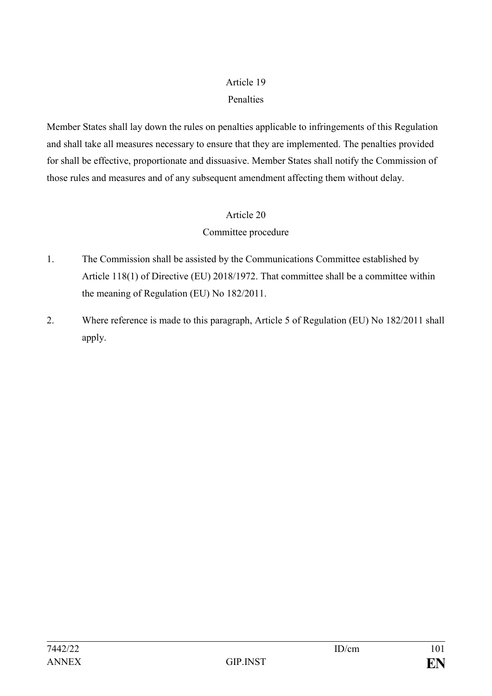# Penalties

Member States shall lay down the rules on penalties applicable to infringements of this Regulation and shall take all measures necessary to ensure that they are implemented. The penalties provided for shall be effective, proportionate and dissuasive. Member States shall notify the Commission of those rules and measures and of any subsequent amendment affecting them without delay.

## Article 20

# Committee procedure

- 1. The Commission shall be assisted by the Communications Committee established by Article 118(1) of Directive (EU) 2018/1972. That committee shall be a committee within the meaning of Regulation (EU) No 182/2011.
- 2. Where reference is made to this paragraph, Article 5 of Regulation (EU) No 182/2011 shall apply.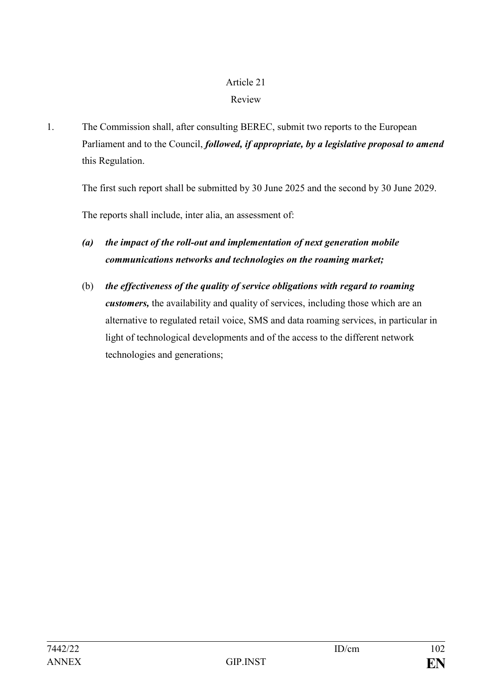# Review

1. The Commission shall, after consulting BEREC, submit two reports to the European Parliament and to the Council, *followed, if appropriate, by a legislative proposal to amend*  this Regulation.

The first such report shall be submitted by 30 June 2025 and the second by 30 June 2029.

The reports shall include, inter alia, an assessment of:

- *(a) the impact of the roll-out and implementation of next generation mobile communications networks and technologies on the roaming market;*
- (b) *the effectiveness of the quality of service obligations with regard to roaming customers,* the availability and quality of services, including those which are an alternative to regulated retail voice, SMS and data roaming services, in particular in light of technological developments and of the access to the different network technologies and generations;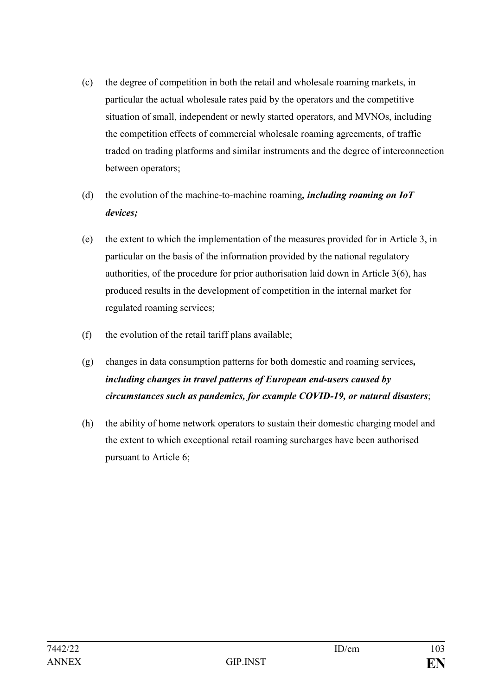- (c) the degree of competition in both the retail and wholesale roaming markets, in particular the actual wholesale rates paid by the operators and the competitive situation of small, independent or newly started operators, and MVNOs, including the competition effects of commercial wholesale roaming agreements, of traffic traded on trading platforms and similar instruments and the degree of interconnection between operators;
- (d) the evolution of the machine-to-machine roaming*, including roaming on IoT devices;*
- (e) the extent to which the implementation of the measures provided for in Article 3, in particular on the basis of the information provided by the national regulatory authorities, of the procedure for prior authorisation laid down in Article 3(6), has produced results in the development of competition in the internal market for regulated roaming services;
- (f) the evolution of the retail tariff plans available;
- (g) changes in data consumption patterns for both domestic and roaming services*, including changes in travel patterns of European end-users caused by circumstances such as pandemics, for example COVID-19, or natural disasters*;
- (h) the ability of home network operators to sustain their domestic charging model and the extent to which exceptional retail roaming surcharges have been authorised pursuant to Article 6;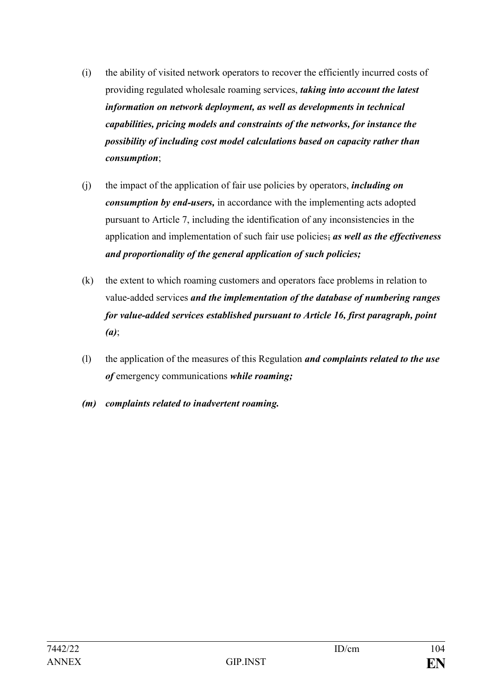- (i) the ability of visited network operators to recover the efficiently incurred costs of providing regulated wholesale roaming services, *taking into account the latest information on network deployment, as well as developments in technical capabilities, pricing models and constraints of the networks, for instance the possibility of including cost model calculations based on capacity rather than consumption*;
- (j) the impact of the application of fair use policies by operators, *including on consumption by end-users,* in accordance with the implementing acts adopted pursuant to Article 7, including the identification of any inconsistencies in the application and implementation of such fair use policies; *as well as the effectiveness and proportionality of the general application of such policies;*
- (k) the extent to which roaming customers and operators face problems in relation to value-added services *and the implementation of the database of numbering ranges for value-added services established pursuant to Article 16, first paragraph, point (a)*;
- (l) the application of the measures of this Regulation *and complaints related to the use of* emergency communications *while roaming;*
- *(m) complaints related to inadvertent roaming.*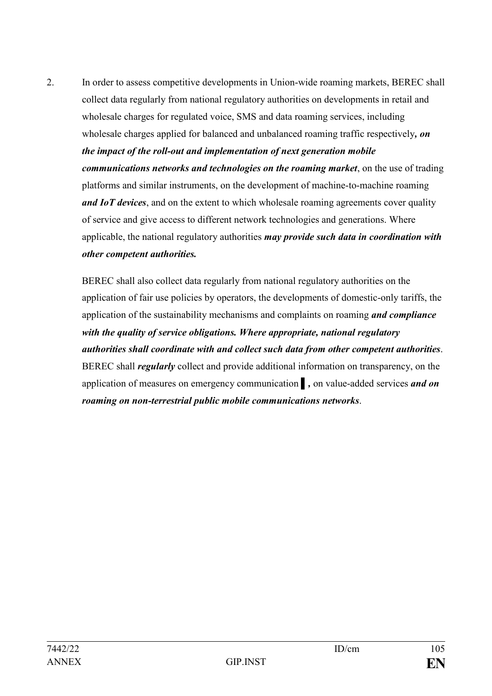2. In order to assess competitive developments in Union-wide roaming markets, BEREC shall collect data regularly from national regulatory authorities on developments in retail and wholesale charges for regulated voice, SMS and data roaming services, including wholesale charges applied for balanced and unbalanced roaming traffic respectively*, on the impact of the roll-out and implementation of next generation mobile communications networks and technologies on the roaming market*, on the use of trading platforms and similar instruments, on the development of machine-to-machine roaming *and IoT devices*, and on the extent to which wholesale roaming agreements cover quality of service and give access to different network technologies and generations. Where applicable, the national regulatory authorities *may provide such data in coordination with other competent authorities.* 

BEREC shall also collect data regularly from national regulatory authorities on the application of fair use policies by operators, the developments of domestic-only tariffs, the application of the sustainability mechanisms and complaints on roaming *and compliance with the quality of service obligations. Where appropriate, national regulatory authorities shall coordinate with and collect such data from other competent authorities*. BEREC shall *regularly* collect and provide additional information on transparency, on the application of measures on emergency communication ▌*,* on value-added services *and on roaming on non-terrestrial public mobile communications networks*.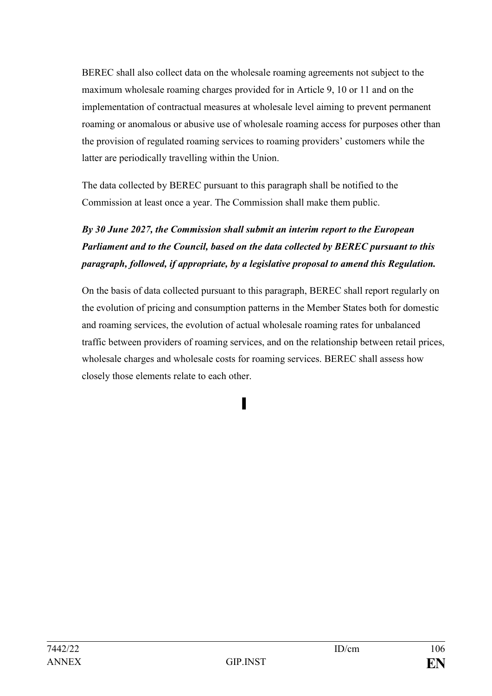BEREC shall also collect data on the wholesale roaming agreements not subject to the maximum wholesale roaming charges provided for in Article 9, 10 or 11 and on the implementation of contractual measures at wholesale level aiming to prevent permanent roaming or anomalous or abusive use of wholesale roaming access for purposes other than the provision of regulated roaming services to roaming providers' customers while the latter are periodically travelling within the Union.

The data collected by BEREC pursuant to this paragraph shall be notified to the Commission at least once a year. The Commission shall make them public.

# *By 30 June 2027, the Commission shall submit an interim report to the European Parliament and to the Council, based on the data collected by BEREC pursuant to this paragraph, followed, if appropriate, by a legislative proposal to amend this Regulation.*

On the basis of data collected pursuant to this paragraph, BEREC shall report regularly on the evolution of pricing and consumption patterns in the Member States both for domestic and roaming services, the evolution of actual wholesale roaming rates for unbalanced traffic between providers of roaming services, and on the relationship between retail prices, wholesale charges and wholesale costs for roaming services. BEREC shall assess how closely those elements relate to each other.

▌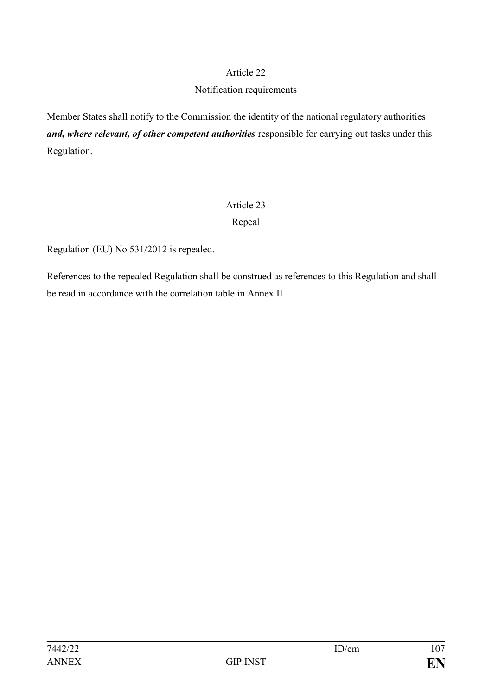#### Notification requirements

Member States shall notify to the Commission the identity of the national regulatory authorities and, where relevant, of other competent authorities responsible for carrying out tasks under this Regulation.

# Article 23 Repeal

Regulation (EU) No 531/2012 is repealed.

References to the repealed Regulation shall be construed as references to this Regulation and shall be read in accordance with the correlation table in Annex II.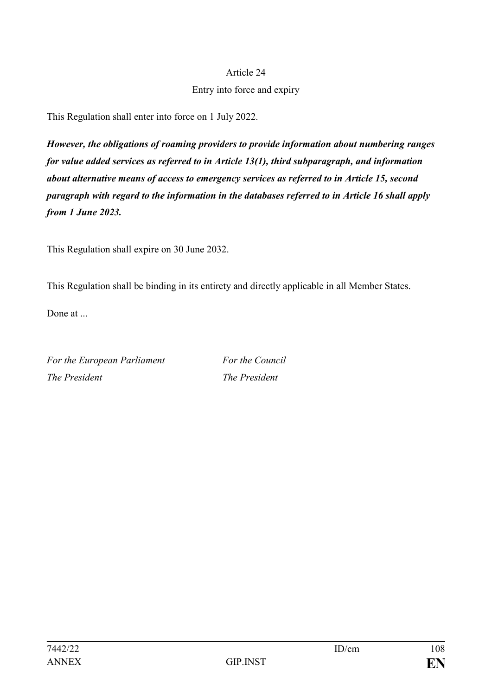## Entry into force and expiry

This Regulation shall enter into force on 1 July 2022.

*However, the obligations of roaming providers to provide information about numbering ranges for value added services as referred to in Article 13(1), third subparagraph, and information about alternative means of access to emergency services as referred to in Article 15, second paragraph with regard to the information in the databases referred to in Article 16 shall apply from 1 June 2023.* 

This Regulation shall expire on 30 June 2032.

This Regulation shall be binding in its entirety and directly applicable in all Member States.

Done at

*For the European Parliament For the Council The President The President*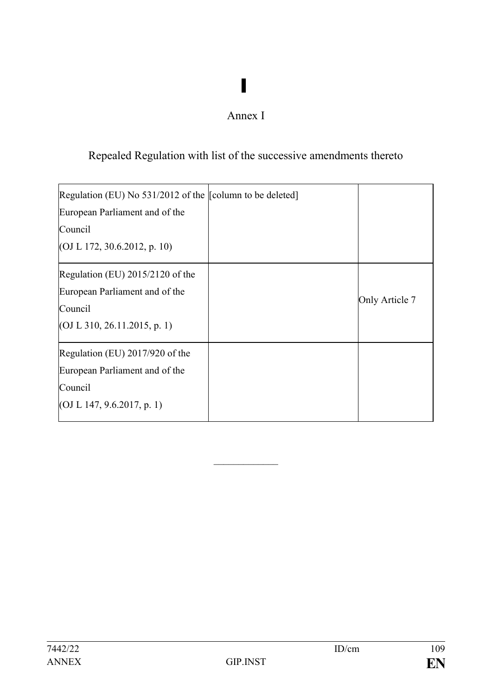## Annex I

▌

## Repealed Regulation with list of the successive amendments thereto

| Regulation (EU) No $531/2012$ of the $\sim$ [column to be deleted]<br>European Parliament and of the |                |
|------------------------------------------------------------------------------------------------------|----------------|
| Council                                                                                              |                |
| (OJ L 172, 30.6.2012, p. 10)                                                                         |                |
| Regulation (EU) $2015/2120$ of the                                                                   |                |
| European Parliament and of the                                                                       |                |
| Council                                                                                              | Only Article 7 |
| (OJ L 310, 26.11.2015, p. 1)                                                                         |                |
| Regulation (EU) $2017/920$ of the                                                                    |                |
| European Parliament and of the                                                                       |                |
| Council                                                                                              |                |
| (OJ L 147, 9.6.2017, p. 1)                                                                           |                |

 $\frac{1}{2}$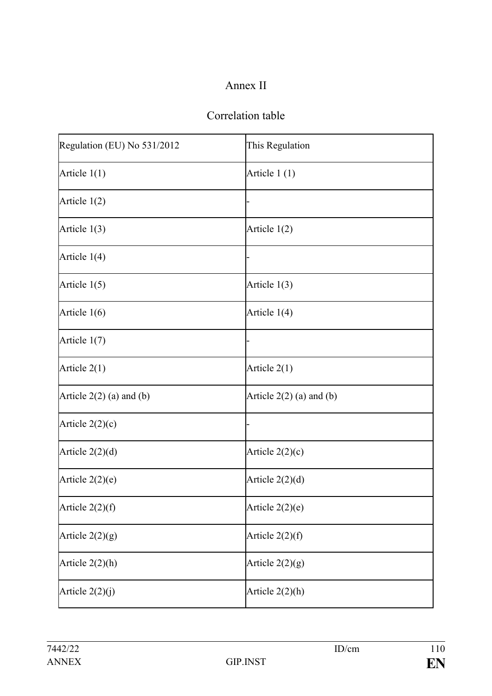## Annex II

## Correlation table

| Regulation (EU) No 531/2012 | This Regulation            |
|-----------------------------|----------------------------|
| Article $1(1)$              | Article 1(1)               |
| Article $1(2)$              |                            |
| Article $1(3)$              | Article $1(2)$             |
| Article $1(4)$              |                            |
| Article $1(5)$              | Article $1(3)$             |
| Article $1(6)$              | Article 1(4)               |
| Article $1(7)$              |                            |
| Article $2(1)$              | Article $2(1)$             |
| Article $2(2)$ (a) and (b)  | Article $2(2)$ (a) and (b) |
| Article $2(2)(c)$           |                            |
| Article $2(2)(d)$           | Article $2(2)(c)$          |
| Article $2(2)(e)$           | Article $2(2)(d)$          |
| Article $2(2)(f)$           | Article $2(2)(e)$          |
| Article $2(2)(g)$           | Article $2(2)(f)$          |
| Article $2(2)(h)$           | Article $2(2)(g)$          |
| Article $2(2)(j)$           | Article $2(2)(h)$          |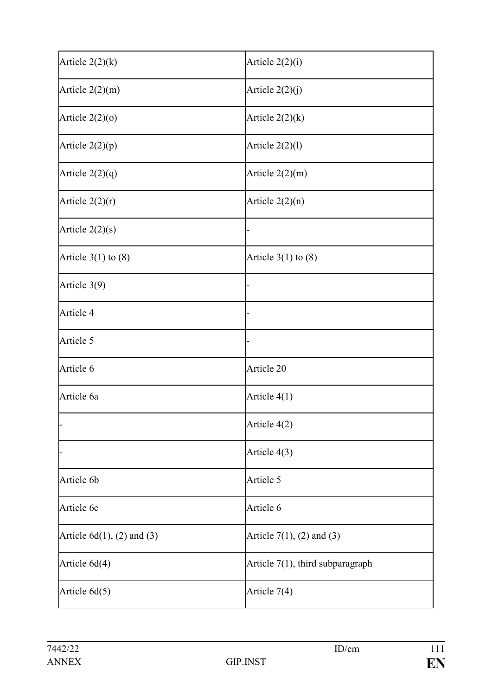| Article $2(2)(k)$             | Article 2(2)(i)                     |
|-------------------------------|-------------------------------------|
| Article $2(2)(m)$             | Article $2(2)(j)$                   |
| Article $2(2)(0)$             | Article $2(2)(k)$                   |
| Article 2(2)(p)               | Article $2(2)(1)$                   |
| Article $2(2)(q)$             | Article $2(2)(m)$                   |
| Article $2(2)(r)$             | Article $2(2)(n)$                   |
| Article $2(2)(s)$             |                                     |
| Article $3(1)$ to $(8)$       | Article $3(1)$ to $(8)$             |
| Article 3(9)                  |                                     |
| Article 4                     |                                     |
| Article 5                     |                                     |
| Article 6                     | Article 20                          |
| Article 6a                    | Article 4(1)                        |
|                               | Article 4(2)                        |
|                               | Article 4(3)                        |
| Article 6b                    | Article 5                           |
| Article 6c                    | Article 6                           |
| Article $6d(1)$ , (2) and (3) | Article $7(1)$ , $(2)$ and $(3)$    |
| Article 6d(4)                 | Article $7(1)$ , third subparagraph |
| Article 6d(5)                 | Article 7(4)                        |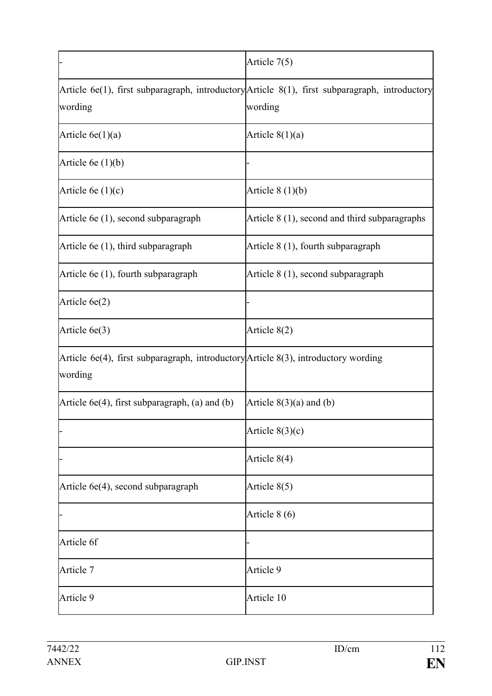|                                                                                               | Article 7(5)                                                                                              |
|-----------------------------------------------------------------------------------------------|-----------------------------------------------------------------------------------------------------------|
| wording                                                                                       | Article 6e(1), first subparagraph, introductory Article 8(1), first subparagraph, introductory<br>wording |
| Article $6e(1)(a)$                                                                            | Article $8(1)(a)$                                                                                         |
| Article 6e $(1)(b)$                                                                           |                                                                                                           |
| Article 6e $(1)(c)$                                                                           | Article $8(1)(b)$                                                                                         |
| Article 6e (1), second subparagraph                                                           | Article 8 (1), second and third subparagraphs                                                             |
| Article 6e (1), third subparagraph                                                            | Article 8 (1), fourth subparagraph                                                                        |
| Article 6e (1), fourth subparagraph                                                           | Article 8 (1), second subparagraph                                                                        |
| Article $6e(2)$                                                                               |                                                                                                           |
| Article 6e(3)                                                                                 | Article 8(2)                                                                                              |
| Article 6e(4), first subparagraph, introductory Article 8(3), introductory wording<br>wording |                                                                                                           |
| Article $6e(4)$ , first subparagraph, (a) and (b)                                             | Article $8(3)(a)$ and $(b)$                                                                               |
|                                                                                               | Article $8(3)(c)$                                                                                         |
|                                                                                               | Article 8(4)                                                                                              |
| Article 6e(4), second subparagraph                                                            | Article 8(5)                                                                                              |
|                                                                                               | Article 8 (6)                                                                                             |
| Article 6f                                                                                    |                                                                                                           |
| Article 7                                                                                     | Article 9                                                                                                 |
| Article 9                                                                                     | Article 10                                                                                                |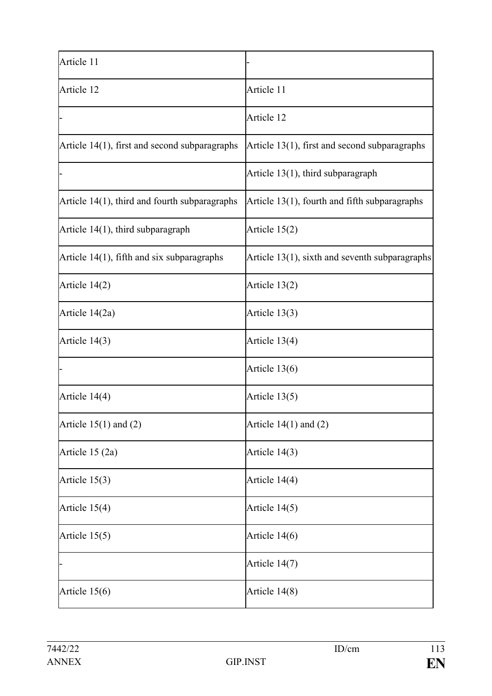| Article 11                                    |                                                   |
|-----------------------------------------------|---------------------------------------------------|
| Article 12                                    | Article 11                                        |
|                                               | Article 12                                        |
| Article 14(1), first and second subparagraphs | Article 13(1), first and second subparagraphs     |
|                                               | Article $13(1)$ , third subparagraph              |
| Article 14(1), third and fourth subparagraphs | Article 13(1), fourth and fifth subparagraphs     |
| Article $14(1)$ , third subparagraph          | Article $15(2)$                                   |
| Article 14(1), fifth and six subparagraphs    | Article $13(1)$ , sixth and seventh subparagraphs |
| Article 14(2)                                 | Article 13(2)                                     |
| Article 14(2a)                                | Article 13(3)                                     |
| Article $14(3)$                               | Article 13(4)                                     |
|                                               | Article 13(6)                                     |
| Article 14(4)                                 | Article 13(5)                                     |
| Article $15(1)$ and $(2)$                     | Article $14(1)$ and $(2)$                         |
| Article 15 (2a)                               | Article 14(3)                                     |
| Article $15(3)$                               | Article 14(4)                                     |
| Article 15(4)                                 | Article 14(5)                                     |
| Article $15(5)$                               | Article 14(6)                                     |
|                                               | Article 14(7)                                     |
| Article $15(6)$                               | Article 14(8)                                     |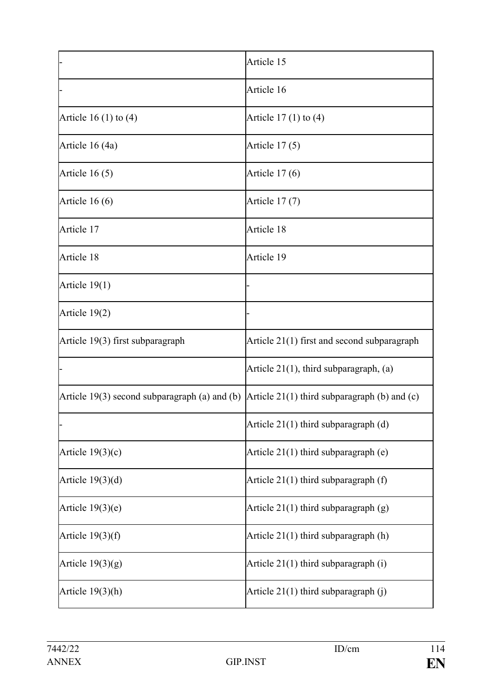|                                                 | Article 15                                     |
|-------------------------------------------------|------------------------------------------------|
|                                                 | Article 16                                     |
| Article 16 $(1)$ to $(4)$                       | Article $17(1)$ to $(4)$                       |
| Article 16 (4a)                                 | Article $17(5)$                                |
| Article $16(5)$                                 | Article $17(6)$                                |
| Article $16(6)$                                 | Article 17 (7)                                 |
| Article 17                                      | Article 18                                     |
| Article 18                                      | Article 19                                     |
| Article $19(1)$                                 |                                                |
| Article 19(2)                                   |                                                |
| Article 19(3) first subparagraph                | Article 21(1) first and second subparagraph    |
|                                                 | Article $21(1)$ , third subparagraph, (a)      |
| Article $19(3)$ second subparagraph (a) and (b) | Article $21(1)$ third subparagraph (b) and (c) |
|                                                 | Article 21(1) third subparagraph (d)           |
| Article $19(3)(c)$                              | Article $21(1)$ third subparagraph (e)         |
| Article $19(3)(d)$                              | Article $21(1)$ third subparagraph $(f)$       |
| Article $19(3)(e)$                              | Article $21(1)$ third subparagraph $(g)$       |
| Article $19(3)(f)$                              | Article $21(1)$ third subparagraph $(h)$       |
| Article $19(3)(g)$                              | Article 21(1) third subparagraph (i)           |
| Article $19(3)(h)$                              | Article 21(1) third subparagraph (j)           |